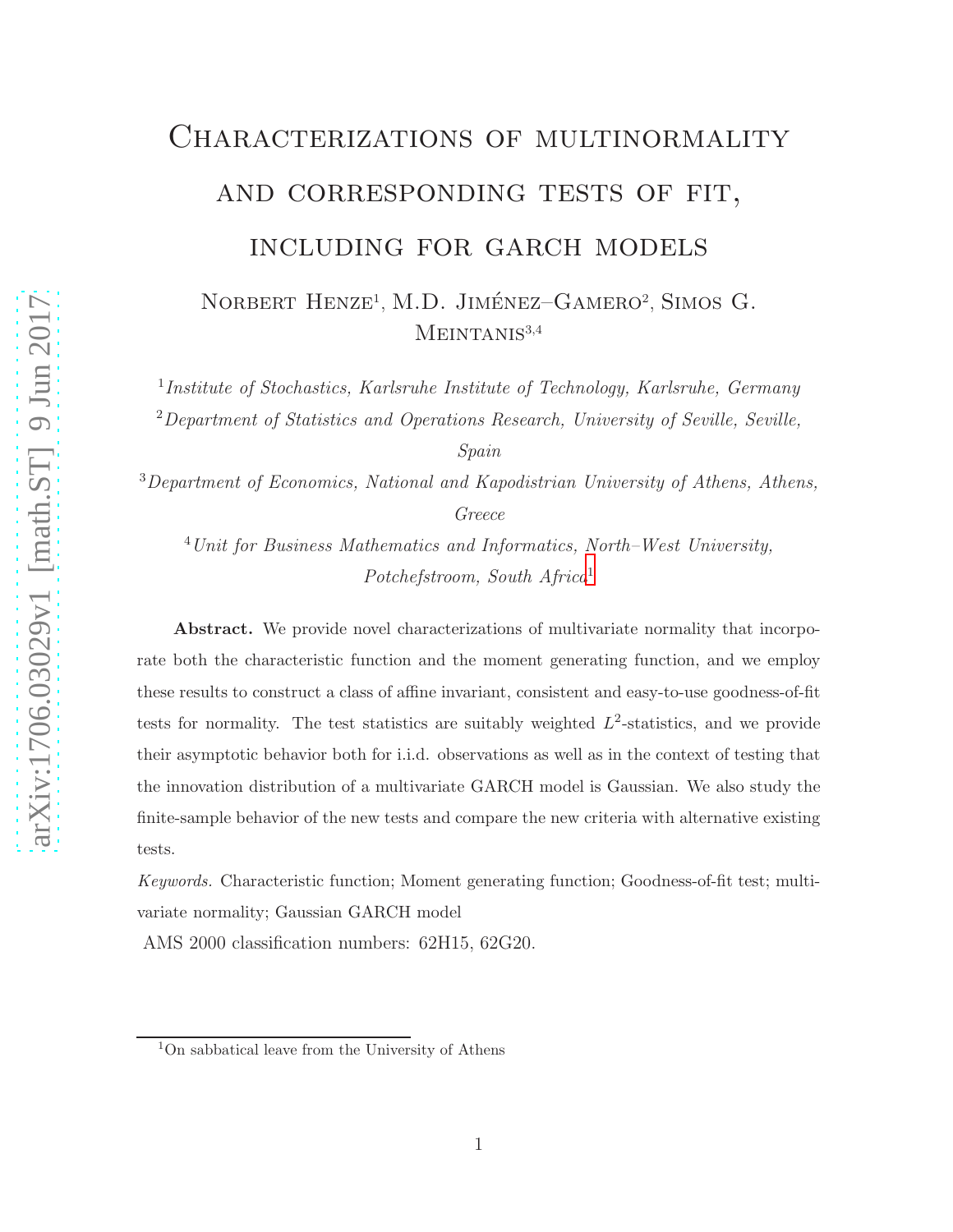# arXiv:1706.03029v1 [math.ST] 9 Jun 2017 [arXiv:1706.03029v1 \[math.ST\] 9 Jun 2017](http://arxiv.org/abs/1706.03029v1)

# CHARACTERIZATIONS OF MULTINORMALITY and corresponding tests of fit, including for garch models

NORBERT HENZE<sup>1</sup>, M.D. JIMÉNEZ-GAMERO<sup>2</sup>, SIMOS G.  $MEINTANIS<sup>3,4</sup>$ 

<sup>1</sup>Institute of Stochastics, Karlsruhe Institute of Technology, Karlsruhe, Germany <sup>2</sup>Department of Statistics and Operations Research, University of Seville, Seville,

Spain

<sup>3</sup>Department of Economics, National and Kapodistrian University of Athens, Athens, Greece

<sup>4</sup>Unit for Business Mathematics and Informatics, North–West University, Potchefstroom, South Africa[1](#page-0-0)

Abstract. We provide novel characterizations of multivariate normality that incorporate both the characteristic function and the moment generating function, and we employ these results to construct a class of affine invariant, consistent and easy-to-use goodness-of-fit tests for normality. The test statistics are suitably weighted  $L^2$ -statistics, and we provide their asymptotic behavior both for i.i.d. observations as well as in the context of testing that the innovation distribution of a multivariate GARCH model is Gaussian. We also study the finite-sample behavior of the new tests and compare the new criteria with alternative existing tests.

*Keywords.* Characteristic function; Moment generating function; Goodness-of-fit test; multivariate normality; Gaussian GARCH model

AMS 2000 classification numbers: 62H15, 62G20.

<span id="page-0-0"></span><sup>1</sup>On sabbatical leave from the University of Athens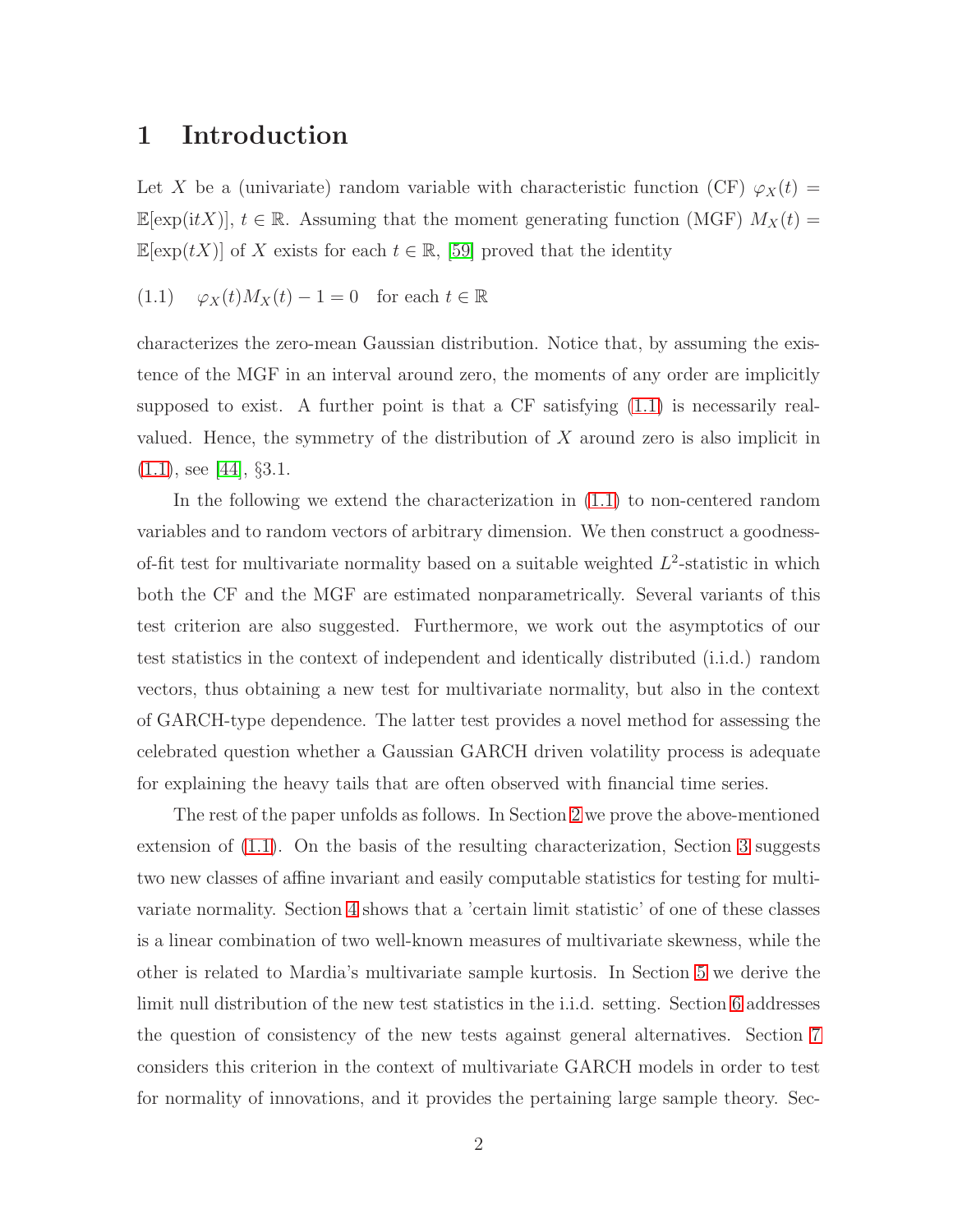### 1 Introduction

Let X be a (univariate) random variable with characteristic function (CF)  $\varphi_X(t)$  =  $\mathbb{E}[\exp(\mathrm{i}tX)], t \in \mathbb{R}$ . Assuming that the moment generating function (MGF)  $M_X(t)$  =  $\mathbb{E}[\exp(tX)]$  of X exists for each  $t \in \mathbb{R}$ , [\[59\]](#page-37-0) proved that the identity

<span id="page-1-0"></span>(1.1) 
$$
\varphi_X(t)M_X(t) - 1 = 0
$$
 for each  $t \in \mathbb{R}$ 

characterizes the zero-mean Gaussian distribution. Notice that, by assuming the existence of the MGF in an interval around zero, the moments of any order are implicitly supposed to exist. A further point is that a CF satisfying [\(1.1\)](#page-1-0) is necessarily realvalued. Hence, the symmetry of the distribution of  $X$  around zero is also implicit in [\(1.1\)](#page-1-0), see [\[44\]](#page-36-0), §3.1.

In the following we extend the characterization in [\(1.1\)](#page-1-0) to non-centered random variables and to random vectors of arbitrary dimension. We then construct a goodnessof-fit test for multivariate normality based on a suitable weighted  $L^2$ -statistic in which both the CF and the MGF are estimated nonparametrically. Several variants of this test criterion are also suggested. Furthermore, we work out the asymptotics of our test statistics in the context of independent and identically distributed (i.i.d.) random vectors, thus obtaining a new test for multivariate normality, but also in the context of GARCH-type dependence. The latter test provides a novel method for assessing the celebrated question whether a Gaussian GARCH driven volatility process is adequate for explaining the heavy tails that are often observed with financial time series.

The rest of the paper unfolds as follows. In Section [2](#page-2-0) we prove the above-mentioned extension of [\(1.1\)](#page-1-0). On the basis of the resulting characterization, Section [3](#page-3-0) suggests two new classes of affine invariant and easily computable statistics for testing for multivariate normality. Section [4](#page-6-0) shows that a 'certain limit statistic' of one of these classes is a linear combination of two well-known measures of multivariate skewness, while the other is related to Mardia's multivariate sample kurtosis. In Section [5](#page-8-0) we derive the limit null distribution of the new test statistics in the i.i.d. setting. Section [6](#page-9-0) addresses the question of consistency of the new tests against general alternatives. Section [7](#page-10-0) considers this criterion in the context of multivariate GARCH models in order to test for normality of innovations, and it provides the pertaining large sample theory. Sec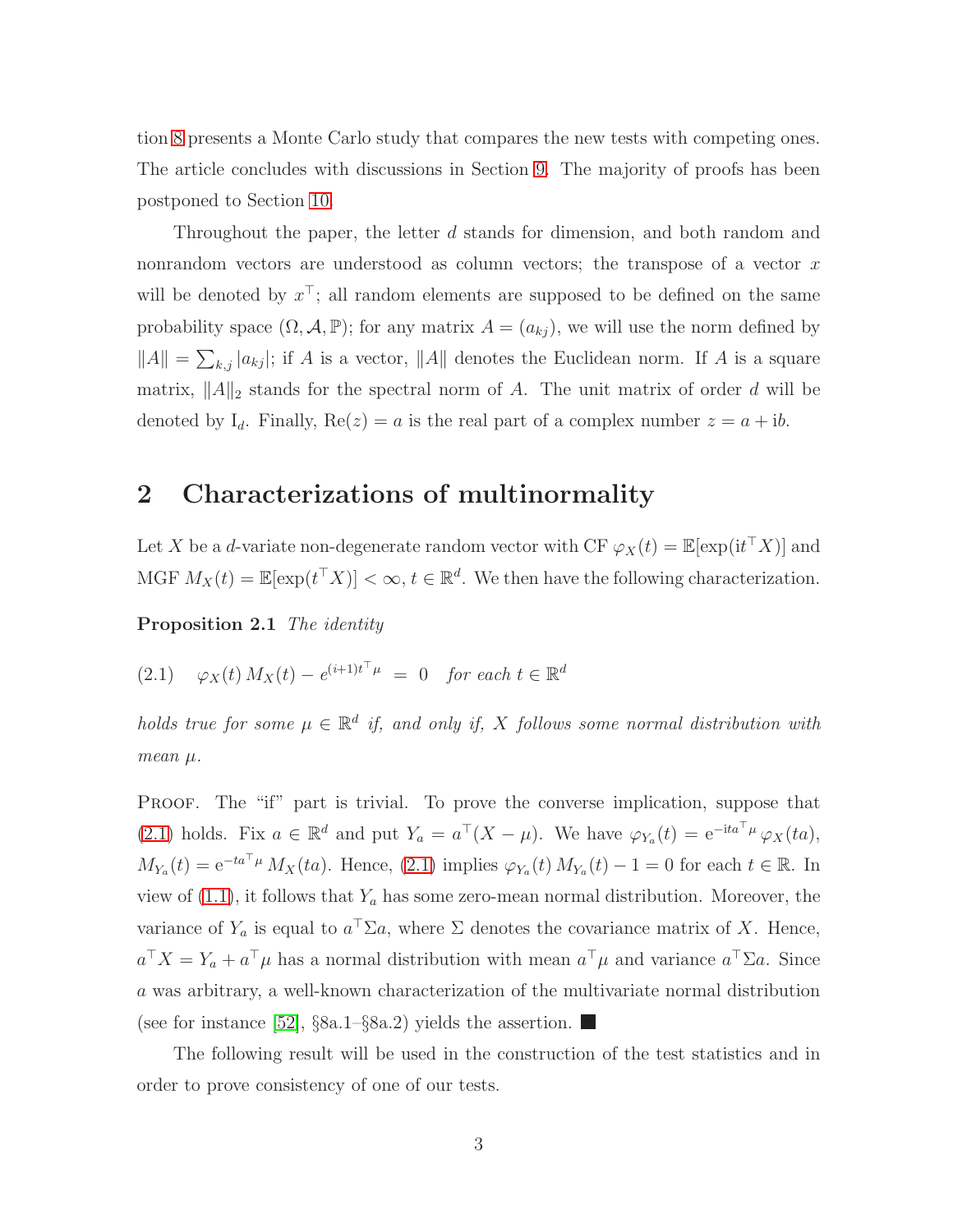tion [8](#page-15-0) presents a Monte Carlo study that compares the new tests with competing ones. The article concludes with discussions in Section [9.](#page-20-0) The majority of proofs has been postponed to Section [10.](#page-21-0)

Throughout the paper, the letter d stands for dimension, and both random and nonrandom vectors are understood as column vectors; the transpose of a vector x will be denoted by  $x^{\perp}$ ; all random elements are supposed to be defined on the same probability space  $(\Omega, \mathcal{A}, \mathbb{P})$ ; for any matrix  $A = (a_{kj})$ , we will use the norm defined by  $||A|| = \sum_{k,j} |a_{kj}|$ ; if A is a vector,  $||A||$  denotes the Euclidean norm. If A is a square matrix,  $||A||_2$  stands for the spectral norm of A. The unit matrix of order d will be denoted by  $I_d$ . Finally,  $Re(z) = a$  is the real part of a complex number  $z = a + ib$ .

# <span id="page-2-0"></span>2 Characterizations of multinormality

<span id="page-2-2"></span>Let X be a *d*-variate non-degenerate random vector with CF  $\varphi_X(t) = \mathbb{E}[\exp(it^{\top} X)]$  and MGF  $M_X(t) = \mathbb{E}[\exp(t^{\top} X)] < \infty$ ,  $t \in \mathbb{R}^d$ . We then have the following characterization.

<span id="page-2-1"></span>Proposition 2.1 The identity

$$
(2.1) \quad \varphi_X(t) M_X(t) - e^{(i+1)t^{\top} \mu} = 0 \quad \text{for each } t \in \mathbb{R}^d
$$

holds true for some  $\mu \in \mathbb{R}^d$  if, and only if, X follows some normal distribution with  $mean \mu$ .

Proof. The "if" part is trivial. To prove the converse implication, suppose that [\(2.1\)](#page-2-1) holds. Fix  $a \in \mathbb{R}^d$  and put  $Y_a = a^{\top}(X - \mu)$ . We have  $\varphi_{Y_a}(t) = e^{-ita^{\top}\mu} \varphi_X(ta)$ ,  $M_{Y_a}(t) = e^{-ta^\top \mu} M_X(ta)$ . Hence, [\(2.1\)](#page-2-1) implies  $\varphi_{Y_a}(t) M_{Y_a}(t) - 1 = 0$  for each  $t \in \mathbb{R}$ . In view of  $(1.1)$ , it follows that  $Y_a$  has some zero-mean normal distribution. Moreover, the variance of  $Y_a$  is equal to  $a^{\dagger} \Sigma a$ , where  $\Sigma$  denotes the covariance matrix of X. Hence,  $a^{\dagger} X = Y_a + a^{\dagger} \mu$  has a normal distribution with mean  $a^{\dagger} \mu$  and variance  $a^{\dagger} \Sigma a$ . Since a was arbitrary, a well-known characterization of the multivariate normal distribution (see for instance [\[52\]](#page-37-1),  $\S 8a.1-\S 8a.2$ ) yields the assertion.

<span id="page-2-3"></span>The following result will be used in the construction of the test statistics and in order to prove consistency of one of our tests.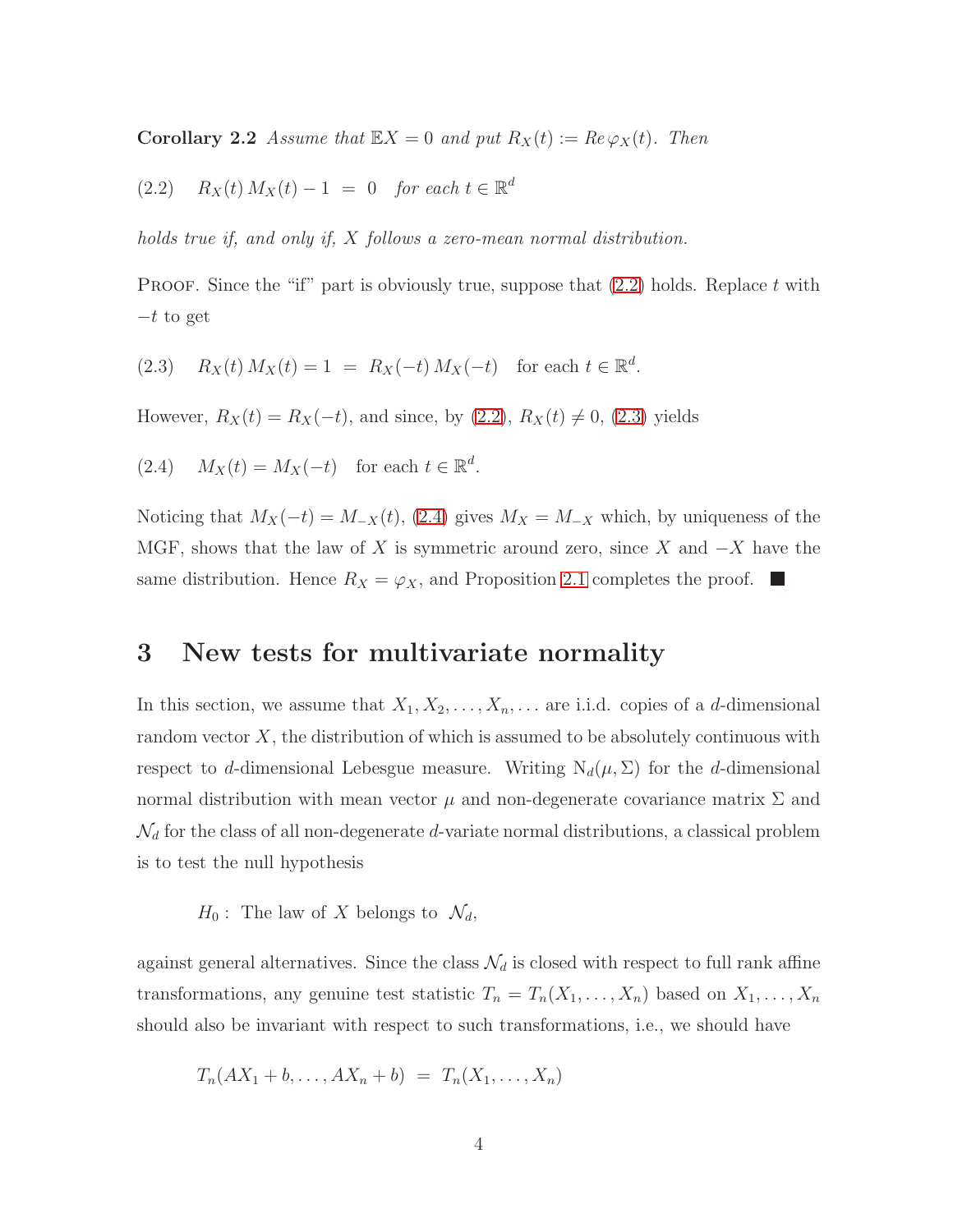<span id="page-3-1"></span>**Corollary 2.2** Assume that  $\mathbb{E}X = 0$  and put  $R_X(t) := Re \varphi_X(t)$ . Then

(2.2) 
$$
R_X(t) M_X(t) - 1 = 0
$$
 for each  $t \in \mathbb{R}^d$ 

holds true if, and only if, X follows a zero-mean normal distribution.

<span id="page-3-2"></span>**PROOF.** Since the "if" part is obviously true, suppose that  $(2.2)$  holds. Replace t with  $-t$  to get

<span id="page-3-3"></span>(2.3) 
$$
R_X(t) M_X(t) = 1 = R_X(-t) M_X(-t)
$$
 for each  $t \in \mathbb{R}^d$ .

However,  $R_X(t) = R_X(-t)$ , and since, by [\(2.2\)](#page-3-1),  $R_X(t) \neq 0$ , [\(2.3\)](#page-3-2) yields

(2.4) 
$$
M_X(t) = M_X(-t)
$$
 for each  $t \in \mathbb{R}^d$ .

Noticing that  $M_X(-t) = M_{-X}(t)$ , [\(2.4\)](#page-3-3) gives  $M_X = M_{-X}$  which, by uniqueness of the MGF, shows that the law of X is symmetric around zero, since X and  $-X$  have the same distribution. Hence  $R_X = \varphi_X$ , and Proposition [2.1](#page-2-2) completes the proof.  $\blacksquare$ 

# <span id="page-3-0"></span>3 New tests for multivariate normality

In this section, we assume that  $X_1, X_2, \ldots, X_n, \ldots$  are i.i.d. copies of a d-dimensional random vector  $X$ , the distribution of which is assumed to be absolutely continuous with respect to d-dimensional Lebesgue measure. Writing  $N_d(\mu, \Sigma)$  for the d-dimensional normal distribution with mean vector  $\mu$  and non-degenerate covariance matrix  $\Sigma$  and  $\mathcal{N}_d$  for the class of all non-degenerate d-variate normal distributions, a classical problem is to test the null hypothesis

 $H_0$ : The law of X belongs to  $\mathcal{N}_d$ ,

against general alternatives. Since the class  $\mathcal{N}_d$  is closed with respect to full rank affine transformations, any genuine test statistic  $T_n = T_n(X_1, ..., X_n)$  based on  $X_1, ..., X_n$ should also be invariant with respect to such transformations, i.e., we should have

$$
T_n(AX_1 + b, \ldots, AX_n + b) = T_n(X_1, \ldots, X_n)
$$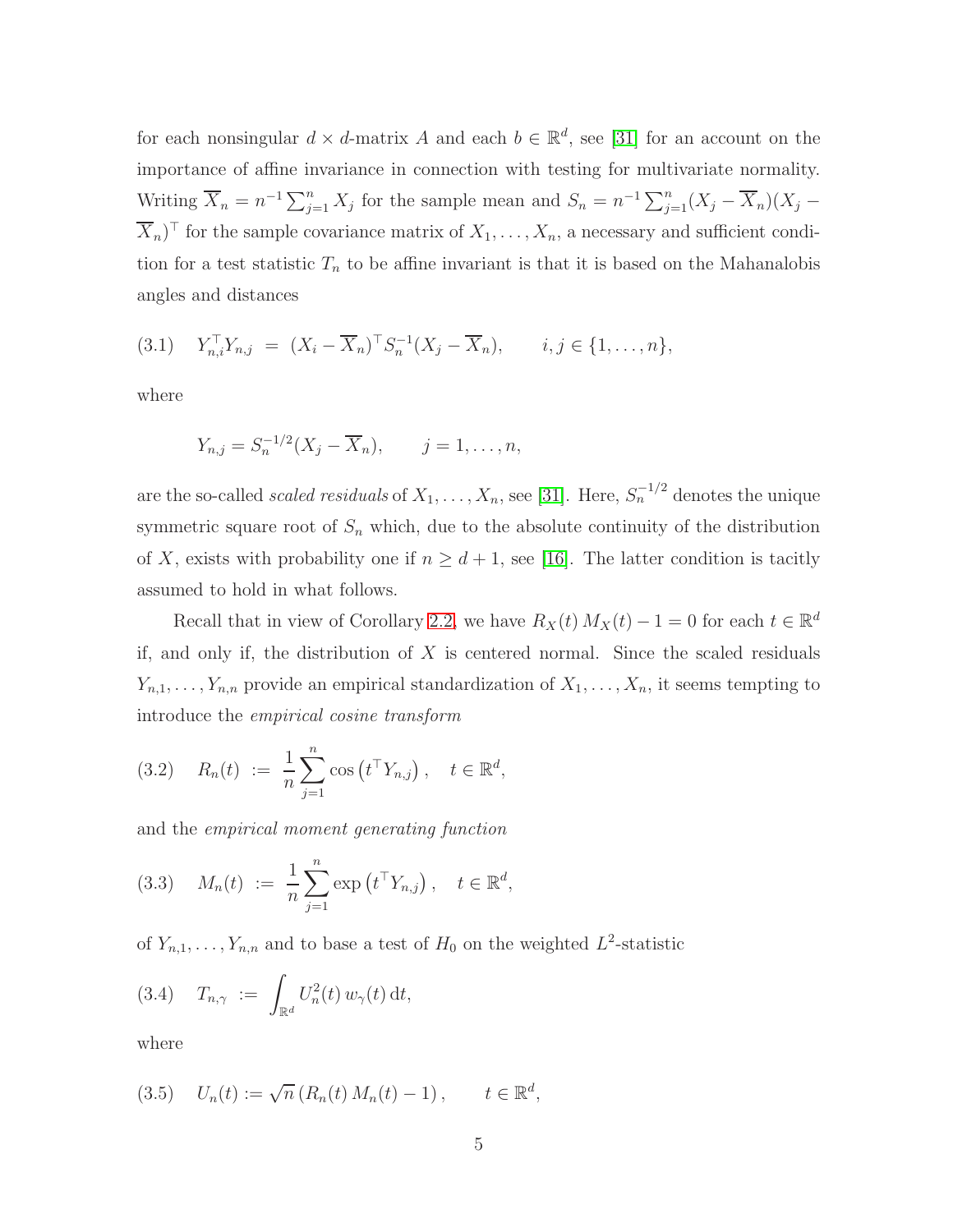for each nonsingular  $d \times d$ -matrix A and each  $b \in \mathbb{R}^d$ , see [\[31\]](#page-35-0) for an account on the importance of affine invariance in connection with testing for multivariate normality. Writing  $\overline{X}_n = n^{-1} \sum_{j=1}^n X_j$  for the sample mean and  $S_n = n^{-1} \sum_{j=1}^n (X_j - \overline{X}_n)(X_j - \overline{X}_n)$  $X_n$ <sup> $\top$ </sup> for the sample covariance matrix of  $X_1, \ldots, X_n$ , a necessary and sufficient condition for a test statistic  $T_n$  to be affine invariant is that it is based on the Mahanalobis angles and distances

<span id="page-4-1"></span>
$$
(3.1) \t Y_{n,i}^{\top} Y_{n,j} = (X_i - \overline{X}_n)^{\top} S_n^{-1} (X_j - \overline{X}_n), \t i, j \in \{1, ..., n\},
$$

where

$$
Y_{n,j} = S_n^{-1/2}(X_j - \overline{X}_n), \qquad j = 1, \ldots, n,
$$

are the so-called *scaled residuals* of  $X_1, \ldots, X_n$ , see [\[31\]](#page-35-0). Here,  $S_n^{-1/2}$  denotes the unique symmetric square root of  $S_n$  which, due to the absolute continuity of the distribution of X, exists with probability one if  $n \geq d+1$ , see [\[16\]](#page-34-0). The latter condition is tacitly assumed to hold in what follows.

Recall that in view of Corollary [2.2,](#page-2-3) we have  $R_X(t) M_X(t) - 1 = 0$  for each  $t \in \mathbb{R}^d$ if, and only if, the distribution of  $X$  is centered normal. Since the scaled residuals  $Y_{n,1}, \ldots, Y_{n,n}$  provide an empirical standardization of  $X_1, \ldots, X_n$ , it seems tempting to introduce the empirical cosine transform

<span id="page-4-3"></span>(3.2) 
$$
R_n(t) := \frac{1}{n} \sum_{j=1}^n \cos(t^{\top} Y_{n,j}), \quad t \in \mathbb{R}^d
$$
,

<span id="page-4-4"></span>and the empirical moment generating function

(3.3) 
$$
M_n(t) := \frac{1}{n} \sum_{j=1}^n \exp(t^{\top} Y_{n,j}), \quad t \in \mathbb{R}^d
$$
,

<span id="page-4-0"></span>of  $Y_{n,1}, \ldots, Y_{n,n}$  and to base a test of  $H_0$  on the weighted  $L^2$ -statistic

$$
(3.4) \quad T_{n,\gamma} := \int_{\mathbb{R}^d} U_n^2(t) w_{\gamma}(t) dt,
$$

<span id="page-4-2"></span>where

$$
(3.5) \t U_n(t) := \sqrt{n} (R_n(t) M_n(t) - 1), \t t \in \mathbb{R}^d,
$$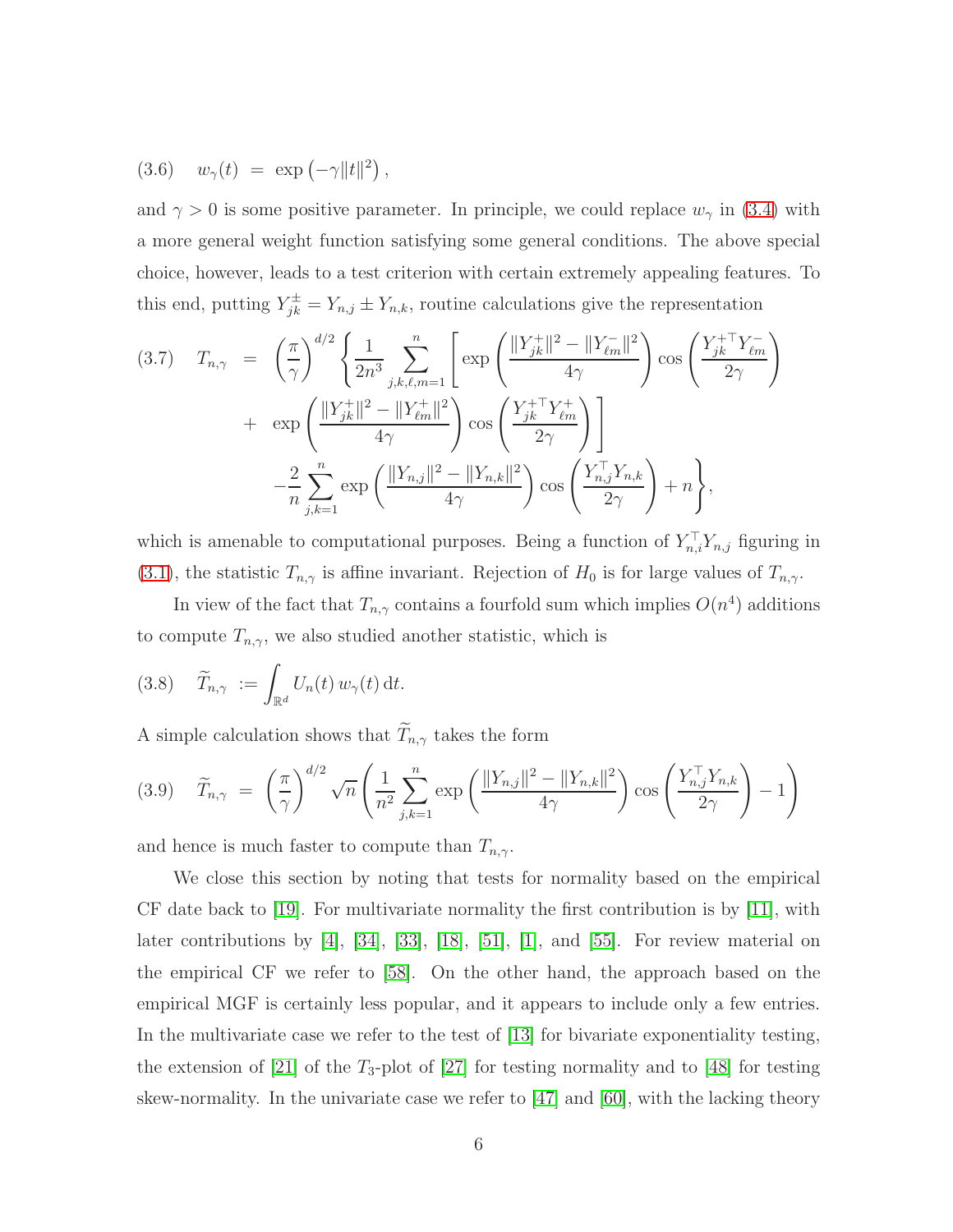<span id="page-5-2"></span>
$$
(3.6) \quad w_{\gamma}(t) \; = \; \exp\left(-\gamma \|t\|^2\right),
$$

and  $\gamma > 0$  is some positive parameter. In principle, we could replace  $w_{\gamma}$  in [\(3.4\)](#page-4-0) with a more general weight function satisfying some general conditions. The above special choice, however, leads to a test criterion with certain extremely appealing features. To this end, putting  $Y_{jk}^{\pm} = Y_{n,j} \pm Y_{n,k}$ , routine calculations give the representation

<span id="page-5-0"></span>
$$
(3.7) \t T_{n,\gamma} = \left(\frac{\pi}{\gamma}\right)^{d/2} \left\{ \frac{1}{2n^3} \sum_{j,k,\ell,m=1}^n \left[ \exp\left(\frac{\|Y_{jk}^+\|^2 - \|Y_{\ell m}^-\|^2}{4\gamma}\right) \cos\left(\frac{Y_{jk}^+ Y_{\ell m}^-}{2\gamma}\right) \right. \\ \left. + \exp\left(\frac{\|Y_{jk}^+\|^2 - \|Y_{\ell m}^+\|^2}{4\gamma}\right) \cos\left(\frac{Y_{jk}^+ Y_{\ell m}^+}{2\gamma}\right) \right] \\ \left. - \frac{2}{n} \sum_{j,k=1}^n \exp\left(\frac{\|Y_{n,j}\|^2 - \|Y_{n,k}\|^2}{4\gamma}\right) \cos\left(\frac{Y_{n,j}^+ Y_{n,k}^-}{2\gamma}\right) + n \right\},
$$

which is amenable to computational purposes. Being a function of  $Y_{n,i}^{\dagger}Y_{n,j}$  figuring in [\(3.1\)](#page-4-1), the statistic  $T_{n,\gamma}$  is affine invariant. Rejection of  $H_0$  is for large values of  $T_{n,\gamma}$ .

<span id="page-5-3"></span>In view of the fact that  $T_{n,\gamma}$  contains a fourfold sum which implies  $O(n^4)$  additions to compute  $T_{n,\gamma}$ , we also studied another statistic, which is

(3.8) 
$$
\widetilde{T}_{n,\gamma} := \int_{\mathbb{R}^d} U_n(t) w_{\gamma}(t) dt.
$$

<span id="page-5-1"></span>A simple calculation shows that  $\widetilde{T}_{n,\gamma}$  takes the form

$$
(3.9) \quad \widetilde{T}_{n,\gamma} = \left(\frac{\pi}{\gamma}\right)^{d/2} \sqrt{n} \left(\frac{1}{n^2} \sum_{j,k=1}^n \exp\left(\frac{\|Y_{n,j}\|^2 - \|Y_{n,k}\|^2}{4\gamma}\right) \cos\left(\frac{Y_{n,j}^\top Y_{n,k}}{2\gamma}\right) - 1\right)
$$

and hence is much faster to compute than  $T_{n,\gamma}$ .

We close this section by noting that tests for normality based on the empirical CF date back to  $[19]$ . For multivariate normality the first contribution is by  $[11]$ , with later contributions by [\[4\]](#page-34-2), [\[34\]](#page-36-1), [\[33\]](#page-35-2), [\[18\]](#page-35-3), [\[51\]](#page-37-2), [\[1\]](#page-33-0), and [\[55\]](#page-37-3). For review material on the empirical CF we refer to [\[58\]](#page-37-4). On the other hand, the approach based on the empirical MGF is certainly less popular, and it appears to include only a few entries. In the multivariate case we refer to the test of [\[13\]](#page-34-3) for bivariate exponentiality testing, the extension of [\[21\]](#page-35-4) of the  $T_3$ -plot of [\[27\]](#page-35-5) for testing normality and to [\[48\]](#page-36-2) for testing skew-normality. In the univariate case we refer to  $[47]$  and  $[60]$ , with the lacking theory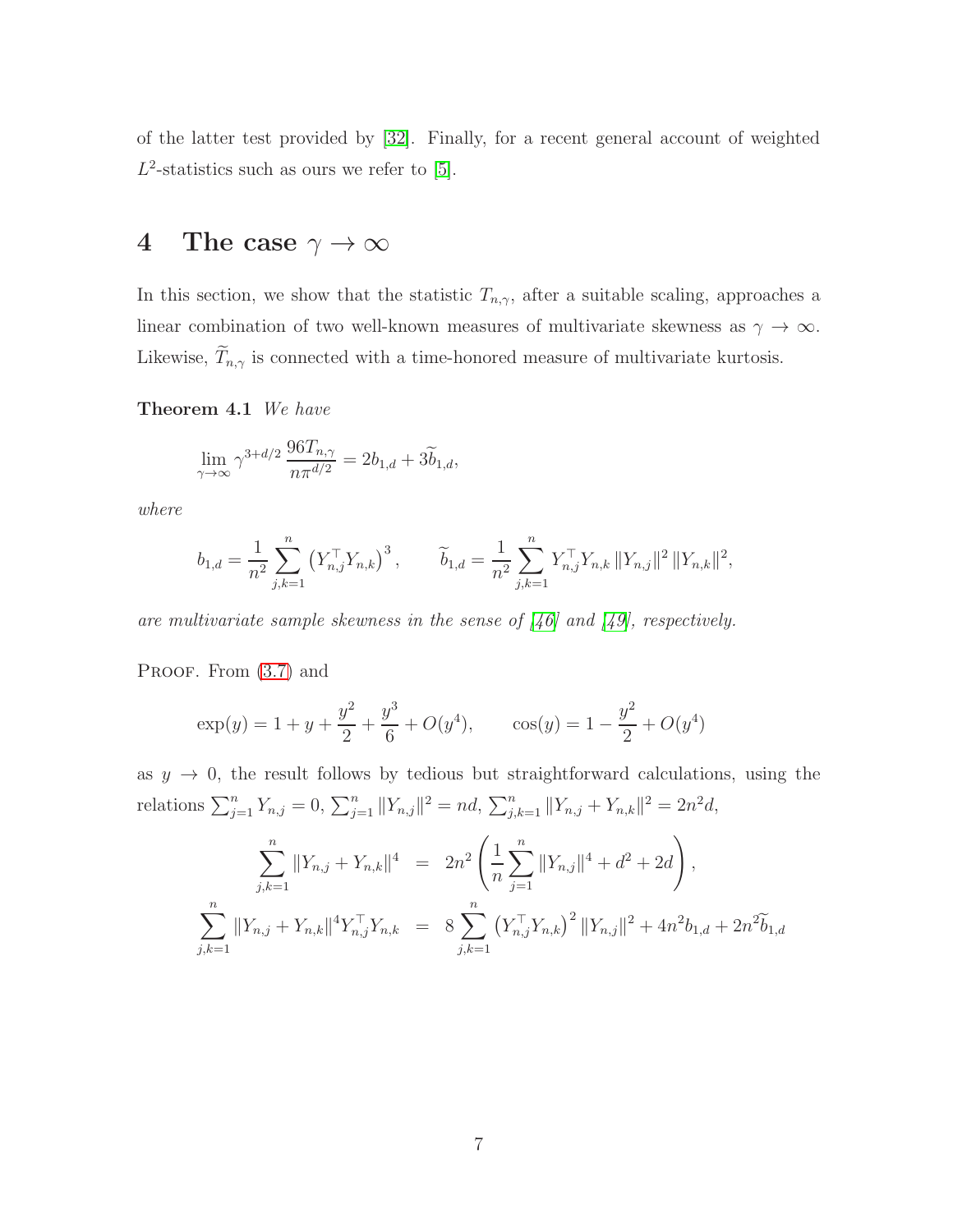<span id="page-6-0"></span>of the latter test provided by [\[32\]](#page-35-6). Finally, for a recent general account of weighted  $L^2$ -statistics such as ours we refer to [\[5\]](#page-34-4).

# 4 The case  $\gamma \to \infty$

<span id="page-6-1"></span>In this section, we show that the statistic  $T_{n,\gamma}$ , after a suitable scaling, approaches a linear combination of two well-known measures of multivariate skewness as  $\gamma \to \infty$ . Likewise,  $\widetilde{T}_{n,\gamma}$  is connected with a time-honored measure of multivariate kurtosis.

Theorem 4.1 We have

$$
\lim_{\gamma \to \infty} \gamma^{3+d/2} \frac{96T_{n,\gamma}}{n\pi^{d/2}} = 2b_{1,d} + 3\widetilde{b}_{1,d},
$$

where

$$
b_{1,d} = \frac{1}{n^2} \sum_{j,k=1}^n (Y_{n,j}^\top Y_{n,k})^3, \qquad \widetilde{b}_{1,d} = \frac{1}{n^2} \sum_{j,k=1}^n Y_{n,j}^\top Y_{n,k} ||Y_{n,j}||^2 ||Y_{n,k}||^2,
$$

are multivariate sample skewness in the sense of [\[46\]](#page-36-4) and [\[49\]](#page-36-5), respectively.

PROOF. From  $(3.7)$  and

$$
\exp(y) = 1 + y + \frac{y^2}{2} + \frac{y^3}{6} + O(y^4), \qquad \cos(y) = 1 - \frac{y^2}{2} + O(y^4)
$$

as  $y \rightarrow 0$ , the result follows by tedious but straightforward calculations, using the relations  $\sum_{j=1}^{n} Y_{n,j} = 0$ ,  $\sum_{j=1}^{n} ||Y_{n,j}||^2 = nd$ ,  $\sum_{j,k=1}^{n} ||Y_{n,j} + Y_{n,k}||^2 = 2n^2d$ ,

$$
\sum_{j,k=1}^{n} ||Y_{n,j} + Y_{n,k}||^{4} = 2n^{2} \left( \frac{1}{n} \sum_{j=1}^{n} ||Y_{n,j}||^{4} + d^{2} + 2d \right),
$$
  

$$
\sum_{j,k=1}^{n} ||Y_{n,j} + Y_{n,k}||^{4} Y_{n,j}^{\top} Y_{n,k} = 8 \sum_{j,k=1}^{n} (Y_{n,j}^{\top} Y_{n,k})^{2} ||Y_{n,j}||^{2} + 4n^{2} b_{1,d} + 2n^{2} \widetilde{b}_{1,d}
$$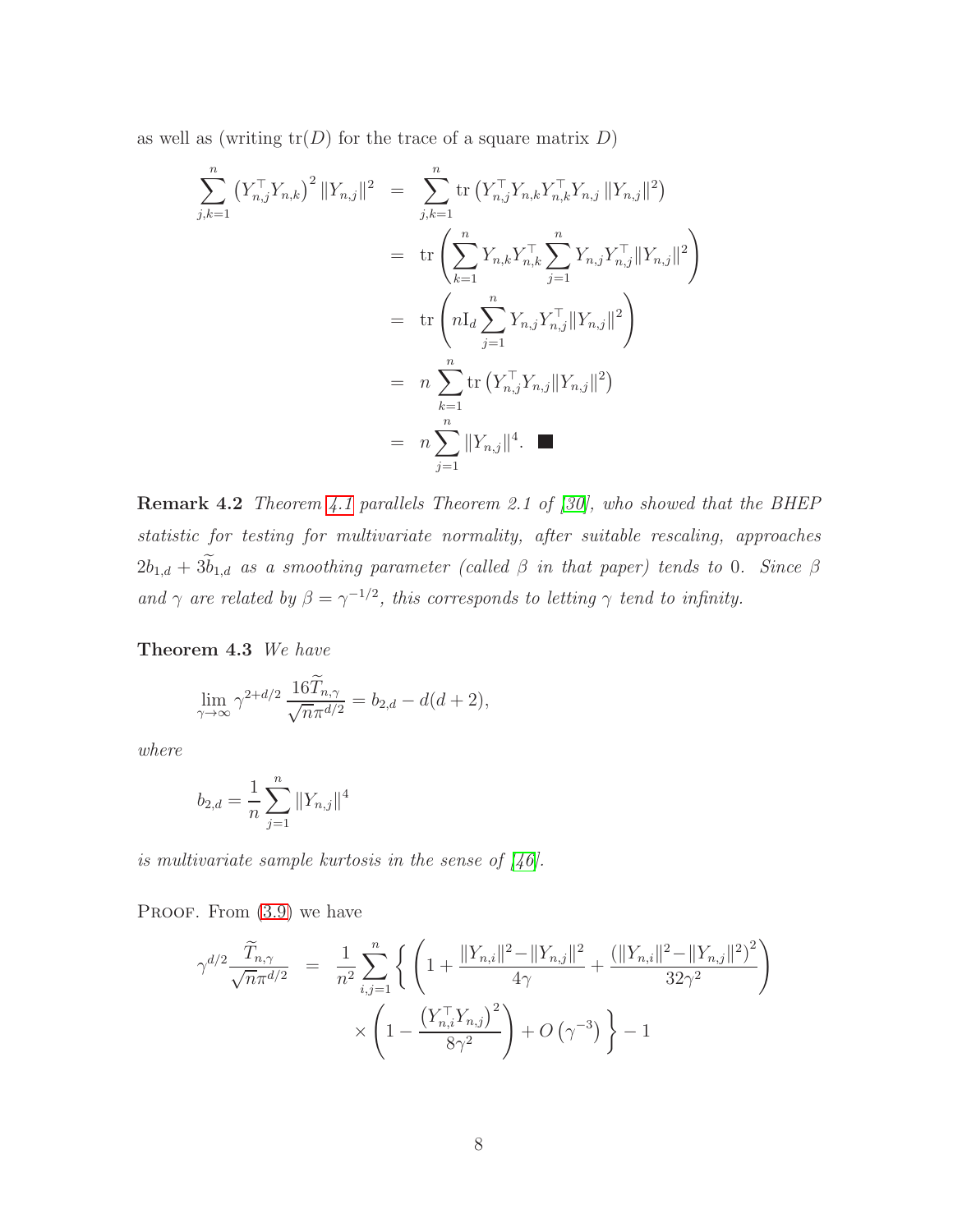as well as (writing  $tr(D)$  for the trace of a square matrix D)

$$
\sum_{j,k=1}^{n} (Y_{n,j}^{\top} Y_{n,k})^{2} ||Y_{n,j}||^{2} = \sum_{j,k=1}^{n} \text{tr} (Y_{n,j}^{\top} Y_{n,k} Y_{n,k}^{\top} Y_{n,j} || Y_{n,j} ||^{2})
$$
  
\n
$$
= \text{tr} \left( \sum_{k=1}^{n} Y_{n,k} Y_{n,k}^{\top} \sum_{j=1}^{n} Y_{n,j} Y_{n,j}^{\top} || Y_{n,j} ||^{2} \right)
$$
  
\n
$$
= \text{tr} \left( n I_{d} \sum_{j=1}^{n} Y_{n,j} Y_{n,j}^{\top} || Y_{n,j} ||^{2} \right)
$$
  
\n
$$
= n \sum_{k=1}^{n} \text{tr} (Y_{n,j}^{\top} Y_{n,j} || Y_{n,j} ||^{2})
$$
  
\n
$$
= n \sum_{j=1}^{n} || Y_{n,j} ||^{4}.
$$

<span id="page-7-1"></span>Remark 4.2 Theorem [4.1](#page-6-1) parallels Theorem 2.1 of [\[30\]](#page-35-7), who showed that the BHEP statistic for testing for multivariate normality, after suitable rescaling, approaches  $2b_{1,d} + 3\tilde{b}_{1,d}$  as a smoothing parameter (called  $\beta$  in that paper) tends to 0. Since  $\beta$ and  $\gamma$  are related by  $\beta = \gamma^{-1/2}$ , this corresponds to letting  $\gamma$  tend to infinity.

<span id="page-7-0"></span>Theorem 4.3 We have

$$
\lim_{\gamma \to \infty} \gamma^{2+d/2} \frac{16\widetilde{T}_{n,\gamma}}{\sqrt{n}\pi^{d/2}} = b_{2,d} - d(d+2),
$$

where

$$
b_{2,d} = \frac{1}{n} \sum_{j=1}^{n} ||Y_{n,j}||^4
$$

is multivariate sample kurtosis in the sense of [\[46\]](#page-36-4).

PROOF. From  $(3.9)$  we have

$$
\gamma^{d/2} \frac{\widetilde{T}_{n,\gamma}}{\sqrt{n} \pi^{d/2}} = \frac{1}{n^2} \sum_{i,j=1}^n \left\{ \left( 1 + \frac{\|Y_{n,i}\|^2 - \|Y_{n,j}\|^2}{4\gamma} + \frac{(\|Y_{n,i}\|^2 - \|Y_{n,j}\|^2)^2}{32\gamma^2} \right) \times \left( 1 - \frac{\left(Y_{n,i}^\top Y_{n,j}\right)^2}{8\gamma^2} \right) + O\left(\gamma^{-3}\right) \right\} - 1
$$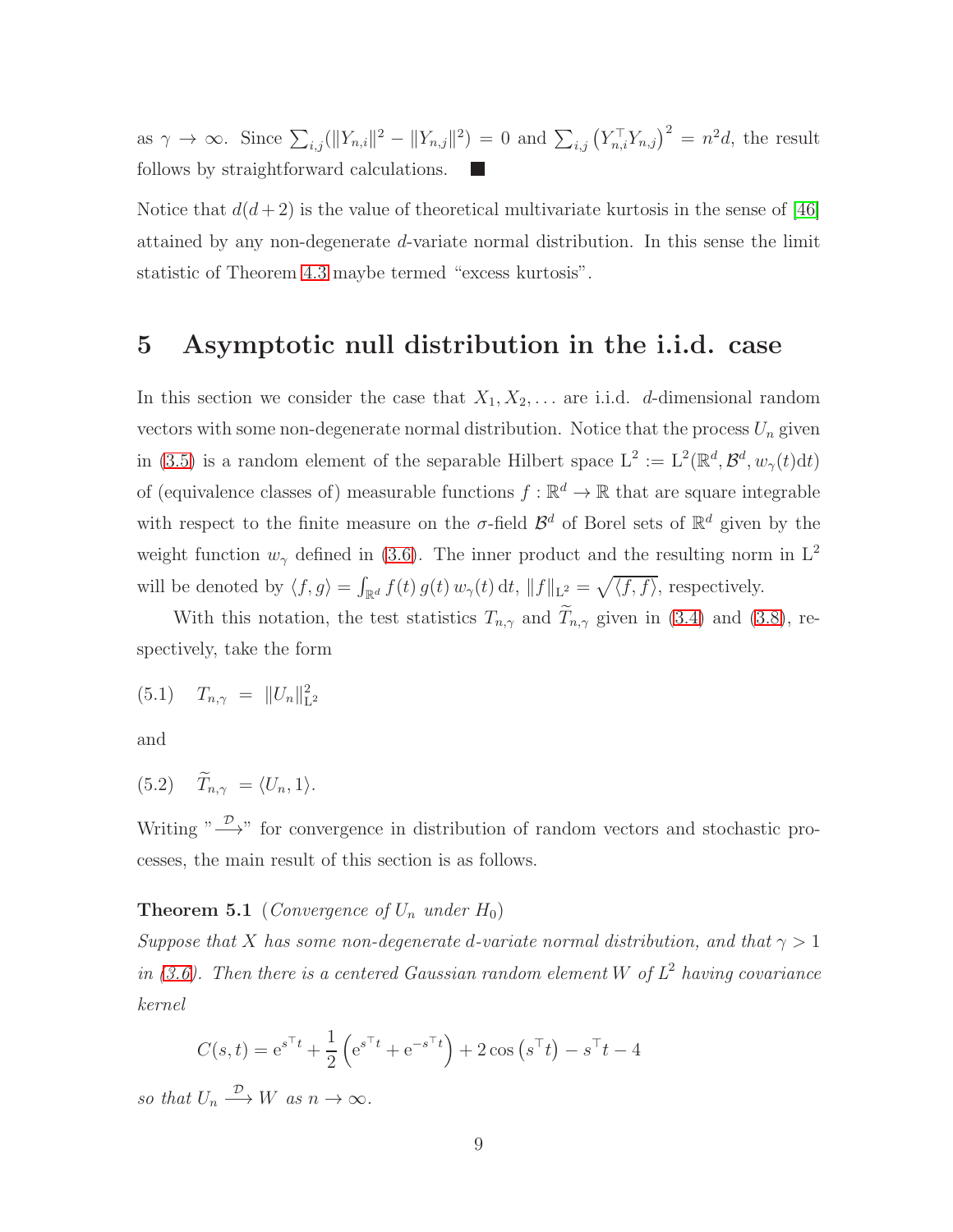as  $\gamma \to \infty$ . Since  $\sum_{i,j} (||Y_{n,i}||^2 - ||Y_{n,j}||^2) = 0$  and  $\sum_{i,j} (Y_{n,i}^{\top} Y_{n,j})^2 = n^2 d$ , the result follows by straightforward calculations.

Notice that  $d(d+2)$  is the value of theoretical multivariate kurtosis in the sense of [\[46\]](#page-36-4) attained by any non-degenerate d-variate normal distribution. In this sense the limit statistic of Theorem [4.3](#page-7-0) maybe termed "excess kurtosis".

# <span id="page-8-0"></span>5 Asymptotic null distribution in the i.i.d. case

In this section we consider the case that  $X_1, X_2, \ldots$  are i.i.d. d-dimensional random vectors with some non-degenerate normal distribution. Notice that the process  $U_n$  given in [\(3.5\)](#page-4-2) is a random element of the separable Hilbert space  $L^2 := L^2(\mathbb{R}^d, \mathcal{B}^d, w_\gamma(t)dt)$ of (equivalence classes of) measurable functions  $f : \mathbb{R}^d \to \mathbb{R}$  that are square integrable with respect to the finite measure on the  $\sigma$ -field  $\mathcal{B}^d$  of Borel sets of  $\mathbb{R}^d$  given by the weight function  $w_{\gamma}$  defined in [\(3.6\)](#page-5-2). The inner product and the resulting norm in L<sup>2</sup> will be denoted by  $\langle f, g \rangle = \int_{\mathbb{R}^d} f(t) g(t) w_{\gamma}(t) dt$ ,  $||f||_{\mathcal{L}^2} = \sqrt{\langle f, f \rangle}$ , respectively.

<span id="page-8-1"></span>With this notation, the test statistics  $T_{n,\gamma}$  and  $\widetilde{T}_{n,\gamma}$  given in [\(3.4\)](#page-4-0) and [\(3.8\)](#page-5-3), respectively, take the form

 $(5.1)$   $T_{n,\gamma} = ||U_n||_{\mathcal{L}}^2$  $L^2$ 

<span id="page-8-2"></span>and

$$
(5.2) \quad \widetilde{T}_{n,\gamma} = \langle U_n, 1 \rangle.
$$

<span id="page-8-3"></span>Writing  $\sqrt[n]{\longrightarrow}$ " for convergence in distribution of random vectors and stochastic processes, the main result of this section is as follows.

#### **Theorem 5.1** (Convergence of  $U_n$  under  $H_0$ )

Suppose that X has some non-degenerate d-variate normal distribution, and that  $\gamma > 1$ in [\(3.6\)](#page-5-2). Then there is a centered Gaussian random element W of  $L^2$  having covariance kernel

$$
C(s,t) = e^{s^{\top}t} + \frac{1}{2} \left( e^{s^{\top}t} + e^{-s^{\top}t} \right) + 2 \cos \left( s^{\top}t \right) - s^{\top}t - 4
$$
  
so that  $U_n \xrightarrow{\mathcal{D}} W$  as  $n \to \infty$ .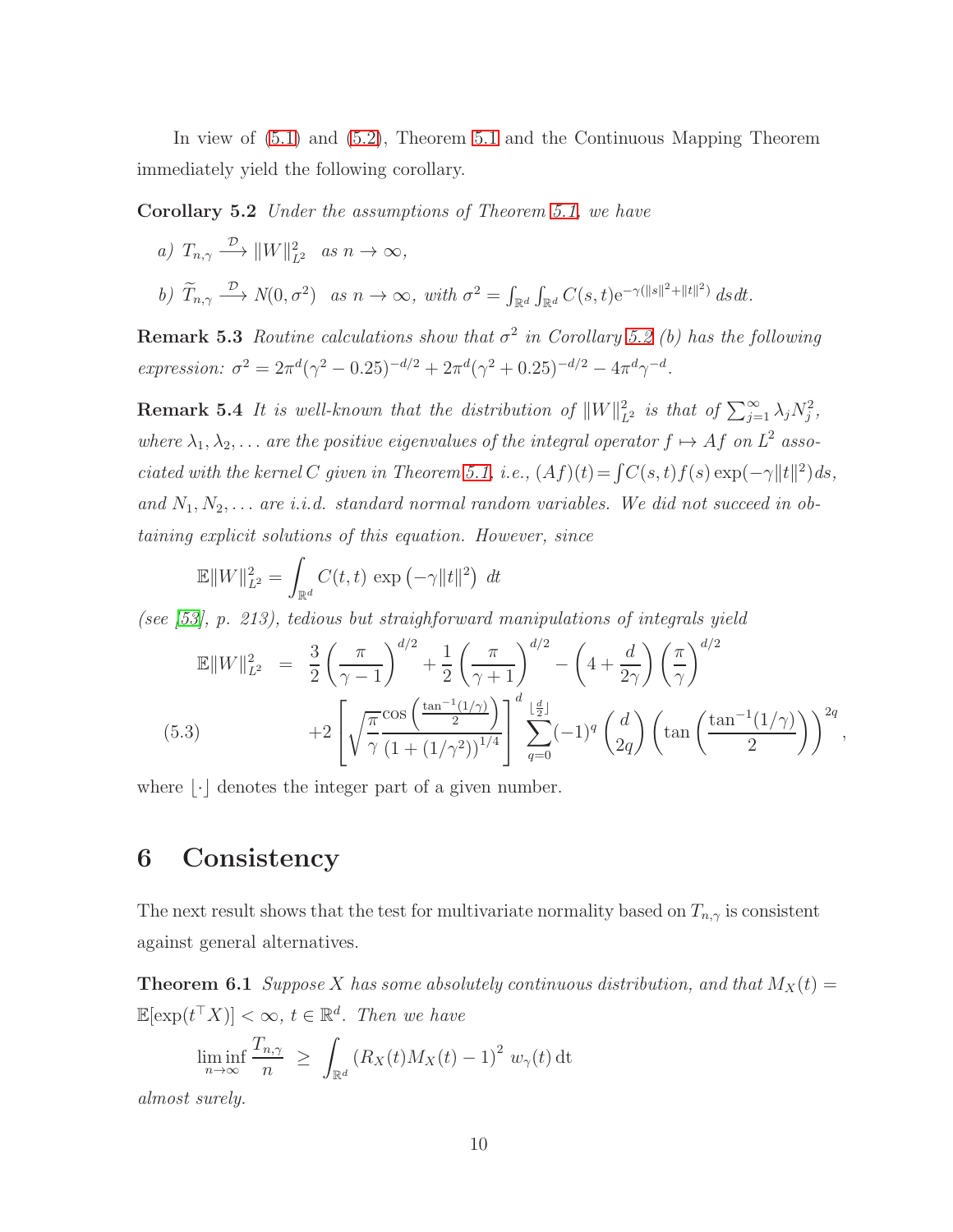<span id="page-9-1"></span>In view of [\(5.1\)](#page-8-1) and [\(5.2\)](#page-8-2), Theorem [5.1](#page-8-3) and the Continuous Mapping Theorem immediately yield the following corollary.

Corollary 5.2 Under the assumptions of Theorem [5.1,](#page-8-3) we have

a) 
$$
T_{n,\gamma} \xrightarrow{\mathcal{D}} ||W||_{L^2}^2
$$
 as  $n \to \infty$ ,  
b)  $\widetilde{T}_{n,\gamma} \xrightarrow{\mathcal{D}} N(0,\sigma^2)$  as  $n \to \infty$ , with  $\sigma^2 = \int_{\mathbb{R}^d} \int_{\mathbb{R}^d} C(s,t) e^{-\gamma(||s||^2 + ||t||^2)} ds dt$ .

**Remark 5.3** Routine calculations show that  $\sigma^2$  in Corollary [5.2](#page-9-1) (b) has the following expression:  $\sigma^2 = 2\pi^d(\gamma^2 - 0.25)^{-d/2} + 2\pi^d(\gamma^2 + 0.25)^{-d/2} - 4\pi^d\gamma^{-d}$ .

**Remark 5.4** It is well-known that the distribution of  $||W||_{L^2}^2$  is that of  $\sum_{j=1}^{\infty} \lambda_j N_j^2$ , where  $\lambda_1, \lambda_2, \ldots$  are the positive eigenvalues of the integral operator  $f \mapsto Af$  on  $L^2$  asso-ciated with the kernel C given in Theorem [5.1,](#page-8-3) i.e.,  $(Af)(t) = \int C(s, t) f(s) \exp(-\gamma ||t||^2) ds$ , and  $N_1, N_2, \ldots$  are i.i.d. standard normal random variables. We did not succeed in obtaining explicit solutions of this equation. However, since

$$
\mathbb{E}||W||_{L^2}^2 = \int_{\mathbb{R}^d} C(t, t) \exp(-\gamma ||t||^2) dt
$$

(see [\[53\]](#page-37-6), p. 213), tedious but straighforward manipulations of integrals yield

<span id="page-9-3"></span>
$$
\mathbb{E}||W||_{L^{2}}^{2} = \frac{3}{2} \left(\frac{\pi}{\gamma - 1}\right)^{d/2} + \frac{1}{2} \left(\frac{\pi}{\gamma + 1}\right)^{d/2} - \left(4 + \frac{d}{2\gamma}\right) \left(\frac{\pi}{\gamma}\right)^{d/2} + 2 \left[\sqrt{\frac{\pi}{\gamma}} \frac{\cos\left(\frac{\tan^{-1}(1/\gamma)}{2}\right)}{(1 + (1/\gamma^{2}))^{1/4}}\right] \sum_{q=0}^{d} (-1)^{q} \left(\frac{d}{2q}\right) \left(\tan\left(\frac{\tan^{-1}(1/\gamma)}{2}\right)\right)^{2q},
$$
\n(5.3)

<span id="page-9-0"></span>where  $|\cdot|$  denotes the integer part of a given number.

# 6 Consistency

<span id="page-9-2"></span>The next result shows that the test for multivariate normality based on  $T_{n,\gamma}$  is consistent against general alternatives.

**Theorem 6.1** Suppose X has some absolutely continuous distribution, and that  $M_X(t) =$  $\mathbb{E}[\exp(t^{\top} X)] < \infty$ ,  $t \in \mathbb{R}^d$ . Then we have

$$
\liminf_{n \to \infty} \frac{T_{n,\gamma}}{n} \ge \int_{\mathbb{R}^d} \left( R_X(t) M_X(t) - 1 \right)^2 w_{\gamma}(t) dt
$$

almost surely.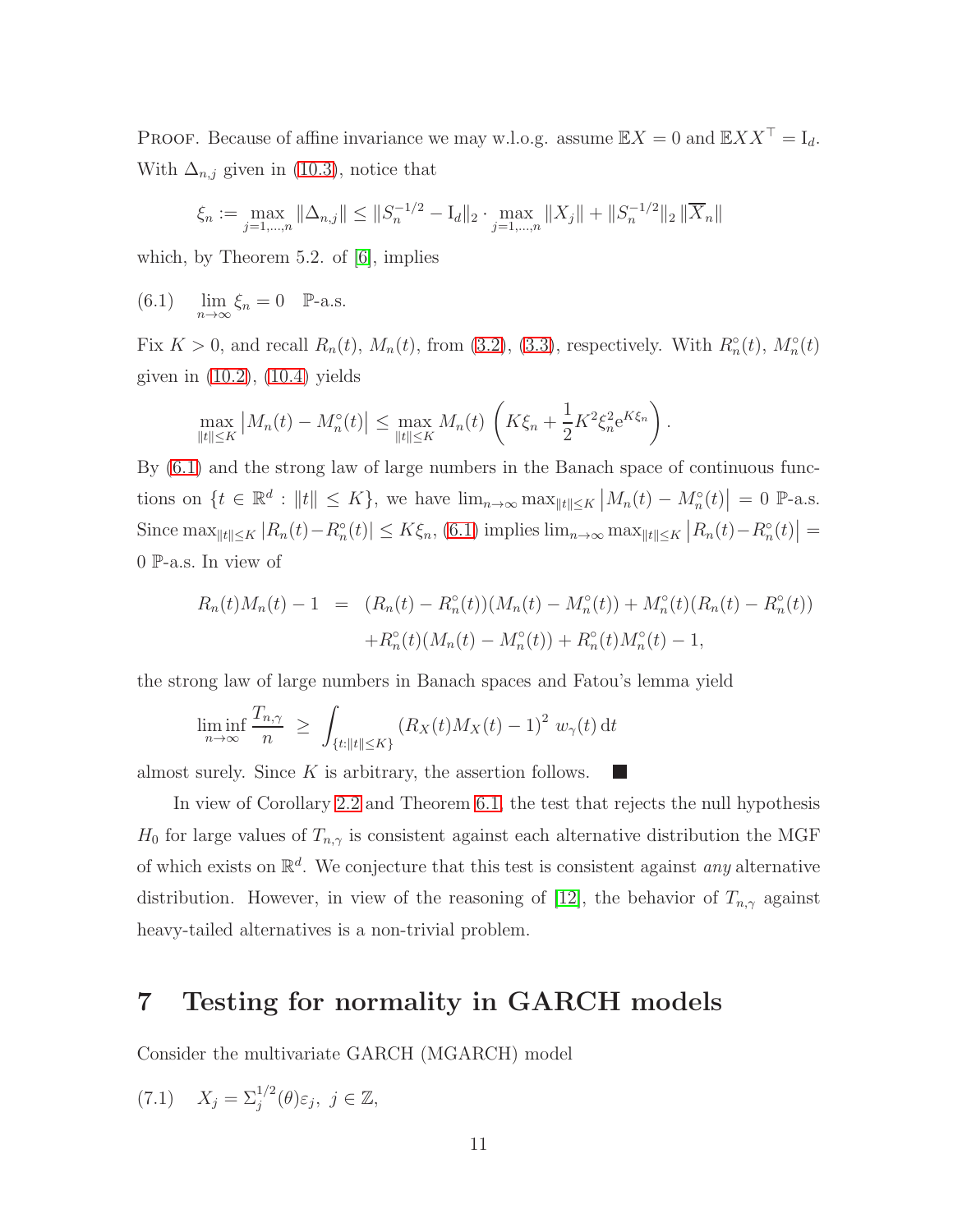PROOF. Because of affine invariance we may w.l.o.g. assume  $\mathbb{E}X = 0$  and  $\mathbb{E}XX^{\top} = I_d$ . With  $\Delta_{n,j}$  given in [\(10.3\)](#page-22-0), notice that

<span id="page-10-1"></span>
$$
\xi_n := \max_{j=1,\dots,n} \|\Delta_{n,j}\| \le \|S_n^{-1/2} - I_d\|_2 \cdot \max_{j=1,\dots,n} \|X_j\| + \|S_n^{-1/2}\|_2 \|\overline{X}_n\|
$$

which, by Theorem 5.2. of [\[6\]](#page-34-5), implies

(6.1)  $\lim_{n \to \infty} \xi_n = 0$  P-a.s.

Fix  $K > 0$ , and recall  $R_n(t)$ ,  $M_n(t)$ , from [\(3.2\)](#page-4-3), [\(3.3\)](#page-4-4), respectively. With  $R_n^{\circ}(t)$ ,  $M_n^{\circ}(t)$ given in [\(10.2\)](#page-22-1), [\(10.4\)](#page-22-2) yields

$$
\max_{\|t\| \le K} |M_n(t) - M_n^{\circ}(t)| \le \max_{\|t\| \le K} M_n(t) \left( K \xi_n + \frac{1}{2} K^2 \xi_n^2 e^{K \xi_n} \right).
$$

By [\(6.1\)](#page-10-1) and the strong law of large numbers in the Banach space of continuous functions on  $\{t \in \mathbb{R}^d : ||t|| \leq K\}$ , we have  $\lim_{n \to \infty} \max_{||t|| \leq K} |M_n(t) - M_n^{\circ}(t)| = 0$  P-a.s. Since  $\max_{\|t\| \le K} |R_n(t) - R_n^{\circ}(t)| \le K\xi_n$ , [\(6.1\)](#page-10-1) implies  $\lim_{n \to \infty} \max_{\|t\| \le K} |R_n(t) - R_n^{\circ}(t)| =$ 0 P-a.s. In view of

$$
R_n(t)M_n(t) - 1 = (R_n(t) - R_n^{\circ}(t))(M_n(t) - M_n^{\circ}(t)) + M_n^{\circ}(t)(R_n(t) - R_n^{\circ}(t))
$$
  
+
$$
R_n^{\circ}(t)(M_n(t) - M_n^{\circ}(t)) + R_n^{\circ}(t)M_n^{\circ}(t) - 1,
$$

the strong law of large numbers in Banach spaces and Fatou's lemma yield

$$
\liminf_{n \to \infty} \frac{T_{n,\gamma}}{n} \ge \int_{\{t: \|t\| \le K\}} (R_X(t) M_X(t) - 1)^2 w_{\gamma}(t) dt
$$

almost surely. Since  $K$  is arbitrary, the assertion follows.

In view of Corollary [2.2](#page-2-3) and Theorem [6.1,](#page-9-2) the test that rejects the null hypothesis  $H_0$  for large values of  $T_{n,\gamma}$  is consistent against each alternative distribution the MGF of which exists on  $\mathbb{R}^d$ . We conjecture that this test is consistent against *any* alternative distribution. However, in view of the reasoning of [\[12\]](#page-34-6), the behavior of  $T_{n,\gamma}$  against heavy-tailed alternatives is a non-trivial problem.

# <span id="page-10-0"></span>7 Testing for normality in GARCH models

<span id="page-10-2"></span>Consider the multivariate GARCH (MGARCH) model

$$
(7.1) \quad X_j = \Sigma_j^{1/2}(\theta)\varepsilon_j, \ j \in \mathbb{Z},
$$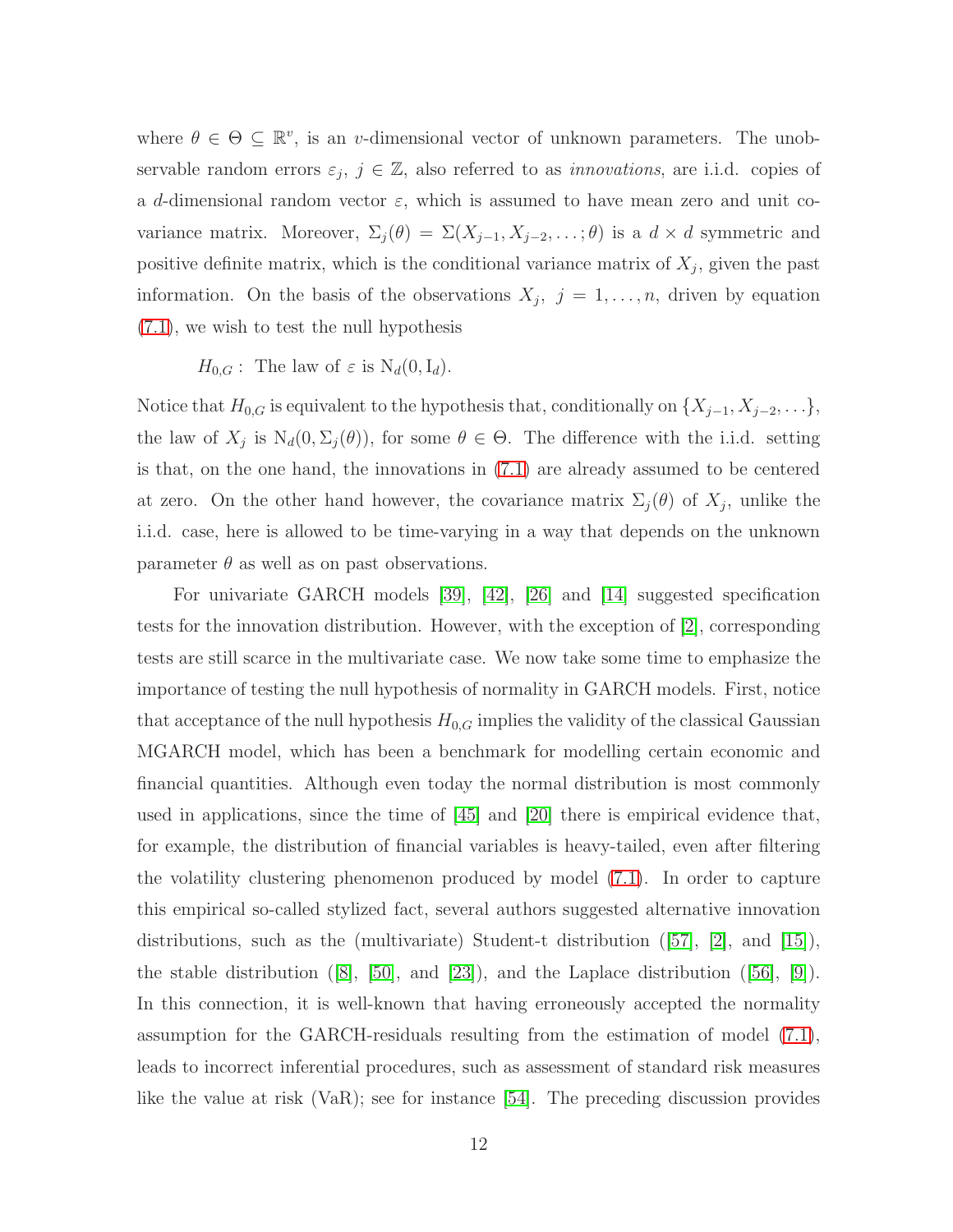where  $\theta \in \Theta \subseteq \mathbb{R}^v$ , is an v-dimensional vector of unknown parameters. The unobservable random errors  $\varepsilon_j$ ,  $j \in \mathbb{Z}$ , also referred to as *innovations*, are i.i.d. copies of a d-dimensional random vector  $\varepsilon$ , which is assumed to have mean zero and unit covariance matrix. Moreover,  $\Sigma_j(\theta) = \Sigma(X_{j-1}, X_{j-2}, \ldots; \theta)$  is a  $d \times d$  symmetric and positive definite matrix, which is the conditional variance matrix of  $X_j$ , given the past information. On the basis of the observations  $X_j$ ,  $j = 1, \ldots, n$ , driven by equation [\(7.1\)](#page-10-2), we wish to test the null hypothesis

#### $H_{0,G}$ : The law of  $\varepsilon$  is  $N_d(0, I_d)$ .

Notice that  $H_{0,G}$  is equivalent to the hypothesis that, conditionally on  $\{X_{j-1}, X_{j-2}, \ldots\}$ , the law of  $X_j$  is  $N_d(0, \Sigma_j(\theta))$ , for some  $\theta \in \Theta$ . The difference with the i.i.d. setting is that, on the one hand, the innovations in [\(7.1\)](#page-10-2) are already assumed to be centered at zero. On the other hand however, the covariance matrix  $\Sigma_j(\theta)$  of  $X_j$ , unlike the i.i.d. case, here is allowed to be time-varying in a way that depends on the unknown parameter  $\theta$  as well as on past observations.

For univariate GARCH models [\[39\]](#page-36-6), [\[42\]](#page-36-7), [\[26\]](#page-35-8) and [\[14\]](#page-34-7) suggested specification tests for the innovation distribution. However, with the exception of [\[2\]](#page-33-1), corresponding tests are still scarce in the multivariate case. We now take some time to emphasize the importance of testing the null hypothesis of normality in GARCH models. First, notice that acceptance of the null hypothesis  $H_{0,G}$  implies the validity of the classical Gaussian MGARCH model, which has been a benchmark for modelling certain economic and financial quantities. Although even today the normal distribution is most commonly used in applications, since the time of [\[45\]](#page-36-8) and [\[20\]](#page-35-9) there is empirical evidence that, for example, the distribution of financial variables is heavy-tailed, even after filtering the volatility clustering phenomenon produced by model [\(7.1\)](#page-10-2). In order to capture this empirical so-called stylized fact, several authors suggested alternative innovation distributions,such as the (multivariate) Student-t distribution  $([57], [2], \text{ and } [15]),$  $([57], [2], \text{ and } [15]),$  $([57], [2], \text{ and } [15]),$  $([57], [2], \text{ and } [15]),$  $([57], [2], \text{ and } [15]),$  $([57], [2], \text{ and } [15]),$  $([57], [2], \text{ and } [15]),$ thestable distribution  $([8], [50], \text{ and } [23])$  $([8], [50], \text{ and } [23])$  $([8], [50], \text{ and } [23])$  $([8], [50], \text{ and } [23])$  $([8], [50], \text{ and } [23])$  $([8], [50], \text{ and } [23])$  $([8], [50], \text{ and } [23])$ , and the Laplace distribution  $([56], [9])$  $([56], [9])$  $([56], [9])$  $([56], [9])$  $([56], [9])$ . In this connection, it is well-known that having erroneously accepted the normality assumption for the GARCH-residuals resulting from the estimation of model [\(7.1\)](#page-10-2), leads to incorrect inferential procedures, such as assessment of standard risk measures like the value at risk (VaR); see for instance [\[54\]](#page-37-10). The preceding discussion provides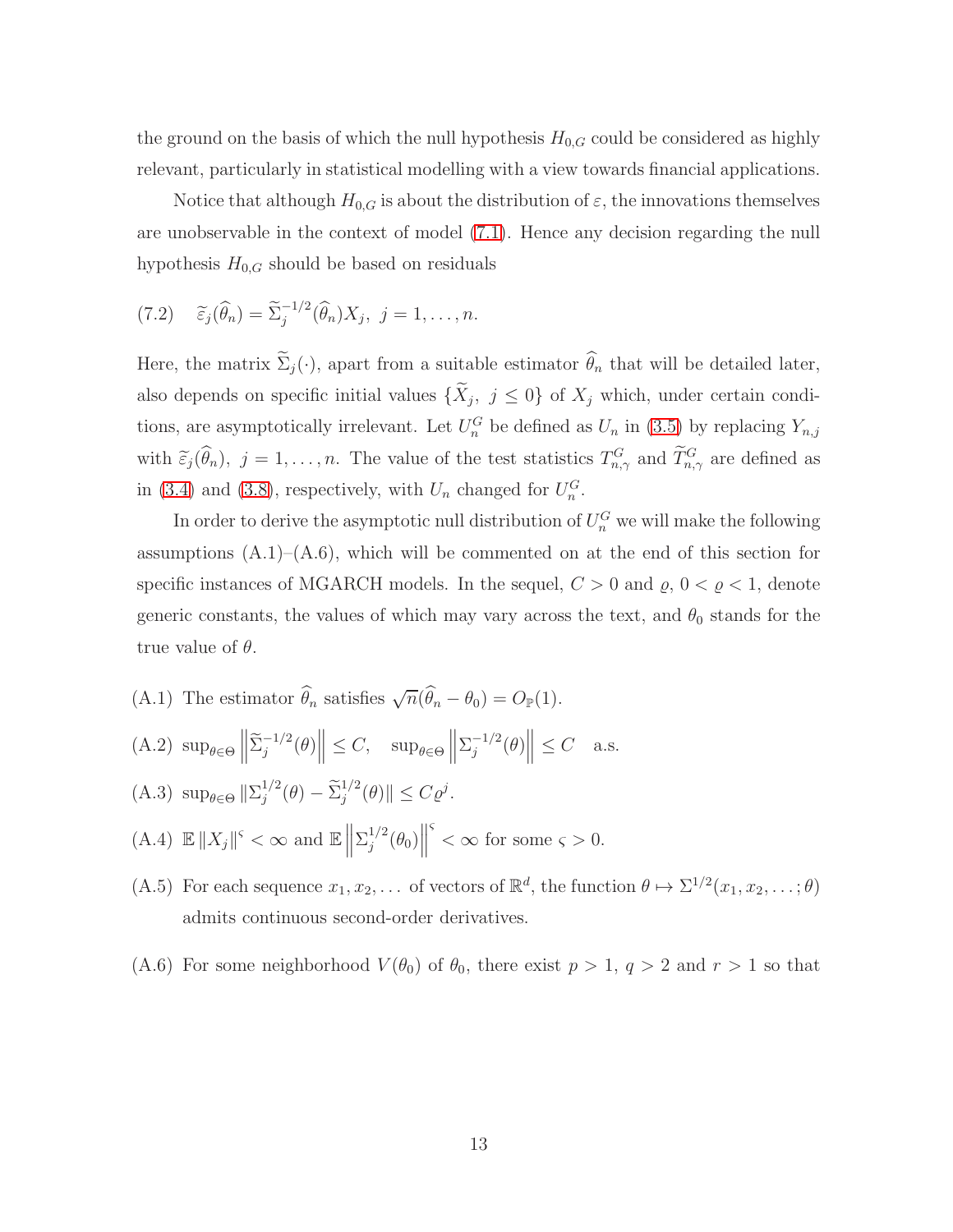the ground on the basis of which the null hypothesis  $H_{0,G}$  could be considered as highly relevant, particularly in statistical modelling with a view towards financial applications.

Notice that although  $H_{0,G}$  is about the distribution of  $\varepsilon$ , the innovations themselves are unobservable in the context of model [\(7.1\)](#page-10-2). Hence any decision regarding the null hypothesis  $H_{0,G}$  should be based on residuals

(7.2) 
$$
\widetilde{\varepsilon}_j(\widehat{\theta}_n) = \widetilde{\Sigma}_j^{-1/2}(\widehat{\theta}_n)X_j, \ j = 1, \ldots, n.
$$

Here, the matrix  $\tilde{\Sigma}_j(\cdot)$ , apart from a suitable estimator  $\hat{\theta}_n$  that will be detailed later, also depends on specific initial values  $\{X_j, j \leq 0\}$  of  $X_j$  which, under certain conditions, are asymptotically irrelevant. Let  $U_n^G$  be defined as  $U_n$  in [\(3.5\)](#page-4-2) by replacing  $Y_{n,j}$ with  $\tilde{\varepsilon}_j(\theta_n)$ ,  $j = 1, \ldots, n$ . The value of the test statistics  $T_{n,\gamma}^G$  and  $\tilde{T}_{n,\gamma}^G$  are defined as in [\(3.4\)](#page-4-0) and [\(3.8\)](#page-5-3), respectively, with  $U_n$  changed for  $U_n^G$ .

In order to derive the asymptotic null distribution of  $U_n^G$  we will make the following assumptions  $(A.1)$ – $(A.6)$ , which will be commented on at the end of this section for specific instances of MGARCH models. In the sequel,  $C > 0$  and  $\varrho$ ,  $0 < \varrho < 1$ , denote generic constants, the values of which may vary across the text, and  $\theta_0$  stands for the true value of  $\theta$ .

- (A.1) The estimator  $\widehat{\theta}_n$  satisfies  $\sqrt{n}(\widehat{\theta}_n \theta_0) = O_{\mathbb{P}}(1)$ .
- (A.2)  $\sup_{\theta \in \Theta} \left\| \tilde{\Sigma}_{j}^{-1/2}(\theta) \right\| \leq C, \quad \sup_{\theta \in \Theta} \left\| \Sigma_{j}^{-1/2}(\theta) \right\| \leq C \quad \text{a.s.}$
- $(A.3) \ \sup_{\theta \in \Theta} ||\sum_{j}^{1/2}$  $j^{1/2}(\theta) - \tilde{\Sigma}_j^{1/2}(\theta) \| \le C \varrho^j.$
- (A.4)  $\mathbb{E} \|X_j\|^{\varsigma} < \infty$  and  $\mathbb{E} \left\| \sum_{j=1}^{1/2} \right\|$  $\left\Vert \frac{1}{2}(\theta_{0})\right\Vert$  $\frac{s}{s} < \infty$  for some  $\varsigma > 0$ .
- (A.5) For each sequence  $x_1, x_2, \ldots$  of vectors of  $\mathbb{R}^d$ , the function  $\theta \mapsto \Sigma^{1/2}(x_1, x_2, \ldots; \theta)$ admits continuous second-order derivatives.
- (A.6) For some neighborhood  $V(\theta_0)$  of  $\theta_0$ , there exist  $p > 1$ ,  $q > 2$  and  $r > 1$  so that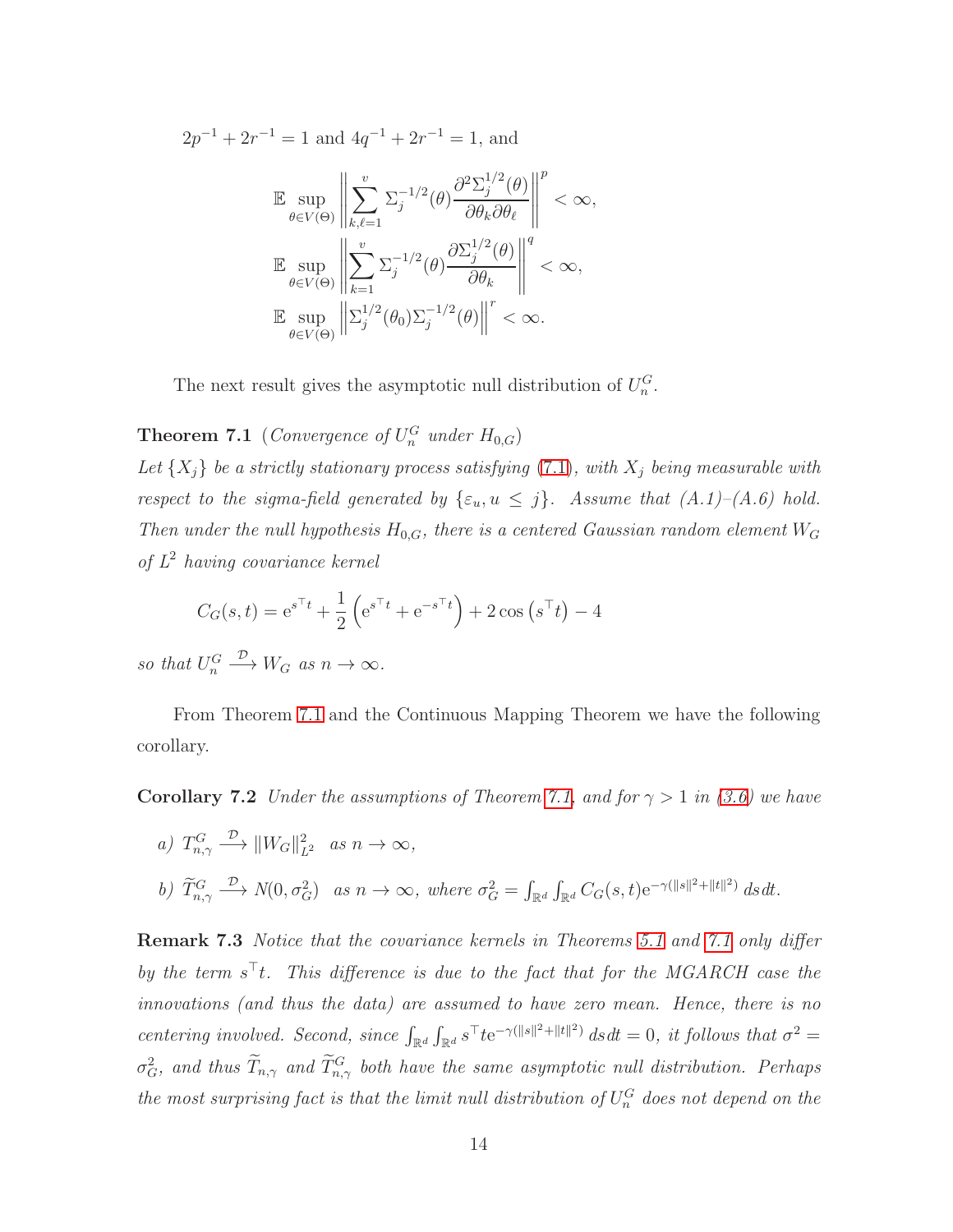$2p^{-1} + 2r^{-1} = 1$  and  $4q^{-1} + 2r^{-1} = 1$ , and

$$
\label{eq:4.13} \begin{split} &\mathbb{E}\sup_{\theta\in V(\Theta)}\left\|\sum_{k,\ell=1}^{v}\Sigma_{j}^{-1/2}(\theta)\frac{\partial^{2}\Sigma_{j}^{1/2}(\theta)}{\partial\theta_{k}\partial\theta_{\ell}}\right\|^{p}<\infty,\\ &\mathbb{E}\sup_{\theta\in V(\Theta)}\left\|\sum_{k=1}^{v}\Sigma_{j}^{-1/2}(\theta)\frac{\partial\Sigma_{j}^{1/2}(\theta)}{\partial\theta_{k}}\right\|^{q}<\infty,\\ &\mathbb{E}\sup_{\theta\in V(\Theta)}\left\|\Sigma_{j}^{1/2}(\theta_{0})\Sigma_{j}^{-1/2}(\theta)\right\|^{r}<\infty. \end{split}
$$

<span id="page-13-0"></span>The next result gives the asymptotic null distribution of  $U_n^G$ .

**Theorem 7.1** (Convergence of  $U_n^G$  under  $H_{0,G}$ )

Let  $\{X_j\}$  be a strictly stationary process satisfying [\(7.1\)](#page-10-2), with  $X_j$  being measurable with respect to the sigma-field generated by  $\{\varepsilon_u, u \leq j\}$ . Assume that  $(A.1)$ – $(A.6)$  hold. Then under the null hypothesis  $H_{0,G}$ , there is a centered Gaussian random element  $W_G$ of  $L^2$  having covariance kernel

$$
C_G(s,t) = e^{s^{\top}t} + \frac{1}{2} \left( e^{s^{\top}t} + e^{-s^{\top}t} \right) + 2 \cos \left( s^{\top}t \right) - 4
$$

so that  $U_n^G \longrightarrow W_G$  as  $n \to \infty$ .

<span id="page-13-1"></span>From Theorem [7.1](#page-13-0) and the Continuous Mapping Theorem we have the following corollary.

**Corollary 7.2** Under the assumptions of Theorem [7.1,](#page-13-0) and for  $\gamma > 1$  in [\(3.6\)](#page-5-2) we have

a) 
$$
T_{n,\gamma}^G \xrightarrow{\mathcal{D}} ||W_G||_{L^2}^2
$$
 as  $n \to \infty$ ,  
b)  $\widetilde{T}_{n,\gamma}^G \xrightarrow{\mathcal{D}} N(0, \sigma_G^2)$  as  $n \to \infty$ , where  $\sigma_G^2 = \int_{\mathbb{R}^d} \int_{\mathbb{R}^d} C_G(s, t) e^{-\gamma (||s||^2 + ||t||^2)} ds dt$ .

<span id="page-13-2"></span>Remark 7.3 Notice that the covariance kernels in Theorems [5.1](#page-8-3) and [7.1](#page-13-0) only differ by the term  $s<sup>†</sup>t$ . This difference is due to the fact that for the MGARCH case the innovations (and thus the data) are assumed to have zero mean. Hence, there is no centering involved. Second, since  $\int_{\mathbb{R}^d} \int_{\mathbb{R}^d} s^{\top} t e^{-\gamma(||s||^2 + ||t||^2)} ds dt = 0$ , it follows that  $\sigma^2 =$  $\sigma_G^2$ , and thus  $T_{n,\gamma}$  and  $T_{n,\gamma}^G$  both have the same asymptotic null distribution. Perhaps the most surprising fact is that the limit null distribution of  $U_n^G$  does not depend on the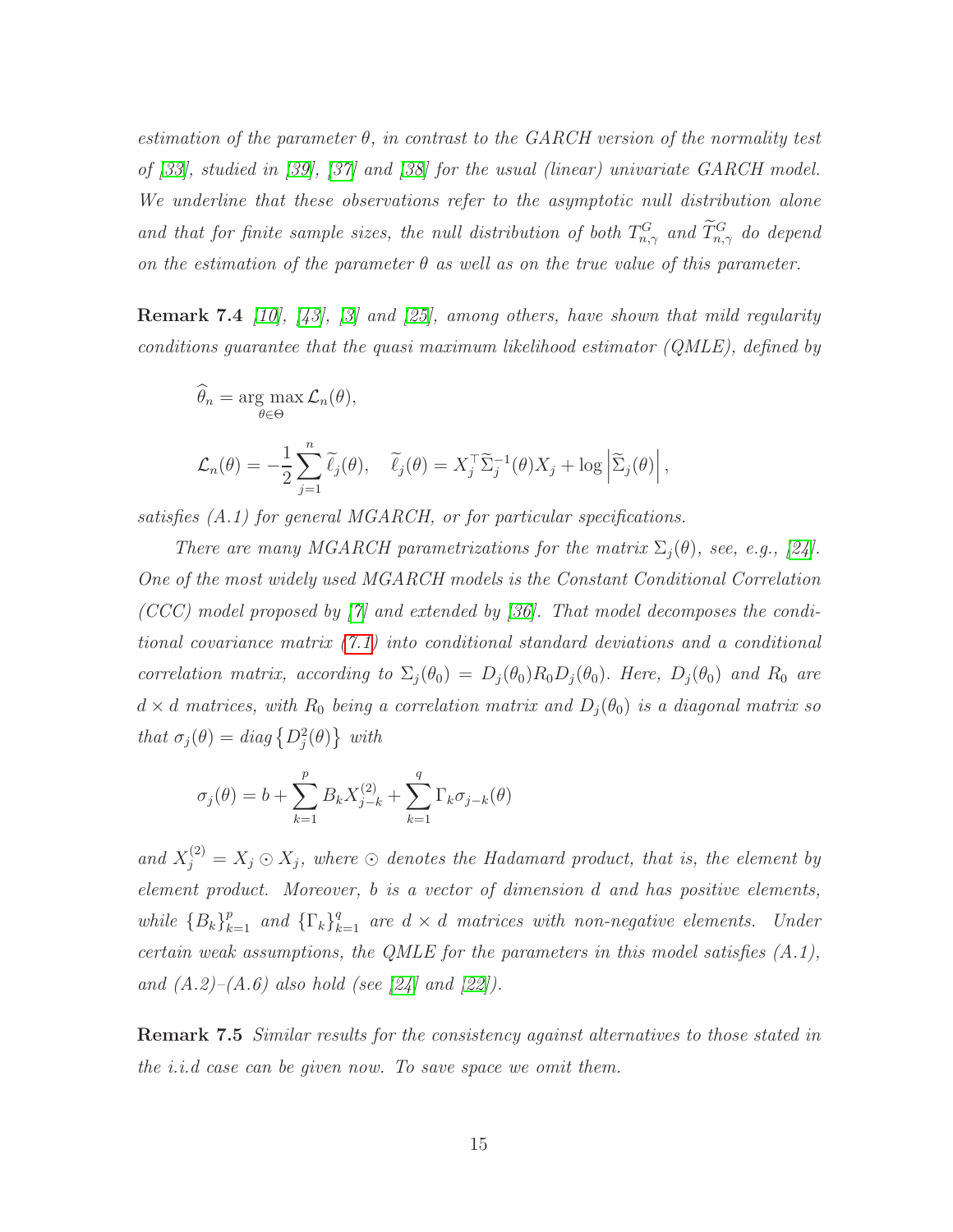estimation of the parameter  $\theta$ , in contrast to the GARCH version of the normality test of [\[33\]](#page-35-2), studied in [\[39\]](#page-36-6), [\[37\]](#page-36-9) and [\[38\]](#page-36-10) for the usual (linear) univariate GARCH model. We underline that these observations refer to the asymptotic null distribution alone and that for finite sample sizes, the null distribution of both  $T_{n,\gamma}^G$  and  $\tilde{T}_{n,\gamma}^G$  do depend on the estimation of the parameter  $\theta$  as well as on the true value of this parameter.

**Remark 7.4** [\[10\]](#page-34-11), [\[43\]](#page-36-11), [\[3\]](#page-34-12) and [\[25\]](#page-35-11), among others, have shown that mild regularity conditions quarantee that the quasi maximum likelihood estimator  $(QMLE)$ , defined by

$$
\widehat{\theta}_n = \arg \max_{\theta \in \Theta} \mathcal{L}_n(\theta),
$$
  

$$
\mathcal{L}_n(\theta) = -\frac{1}{2} \sum_{j=1}^n \widetilde{\ell}_j(\theta), \quad \widetilde{\ell}_j(\theta) = X_j^\top \widetilde{\Sigma}_j^{-1}(\theta) X_j + \log \left| \widetilde{\Sigma}_j(\theta) \right|,
$$

satisfies (A.1) for general MGARCH, or for particular specifications.

There are many MGARCH parametrizations for the matrix  $\Sigma_i(\theta)$ , see, e.g., [\[24\]](#page-35-12). One of the most widely used MGARCH models is the Constant Conditional Correlation (CCC) model proposed by  $[7]$  and extended by [\[36\]](#page-36-12). That model decomposes the conditional covariance matrix [\(7.1\)](#page-10-2) into conditional standard deviations and a conditional correlation matrix, according to  $\Sigma_i(\theta_0) = D_i(\theta_0)R_0D_i(\theta_0)$ . Here,  $D_i(\theta_0)$  and  $R_0$  are  $d \times d$  matrices, with  $R_0$  being a correlation matrix and  $D_j(\theta_0)$  is a diagonal matrix so that  $\sigma_j(\theta) = diag\{D_j^2(\theta)\}\$  with

$$
\sigma_j(\theta) = b + \sum_{k=1}^p B_k X_{j-k}^{(2)} + \sum_{k=1}^q \Gamma_k \sigma_{j-k}(\theta)
$$

and  $X_j^{(2)} = X_j \odot X_j$ , where  $\odot$  denotes the Hadamard product, that is, the element by element product. Moreover, b is a vector of dimension d and has positive elements, while  ${B_k}_{k=1}^p$  and  ${\{\Gamma_k\}}_{k=1}^q$  are  $d \times d$  matrices with non-negative elements. Under certain weak assumptions, the QMLE for the parameters in this model satisfies  $(A.1)$ , and  $(A.2)$ – $(A.6)$  also hold (see [\[24\]](#page-35-12) and [\[22\]](#page-35-13)).

**Remark 7.5** Similar results for the consistency against alternatives to those stated in the i.i.d case can be given now. To save space we omit them.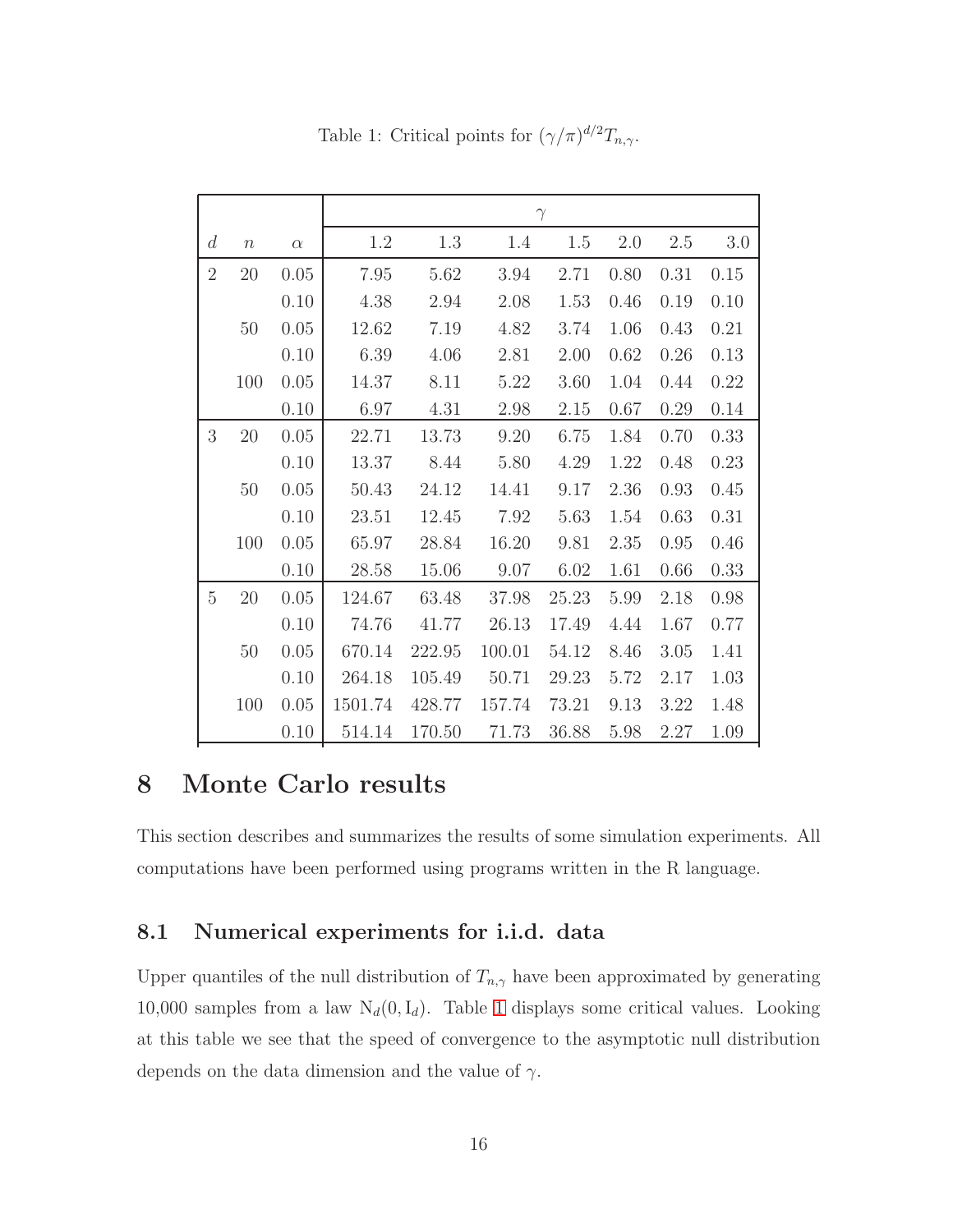|                |                  |          | $\gamma$ |        |        |          |      |      |      |  |  |
|----------------|------------------|----------|----------|--------|--------|----------|------|------|------|--|--|
| d              | $\boldsymbol{n}$ | $\alpha$ | 1.2      | 1.3    | 1.4    | 1.5      | 2.0  | 2.5  | 3.0  |  |  |
| $\overline{2}$ | 20               | 0.05     | 7.95     | 5.62   | 3.94   | 2.71     | 0.80 | 0.31 | 0.15 |  |  |
|                |                  | 0.10     | 4.38     | 2.94   | 2.08   | 1.53     | 0.46 | 0.19 | 0.10 |  |  |
|                | 50               | 0.05     | 12.62    | 7.19   | 4.82   | 3.74     | 1.06 | 0.43 | 0.21 |  |  |
|                |                  | 0.10     | 6.39     | 4.06   | 2.81   | 2.00     | 0.62 | 0.26 | 0.13 |  |  |
|                | 100              | 0.05     | 14.37    | 8.11   | 5.22   | 3.60     | 1.04 | 0.44 | 0.22 |  |  |
|                |                  | 0.10     | 6.97     | 4.31   | 2.98   | $2.15\,$ | 0.67 | 0.29 | 0.14 |  |  |
| 3              | 20               | 0.05     | 22.71    | 13.73  | 9.20   | 6.75     | 1.84 | 0.70 | 0.33 |  |  |
|                |                  | 0.10     | 13.37    | 8.44   | 5.80   | 4.29     | 1.22 | 0.48 | 0.23 |  |  |
|                | 50               | 0.05     | 50.43    | 24.12  | 14.41  | 9.17     | 2.36 | 0.93 | 0.45 |  |  |
|                |                  | 0.10     | 23.51    | 12.45  | 7.92   | 5.63     | 1.54 | 0.63 | 0.31 |  |  |
|                | 100              | 0.05     | 65.97    | 28.84  | 16.20  | 9.81     | 2.35 | 0.95 | 0.46 |  |  |
|                |                  | 0.10     | 28.58    | 15.06  | 9.07   | 6.02     | 1.61 | 0.66 | 0.33 |  |  |
| $\overline{5}$ | 20               | 0.05     | 124.67   | 63.48  | 37.98  | 25.23    | 5.99 | 2.18 | 0.98 |  |  |
|                |                  | 0.10     | 74.76    | 41.77  | 26.13  | 17.49    | 4.44 | 1.67 | 0.77 |  |  |
|                | 50               | 0.05     | 670.14   | 222.95 | 100.01 | 54.12    | 8.46 | 3.05 | 1.41 |  |  |
|                |                  | 0.10     | 264.18   | 105.49 | 50.71  | 29.23    | 5.72 | 2.17 | 1.03 |  |  |
|                | 100              | 0.05     | 1501.74  | 428.77 | 157.74 | 73.21    | 9.13 | 3.22 | 1.48 |  |  |
|                |                  | 0.10     | 514.14   | 170.50 | 71.73  | 36.88    | 5.98 | 2.27 | 1.09 |  |  |

<span id="page-15-1"></span>Table 1: Critical points for  $(\gamma/\pi)^{d/2}T_{n,\gamma}$ .

# <span id="page-15-0"></span>8 Monte Carlo results

This section describes and summarizes the results of some simulation experiments. All computations have been performed using programs written in the R language.

#### 8.1 Numerical experiments for i.i.d. data

Upper quantiles of the null distribution of  $T_{n,\gamma}$  have been approximated by generating 10,000 samples from a law  $N_d(0, I_d)$ . Table [1](#page-15-1) displays some critical values. Looking at this table we see that the speed of convergence to the asymptotic null distribution depends on the data dimension and the value of  $\gamma$ .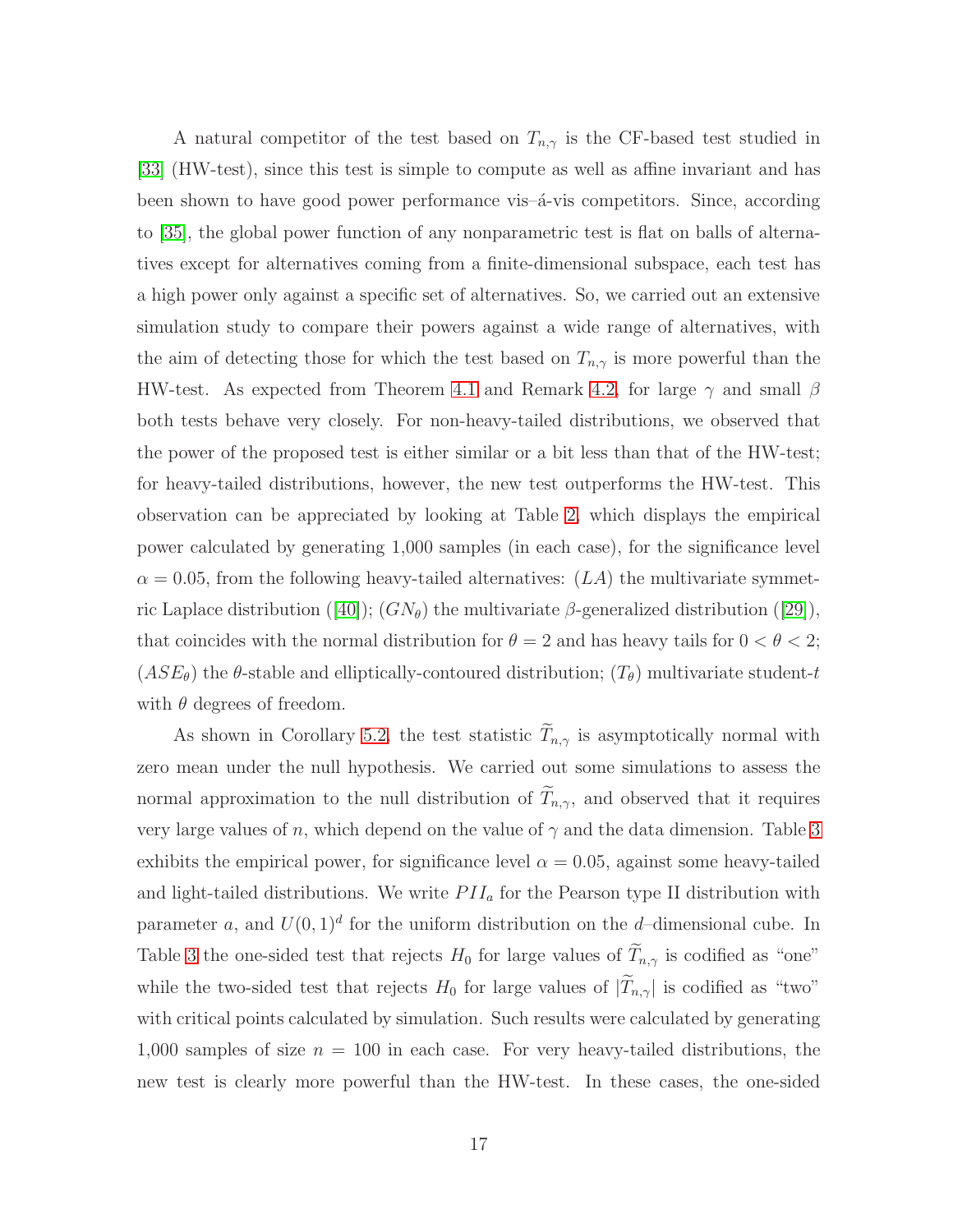A natural competitor of the test based on  $T_{n,\gamma}$  is the CF-based test studied in [\[33\]](#page-35-2) (HW-test), since this test is simple to compute as well as affine invariant and has been shown to have good power performance vis– $\acute{a}$ -vis competitors. Since, according to [\[35\]](#page-36-13), the global power function of any nonparametric test is flat on balls of alternatives except for alternatives coming from a finite-dimensional subspace, each test has a high power only against a specific set of alternatives. So, we carried out an extensive simulation study to compare their powers against a wide range of alternatives, with the aim of detecting those for which the test based on  $T_{n,\gamma}$  is more powerful than the HW-test. As expected from Theorem [4.1](#page-6-1) and Remark [4.2,](#page-7-1) for large  $\gamma$  and small  $\beta$ both tests behave very closely. For non-heavy-tailed distributions, we observed that the power of the proposed test is either similar or a bit less than that of the HW-test; for heavy-tailed distributions, however, the new test outperforms the HW-test. This observation can be appreciated by looking at Table [2,](#page-17-0) which displays the empirical power calculated by generating 1,000 samples (in each case), for the significance level  $\alpha = 0.05$ , from the following heavy-tailed alternatives:  $(LA)$  the multivariate symmet-ricLaplace distribution ([\[40\]](#page-36-14));  $(GN_{\theta})$  the multivariate  $\beta$ -generalized distribution ([\[29\]](#page-35-14)), that coincides with the normal distribution for  $\theta = 2$  and has heavy tails for  $0 < \theta < 2$ ;  $(ASE_{\theta})$  the  $\theta$ -stable and elliptically-contoured distribution;  $(T_{\theta})$  multivariate student-t with  $\theta$  degrees of freedom.

As shown in Corollary [5.2,](#page-9-1) the test statistic  $\widetilde{T}_{n,\gamma}$  is asymptotically normal with zero mean under the null hypothesis. We carried out some simulations to assess the normal approximation to the null distribution of  $T_{n,\gamma}$ , and observed that it requires very large values of n, which depend on the value of  $\gamma$  and the data dimension. Table [3](#page-18-0) exhibits the empirical power, for significance level  $\alpha = 0.05$ , against some heavy-tailed and light-tailed distributions. We write  $PII_a$  for the Pearson type II distribution with parameter a, and  $U(0, 1)^d$  for the uniform distribution on the d-dimensional cube. In Table [3](#page-18-0) the one-sided test that rejects  $H_0$  for large values of  $\widetilde{T}_{n,\gamma}$  is codified as "one" while the two-sided test that rejects  $H_0$  for large values of  $|\widetilde{T}_{n,\gamma}|$  is codified as "two" with critical points calculated by simulation. Such results were calculated by generating 1,000 samples of size  $n = 100$  in each case. For very heavy-tailed distributions, the new test is clearly more powerful than the HW-test. In these cases, the one-sided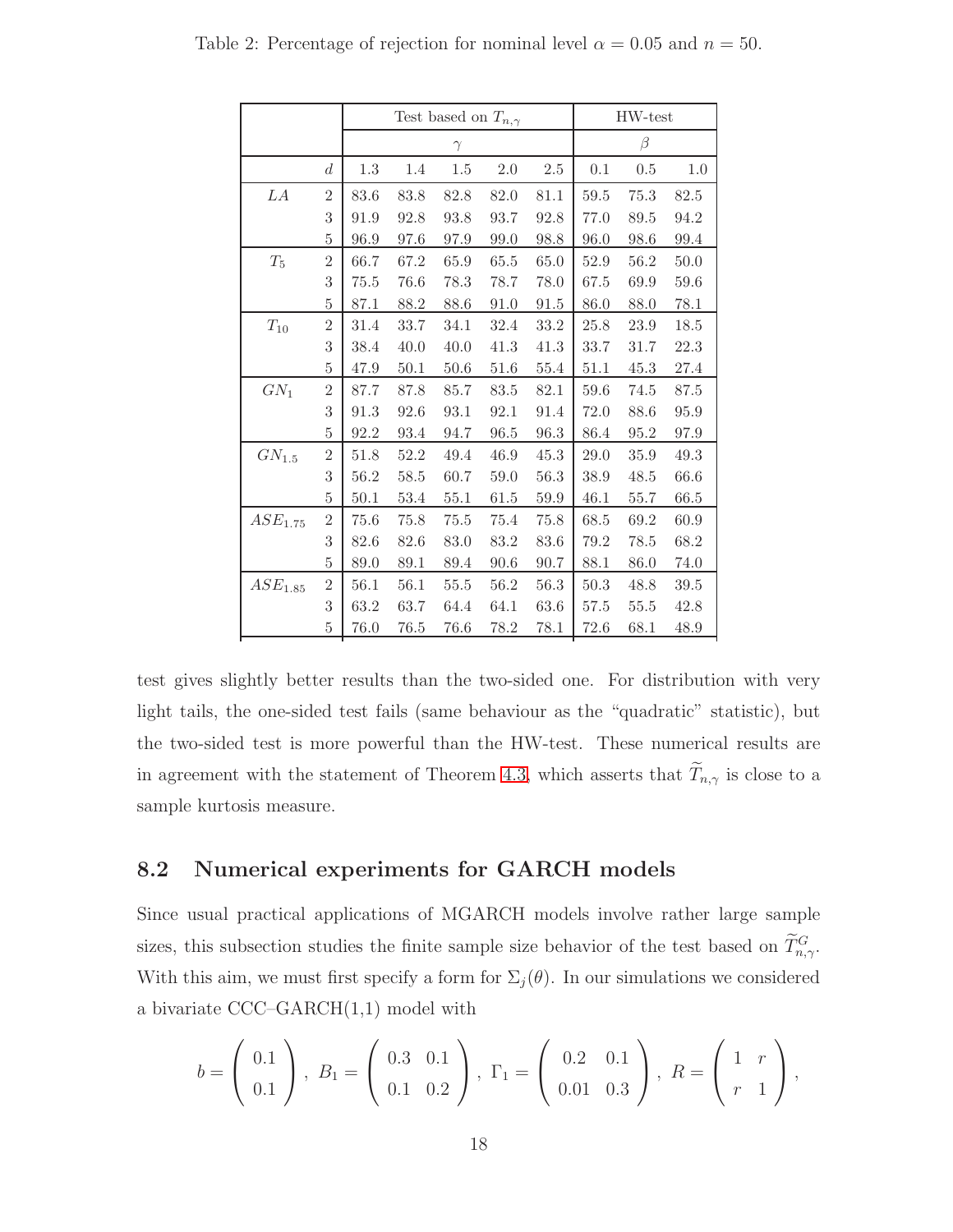<span id="page-17-0"></span>

|                     |                  |      |      | Test based on $T_{n,\gamma}$ | HW-test |          |      |          |      |
|---------------------|------------------|------|------|------------------------------|---------|----------|------|----------|------|
|                     |                  |      |      | $\gamma$                     | $\beta$ |          |      |          |      |
|                     | $\boldsymbol{d}$ | 1.3  | 1.4  | 1.5                          | 2.0     | 2.5      | 0.1  | 0.5      | 1.0  |
| LA                  | $\overline{2}$   | 83.6 | 83.8 | 82.8                         | 82.0    | 81.1     | 59.5 | 75.3     | 82.5 |
|                     | 3                | 91.9 | 92.8 | 93.8                         | 93.7    | 92.8     | 77.0 | 89.5     | 94.2 |
|                     | 5                | 96.9 | 97.6 | 97.9                         | 99.0    | 98.8     | 96.0 | 98.6     | 99.4 |
| $T_5$               | $\overline{2}$   | 66.7 | 67.2 | 65.9                         | 65.5    | 65.0     | 52.9 | 56.2     | 50.0 |
|                     | 3                | 75.5 | 76.6 | 78.3                         | 78.7    | 78.0     | 67.5 | 69.9     | 59.6 |
|                     | 5                | 87.1 | 88.2 | 88.6                         | 91.0    | 91.5     | 86.0 | 88.0     | 78.1 |
| $T_{10}$            | $\overline{2}$   | 31.4 | 33.7 | 34.1                         | 32.4    | 33.2     | 25.8 | 23.9     | 18.5 |
|                     | 3                | 38.4 | 40.0 | 40.0                         | 41.3    | 41.3     | 33.7 | 31.7     | 22.3 |
|                     | 5                | 47.9 | 50.1 | 50.6                         | 51.6    | 55.4     | 51.1 | 45.3     | 27.4 |
| $GN_1$              | $\overline{2}$   | 87.7 | 87.8 | 85.7                         | 83.5    | 82.1     | 59.6 | 74.5     | 87.5 |
|                     | 3                | 91.3 | 92.6 | 93.1                         | 92.1    | 91.4     | 72.0 | 88.6     | 95.9 |
|                     | 5                | 92.2 | 93.4 | 94.7                         | 96.5    | 96.3     | 86.4 | 95.2     | 97.9 |
| $GN_{1.5}$          | $\overline{2}$   | 51.8 | 52.2 | 49.4                         | 46.9    | 45.3     | 29.0 | $35.9\,$ | 49.3 |
|                     | 3                | 56.2 | 58.5 | 60.7                         | 59.0    | 56.3     | 38.9 | 48.5     | 66.6 |
|                     | $\overline{5}$   | 50.1 | 53.4 | $55.1\,$                     | 61.5    | 59.9     | 46.1 | 55.7     | 66.5 |
| $ASE_{1.75}$        | $\overline{2}$   | 75.6 | 75.8 | 75.5                         | 75.4    | 75.8     | 68.5 | 69.2     | 60.9 |
|                     | 3                | 82.6 | 82.6 | 83.0                         | 83.2    | 83.6     | 79.2 | 78.5     | 68.2 |
|                     | 5                | 89.0 | 89.1 | 89.4                         | 90.6    | $90.7\,$ | 88.1 | 86.0     | 74.0 |
| ASE <sub>1.85</sub> | $\overline{2}$   | 56.1 | 56.1 | 55.5                         | 56.2    | 56.3     | 50.3 | 48.8     | 39.5 |
|                     | 3                | 63.2 | 63.7 | 64.4                         | 64.1    | 63.6     | 57.5 | 55.5     | 42.8 |
|                     | $\rm 5$          | 76.0 | 76.5 | 76.6                         | 78.2    | 78.1     | 72.6 | 68.1     | 48.9 |

Table 2: Percentage of rejection for nominal level  $\alpha = 0.05$  and  $n = 50$ .

test gives slightly better results than the two-sided one. For distribution with very light tails, the one-sided test fails (same behaviour as the "quadratic" statistic), but the two-sided test is more powerful than the HW-test. These numerical results are in agreement with the statement of Theorem [4.3,](#page-7-0) which asserts that  $\widetilde{T}_{n,\gamma}$  is close to a sample kurtosis measure.

#### 8.2 Numerical experiments for GARCH models

Since usual practical applications of MGARCH models involve rather large sample sizes, this subsection studies the finite sample size behavior of the test based on  $\tilde{T}_{n,\gamma}^G$ . With this aim, we must first specify a form for  $\Sigma_j(\theta)$ . In our simulations we considered a bivariate CCC–GARCH(1,1) model with

$$
b = \left(\begin{array}{c} 0.1 \\ 0.1 \end{array}\right), \ B_1 = \left(\begin{array}{c} 0.3 & 0.1 \\ 0.1 & 0.2 \end{array}\right), \ \Gamma_1 = \left(\begin{array}{c} 0.2 & 0.1 \\ 0.01 & 0.3 \end{array}\right), \ R = \left(\begin{array}{c} 1 & r \\ r & 1 \end{array}\right),
$$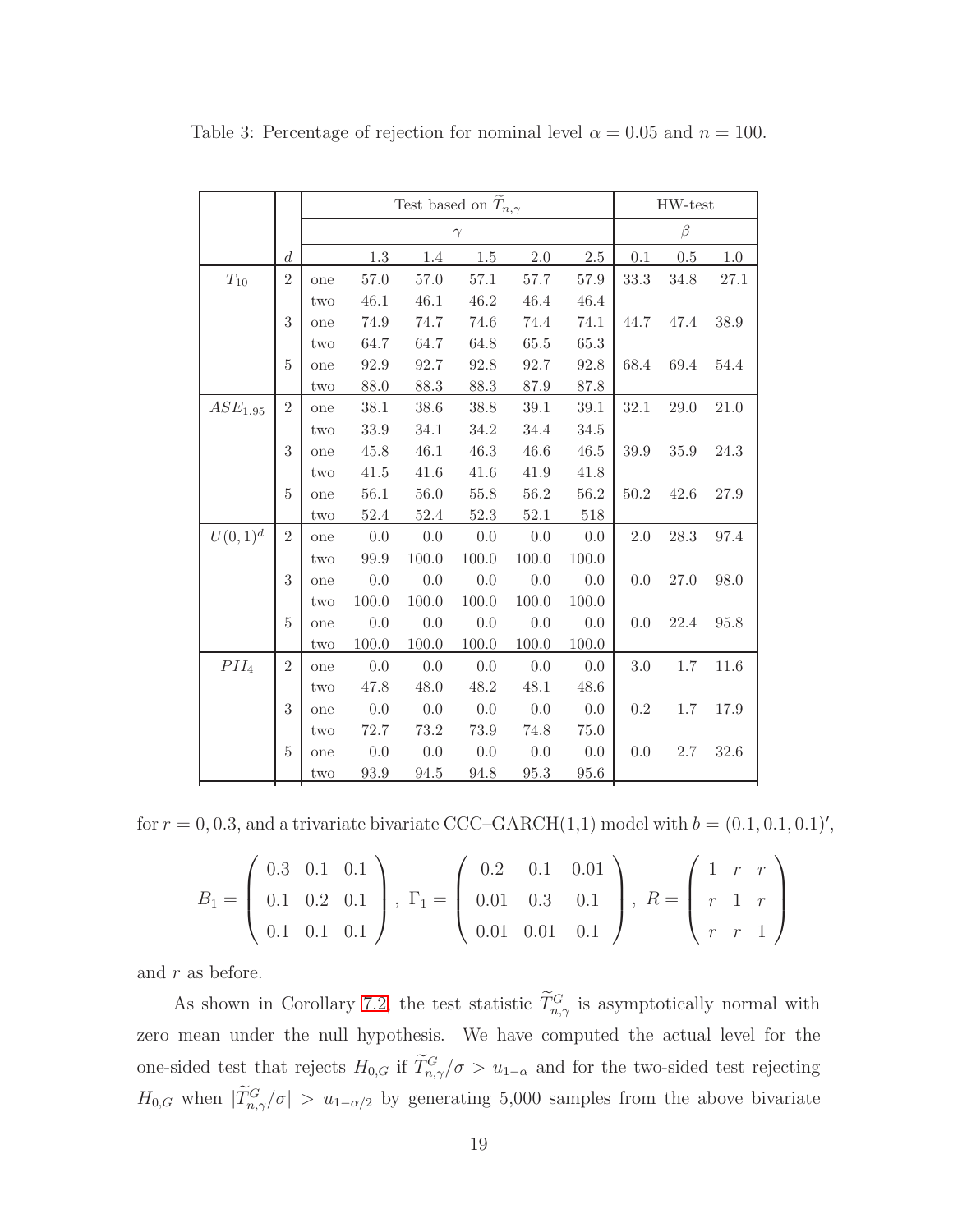|                     |                  |                           | Test based on $\widetilde{T}_{n,\gamma}$ |          | HW-test  |          |         |          |          |      |  |  |
|---------------------|------------------|---------------------------|------------------------------------------|----------|----------|----------|---------|----------|----------|------|--|--|
|                     |                  |                           |                                          |          | $\gamma$ |          |         |          | $\beta$  |      |  |  |
|                     | $\boldsymbol{d}$ |                           | 1.3                                      | 1.4      | 1.5      | $2.0\,$  | $2.5\,$ | 0.1      | 0.5      | 1.0  |  |  |
| $T_{10}$            | $\overline{2}$   | one                       | 57.0                                     | 57.0     | $57.1\,$ | $57.7\,$ | 57.9    | 33.3     | 34.8     | 27.1 |  |  |
|                     |                  | two                       | 46.1                                     | 46.1     | 46.2     | 46.4     | 46.4    |          |          |      |  |  |
|                     | 3                | one                       | 74.9                                     | 74.7     | 74.6     | 74.4     | 74.1    | 44.7     | 47.4     | 38.9 |  |  |
|                     |                  | two                       | 64.7                                     | 64.7     | 64.8     | $65.5\,$ | 65.3    |          |          |      |  |  |
|                     | 5                | one                       | 92.9                                     | 92.7     | 92.8     | 92.7     | 92.8    | 68.4     | 69.4     | 54.4 |  |  |
|                     |                  | two                       | 88.0                                     | 88.3     | 88.3     | 87.9     | 87.8    |          |          |      |  |  |
| ASE <sub>1.95</sub> | $\overline{2}$   | one                       | 38.1                                     | 38.6     | 38.8     | 39.1     | 39.1    | $32.1\,$ | 29.0     | 21.0 |  |  |
|                     |                  | two                       | 33.9                                     | 34.1     | 34.2     | 34.4     | 34.5    |          |          |      |  |  |
|                     | 3                | one                       | 45.8                                     | 46.1     | 46.3     | 46.6     | 46.5    | 39.9     | $35.9\,$ | 24.3 |  |  |
|                     |                  | two                       | 41.5                                     | 41.6     | 41.6     | 41.9     | 41.8    |          |          |      |  |  |
|                     | 5                | one                       | 56.1                                     | 56.0     | 55.8     | 56.2     | 56.2    | 50.2     | 42.6     | 27.9 |  |  |
|                     |                  | $\mathop{\text{\rm two}}$ | $52.4\,$                                 | $52.4\,$ | $52.3\,$ | $52.1\,$ | 518     |          |          |      |  |  |
| $U(0, 1)^d$         | $\overline{2}$   | one                       | 0.0                                      | 0.0      | 0.0      | 0.0      | 0.0     | $2.0\,$  | $28.3\,$ | 97.4 |  |  |
|                     |                  | two                       | 99.9                                     | 100.0    | 100.0    | 100.0    | 100.0   |          |          |      |  |  |
|                     | 3                | one                       | 0.0                                      | 0.0      | 0.0      | 0.0      | 0.0     | 0.0      | 27.0     | 98.0 |  |  |
|                     |                  | two                       | 100.0                                    | 100.0    | 100.0    | 100.0    | 100.0   |          |          |      |  |  |
|                     | 5                | one                       | 0.0                                      | 0.0      | 0.0      | 0.0      | 0.0     | 0.0      | 22.4     | 95.8 |  |  |
|                     |                  | two                       | 100.0                                    | 100.0    | 100.0    | 100.0    | 100.0   |          |          |      |  |  |
| PII <sub>4</sub>    | $\overline{2}$   | one                       | 0.0                                      | 0.0      | 0.0      | 0.0      | 0.0     | 3.0      | $1.7\,$  | 11.6 |  |  |
|                     |                  | two                       | 47.8                                     | 48.0     | 48.2     | 48.1     | 48.6    |          |          |      |  |  |
|                     | 3                | one                       | 0.0                                      | 0.0      | 0.0      | 0.0      | 0.0     | $0.2\,$  | $1.7\,$  | 17.9 |  |  |
|                     |                  | two                       | 72.7                                     | 73.2     | 73.9     | 74.8     | 75.0    |          |          |      |  |  |
|                     | 5                | one                       | 0.0                                      | 0.0      | 0.0      | 0.0      | 0.0     | 0.0      | 2.7      | 32.6 |  |  |
|                     |                  | two                       | $93.9\,$                                 | 94.5     | 94.8     | $95.3\,$ | 95.6    |          |          |      |  |  |

<span id="page-18-0"></span>Table 3: Percentage of rejection for nominal level  $\alpha = 0.05$  and  $n = 100$ .

for  $r = 0, 0.3$ , and a trivariate bivariate CCC–GARCH $(1,1)$  model with  $b = (0.1, 0.1, 0.1)'$ ,

|  |  | $B_1 = \left(\begin{array}{ccc} 0.3 & 0.1 & 0.1 \\ 0.1 & 0.2 & 0.1 \\ 0.1 & 0.1 & 0.1 \end{array}\right), \ \Gamma_1 = \left(\begin{array}{ccc} 0.2 & 0.1 & 0.01 \\ 0.01 & 0.3 & 0.1 \\ 0.01 & 0.01 & 0.1 \end{array}\right), \ R = \left(\begin{array}{ccc} 1 & r & r \\ r & 1 & r \\ r & r & 1 \end{array}\right)$ |  |  |  |  |
|--|--|----------------------------------------------------------------------------------------------------------------------------------------------------------------------------------------------------------------------------------------------------------------------------------------------------------------------|--|--|--|--|
|  |  |                                                                                                                                                                                                                                                                                                                      |  |  |  |  |

and  $r$  as before.

As shown in Corollary [7.2,](#page-13-1) the test statistic  $\overline{T}_{n,\gamma}^G$  is asymptotically normal with zero mean under the null hypothesis. We have computed the actual level for the one-sided test that rejects  $H_{0,G}$  if  $T_{n,\gamma}^G/\sigma > u_{1-\alpha}$  and for the two-sided test rejecting  $H_{0,G}$  when  $|T_{n,\gamma}^G/\sigma| > u_{1-\alpha/2}$  by generating 5,000 samples from the above bivariate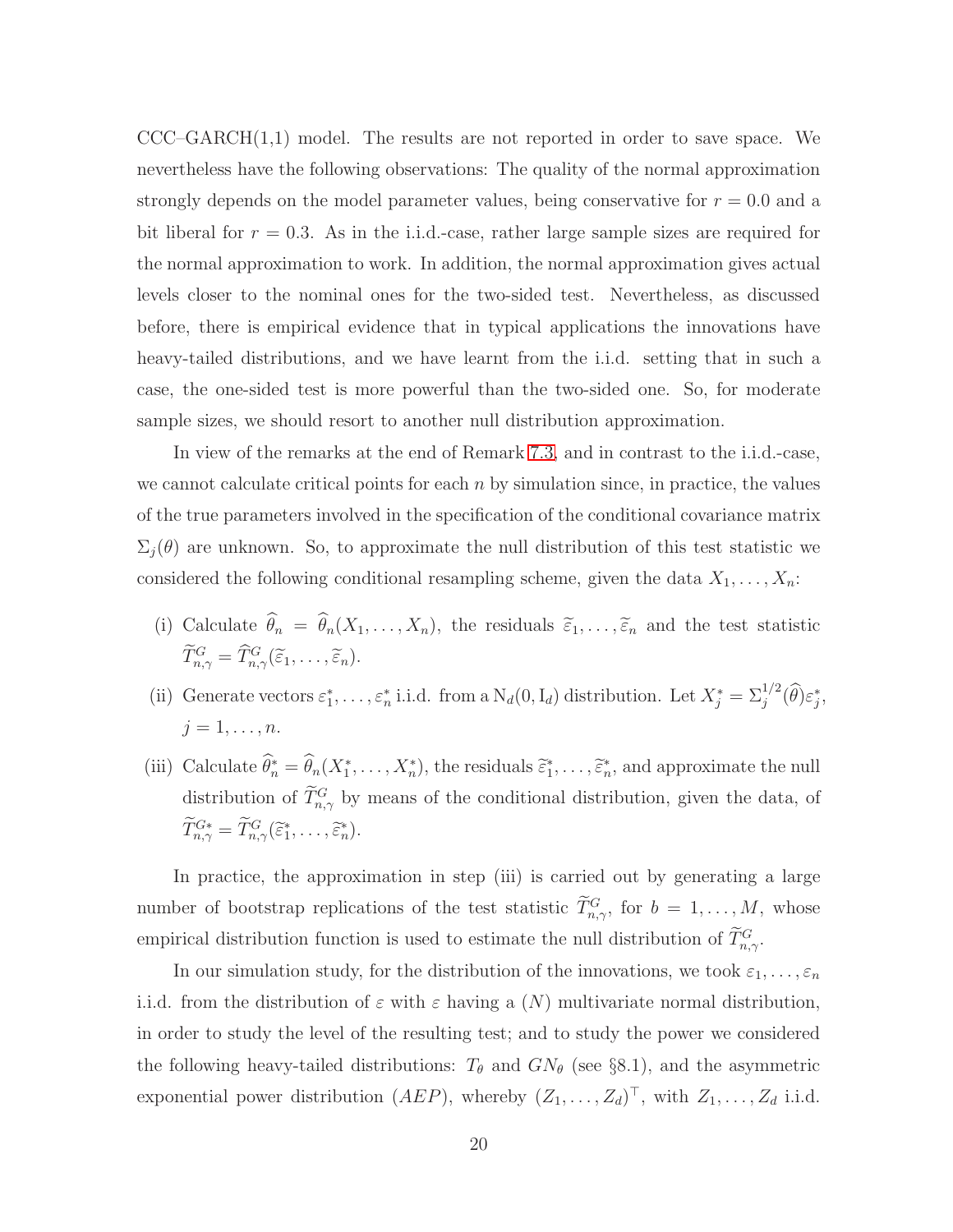$CCC-GARCH(1,1)$  model. The results are not reported in order to save space. We nevertheless have the following observations: The quality of the normal approximation strongly depends on the model parameter values, being conservative for  $r = 0.0$  and a bit liberal for  $r = 0.3$ . As in the i.i.d.-case, rather large sample sizes are required for the normal approximation to work. In addition, the normal approximation gives actual levels closer to the nominal ones for the two-sided test. Nevertheless, as discussed before, there is empirical evidence that in typical applications the innovations have heavy-tailed distributions, and we have learnt from the i.i.d. setting that in such a case, the one-sided test is more powerful than the two-sided one. So, for moderate sample sizes, we should resort to another null distribution approximation.

In view of the remarks at the end of Remark [7.3,](#page-13-2) and in contrast to the i.i.d.-case, we cannot calculate critical points for each  $n$  by simulation since, in practice, the values of the true parameters involved in the specification of the conditional covariance matrix  $\Sigma_i(\theta)$  are unknown. So, to approximate the null distribution of this test statistic we considered the following conditional resampling scheme, given the data  $X_1, \ldots, X_n$ :

- (i) Calculate  $\theta_n = \theta_n(X_1, \ldots, X_n)$ , the residuals  $\tilde{\varepsilon}_1, \ldots, \tilde{\varepsilon}_n$  and the test statistic  $\hat{T}^G_{n,\gamma} = \hat{T}^G_{n,\gamma}(\widetilde{\varepsilon}_1,\ldots,\widetilde{\varepsilon}_n).$
- (ii) Generate vectors  $\varepsilon_1^*, \ldots, \varepsilon_n^*$  i.i.d. from a  $N_d(0, I_d)$  distribution. Let  $X_j^* = \sum_j^{1/2} (\widehat{\theta}) \varepsilon_j^*$ ,  $j=1,\ldots,n$ .
- (iii) Calculate  $\theta_n^* = \theta_n(X_1^*, \ldots, X_n^*)$ , the residuals  $\tilde{\epsilon}_1^*, \ldots, \tilde{\epsilon}_n^*$ , and approximate the null distribution of  $\overline{T}_{n,\gamma}^G$  by means of the conditional distribution, given the data, of  $T_{n,\gamma}^{G*} = T_{n,\gamma}^G(\widetilde{\varepsilon}_1^*, \ldots, \widetilde{\varepsilon}_n^*).$

In practice, the approximation in step (iii) is carried out by generating a large number of bootstrap replications of the test statistic  $T_{n,\gamma}^G$ , for  $b = 1, \ldots, M$ , whose empirical distribution function is used to estimate the null distribution of  $T_{n,\gamma}^G$ .

In our simulation study, for the distribution of the innovations, we took  $\varepsilon_1, \ldots, \varepsilon_n$ i.i.d. from the distribution of  $\varepsilon$  with  $\varepsilon$  having a  $(N)$  multivariate normal distribution, in order to study the level of the resulting test; and to study the power we considered the following heavy-tailed distributions:  $T_{\theta}$  and  $GN_{\theta}$  (see §8.1), and the asymmetric exponential power distribution  $(AEP)$ , whereby  $(Z_1, \ldots, Z_d)^\top$ , with  $Z_1, \ldots, Z_d$  i.i.d.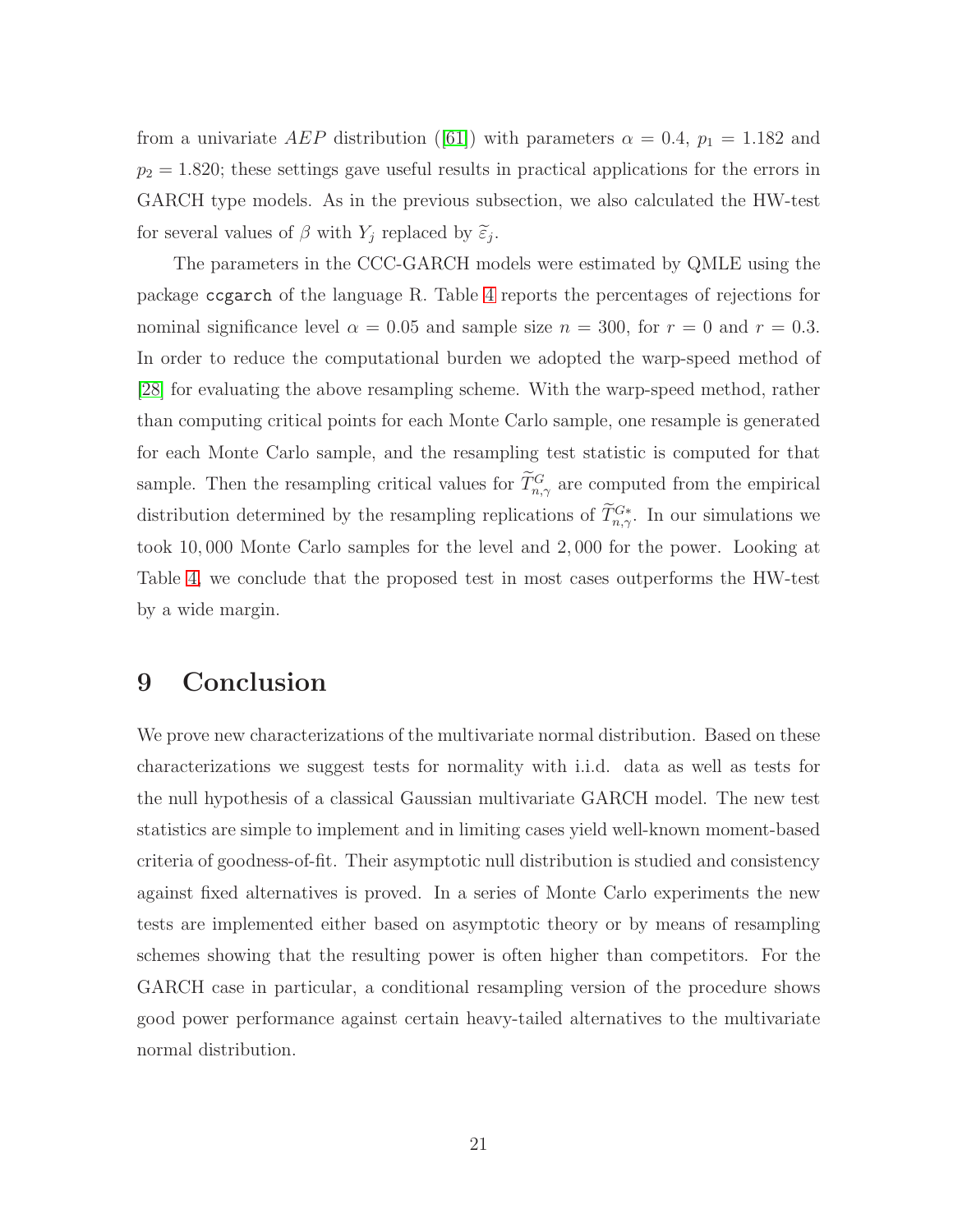froma univariate AEP distribution ([\[61\]](#page-37-11)) with parameters  $\alpha = 0.4$ ,  $p_1 = 1.182$  and  $p_2 = 1.820$ ; these settings gave useful results in practical applications for the errors in GARCH type models. As in the previous subsection, we also calculated the HW-test for several values of  $\beta$  with  $Y_j$  replaced by  $\tilde{\varepsilon}_j$ .

The parameters in the CCC-GARCH models were estimated by QMLE using the package ccgarch of the language R. Table [4](#page-21-1) reports the percentages of rejections for nominal significance level  $\alpha = 0.05$  and sample size  $n = 300$ , for  $r = 0$  and  $r = 0.3$ . In order to reduce the computational burden we adopted the warp-speed method of [\[28\]](#page-35-15) for evaluating the above resampling scheme. With the warp-speed method, rather than computing critical points for each Monte Carlo sample, one resample is generated for each Monte Carlo sample, and the resampling test statistic is computed for that sample. Then the resampling critical values for  $T_{n,\gamma}^G$  are computed from the empirical distribution determined by the resampling replications of  $T^{G*}_{n,\gamma}$ . In our simulations we took 10, 000 Monte Carlo samples for the level and 2, 000 for the power. Looking at Table [4,](#page-21-1) we conclude that the proposed test in most cases outperforms the HW-test by a wide margin.

# <span id="page-20-0"></span>9 Conclusion

We prove new characterizations of the multivariate normal distribution. Based on these characterizations we suggest tests for normality with i.i.d. data as well as tests for the null hypothesis of a classical Gaussian multivariate GARCH model. The new test statistics are simple to implement and in limiting cases yield well-known moment-based criteria of goodness-of-fit. Their asymptotic null distribution is studied and consistency against fixed alternatives is proved. In a series of Monte Carlo experiments the new tests are implemented either based on asymptotic theory or by means of resampling schemes showing that the resulting power is often higher than competitors. For the GARCH case in particular, a conditional resampling version of the procedure shows good power performance against certain heavy-tailed alternatives to the multivariate normal distribution.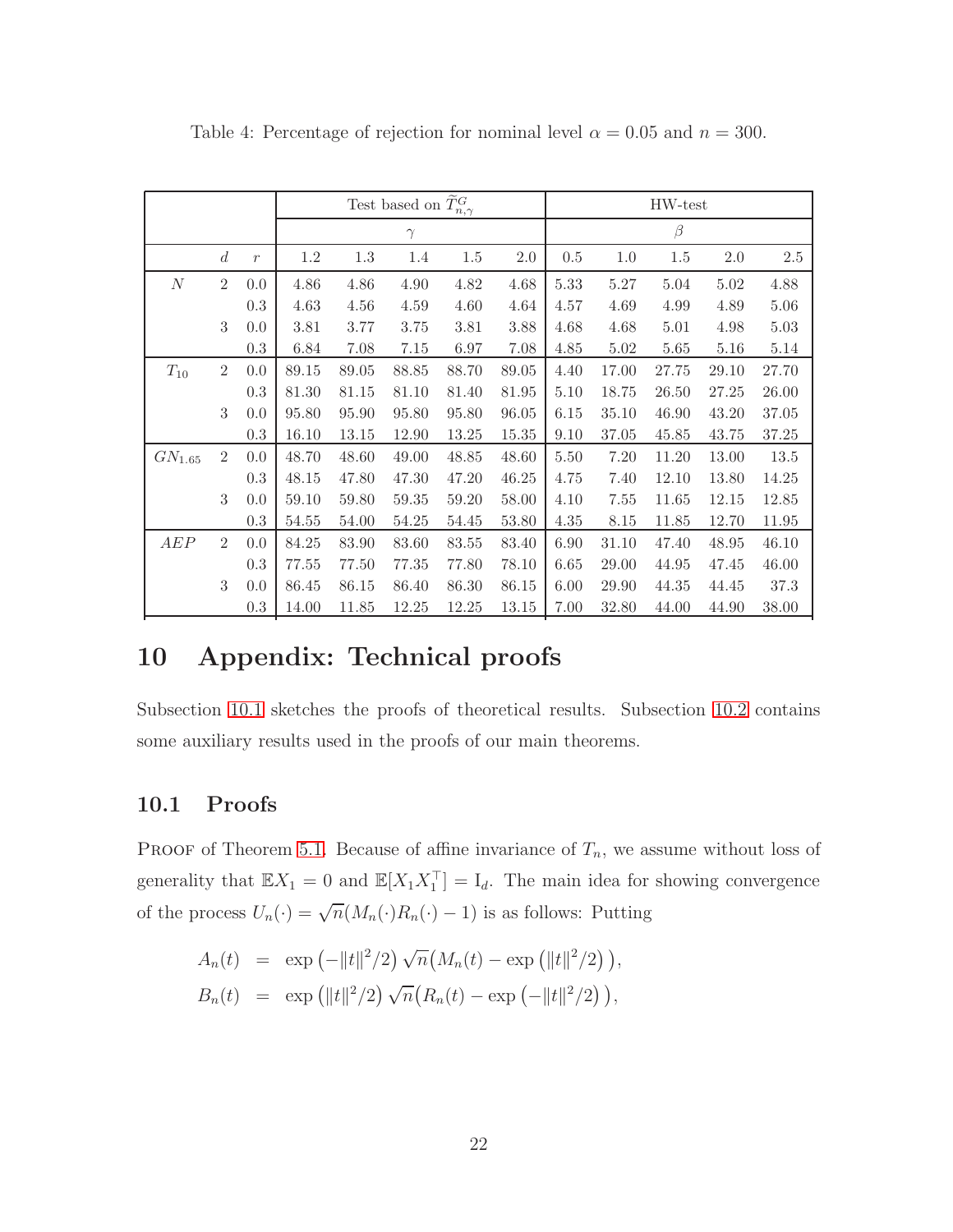|                   |                  |               | Test based on $\widetilde{T}_{n,\gamma}^G$ |       |           |       |           |      |          | HW-test |         |         |
|-------------------|------------------|---------------|--------------------------------------------|-------|-----------|-------|-----------|------|----------|---------|---------|---------|
|                   |                  |               |                                            |       | $\gamma$  |       |           |      |          | $\beta$ |         |         |
|                   | $\boldsymbol{d}$ | $\mathcal{r}$ | 1.2                                        | 1.3   | 1.4       | 1.5   | 2.0       | 0.5  | 1.0      | $1.5\,$ | $2.0\,$ | $2.5\,$ |
| $\cal N$          | $\overline{2}$   | 0.0           | 4.86                                       | 4.86  | 4.90      | 4.82  | 4.68      | 5.33 | $5.27\,$ | 5.04    | 5.02    | 4.88    |
|                   |                  | 0.3           | 4.63                                       | 4.56  | 4.59      | 4.60  | 4.64      | 4.57 | 4.69     | 4.99    | 4.89    | 5.06    |
|                   | 3                | 0.0           | 3.81                                       | 3.77  | 3.75      | 3.81  | 3.88      | 4.68 | 4.68     | 5.01    | 4.98    | 5.03    |
|                   |                  | 0.3           | 6.84                                       | 7.08  | 7.15      | 6.97  | 7.08      | 4.85 | 5.02     | 5.65    | 5.16    | 5.14    |
| $T_{10}$          | $\overline{2}$   | 0.0           | 89.15                                      | 89.05 | 88.85     | 88.70 | 89.05     | 4.40 | 17.00    | 27.75   | 29.10   | 27.70   |
|                   |                  | 0.3           | 81.30                                      | 81.15 | 81.10     | 81.40 | 81.95     | 5.10 | 18.75    | 26.50   | 27.25   | 26.00   |
|                   | 3                | 0.0           | 95.80                                      | 95.90 | 95.80     | 95.80 | 96.05     | 6.15 | 35.10    | 46.90   | 43.20   | 37.05   |
|                   |                  | 0.3           | 16.10                                      | 13.15 | 12.90     | 13.25 | $15.35\,$ | 9.10 | 37.05    | 45.85   | 43.75   | 37.25   |
| ${\it GN}_{1.65}$ | $\overline{2}$   | 0.0           | 48.70                                      | 48.60 | 49.00     | 48.85 | 48.60     | 5.50 | 7.20     | 11.20   | 13.00   | 13.5    |
|                   |                  | 0.3           | 48.15                                      | 47.80 | 47.30     | 47.20 | 46.25     | 4.75 | 7.40     | 12.10   | 13.80   | 14.25   |
|                   | 3                | 0.0           | 59.10                                      | 59.80 | $59.35\,$ | 59.20 | 58.00     | 4.10 | 7.55     | 11.65   | 12.15   | 12.85   |
|                   |                  | 0.3           | 54.55                                      | 54.00 | 54.25     | 54.45 | 53.80     | 4.35 | 8.15     | 11.85   | 12.70   | 11.95   |
| AEP               | $\overline{2}$   | 0.0           | 84.25                                      | 83.90 | 83.60     | 83.55 | 83.40     | 6.90 | 31.10    | 47.40   | 48.95   | 46.10   |
|                   |                  | 0.3           | 77.55                                      | 77.50 | 77.35     | 77.80 | 78.10     | 6.65 | 29.00    | 44.95   | 47.45   | 46.00   |
|                   | $\sqrt{3}$       | 0.0           | 86.45                                      | 86.15 | 86.40     | 86.30 | 86.15     | 6.00 | 29.90    | 44.35   | 44.45   | 37.3    |
|                   |                  | 0.3           | 14.00                                      | 11.85 | 12.25     | 12.25 | 13.15     | 7.00 | 32.80    | 44.00   | 44.90   | 38.00   |

<span id="page-21-1"></span>Table 4: Percentage of rejection for nominal level  $\alpha = 0.05$  and  $n = 300$ .

# <span id="page-21-0"></span>10 Appendix: Technical proofs

Subsection [10.1](#page-21-2) sketches the proofs of theoretical results. Subsection [10.2](#page-29-0) contains some auxiliary results used in the proofs of our main theorems.

#### <span id="page-21-2"></span>10.1 Proofs

PROOF of Theorem [5.1.](#page-8-3) Because of affine invariance of  $T_n$ , we assume without loss of generality that  $\mathbb{E}X_1 = 0$  and  $\mathbb{E}[X_1 X_1^{\top}] = I_d$ . The main idea for showing convergence of the process  $U_n(\cdot) = \sqrt{n}(M_n(\cdot)R_n(\cdot) - 1)$  is as follows: Putting

$$
A_n(t) = \exp(-||t||^2/2) \sqrt{n} (M_n(t) - \exp(||t||^2/2)),
$$
  
\n
$$
B_n(t) = \exp(||t||^2/2) \sqrt{n} (R_n(t) - \exp(-||t||^2/2)),
$$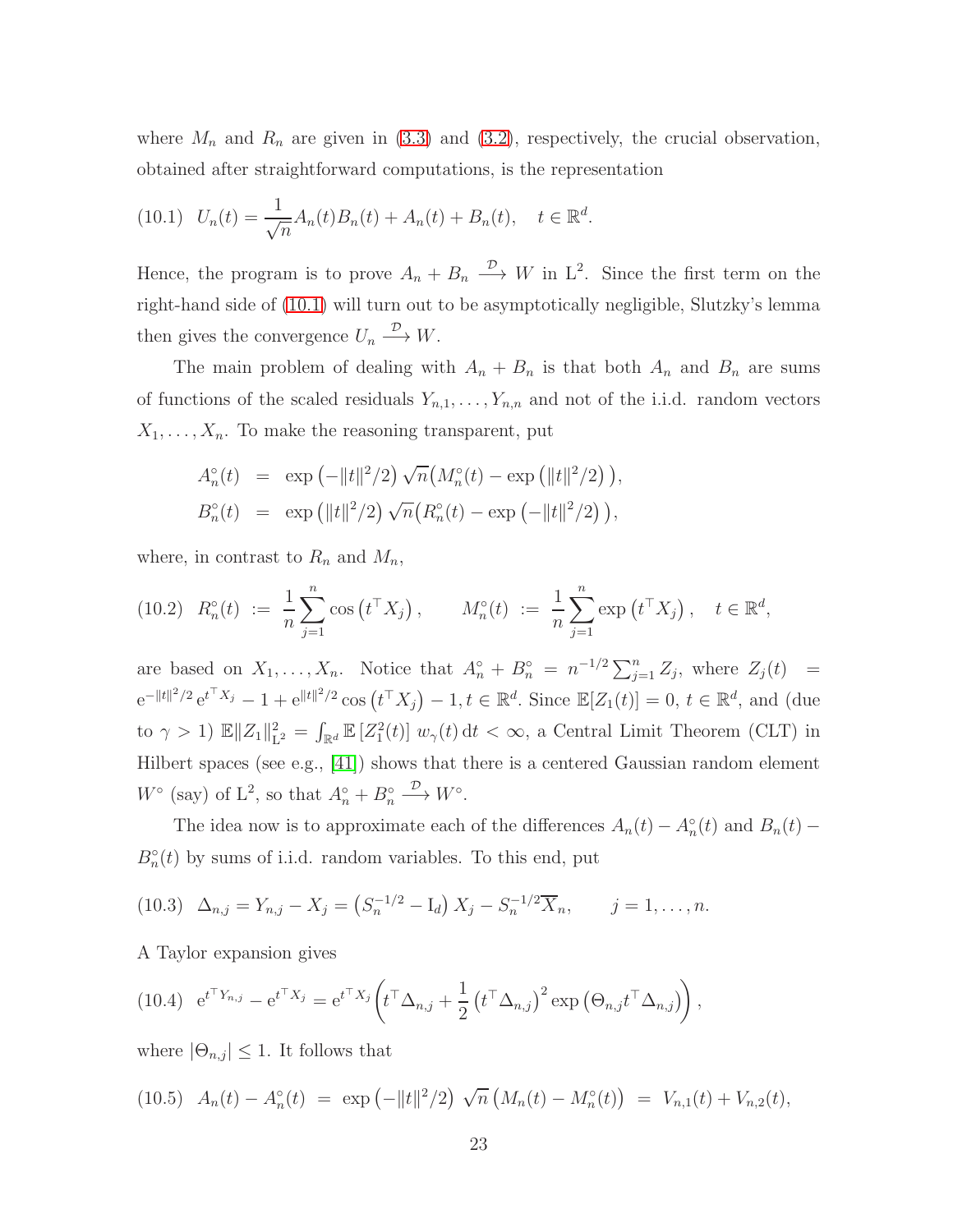<span id="page-22-3"></span>where  $M_n$  and  $R_n$  are given in [\(3.3\)](#page-4-4) and [\(3.2\)](#page-4-3), respectively, the crucial observation, obtained after straightforward computations, is the representation

$$
(10.1) \quad U_n(t) = \frac{1}{\sqrt{n}} A_n(t) B_n(t) + A_n(t) + B_n(t), \quad t \in \mathbb{R}^d.
$$

Hence, the program is to prove  $A_n + B_n \xrightarrow{D} W$  in  $L^2$ . Since the first term on the right-hand side of [\(10](#page-22-3).1) will turn out to be asymptotically negligible, Slutzky's lemma then gives the convergence  $U_n \xrightarrow{D} W$ .

The main problem of dealing with  $A_n + B_n$  is that both  $A_n$  and  $B_n$  are sums of functions of the scaled residuals  $Y_{n,1}, \ldots, Y_{n,n}$  and not of the i.i.d. random vectors  $X_1, \ldots, X_n$ . To make the reasoning transparent, put

<span id="page-22-1"></span>
$$
A_n^{\circ}(t) = \exp(-||t||^2/2) \sqrt{n} (M_n^{\circ}(t) - \exp(||t||^2/2)),
$$
  
\n
$$
B_n^{\circ}(t) = \exp(||t||^2/2) \sqrt{n} (R_n^{\circ}(t) - \exp(-||t||^2/2)),
$$

where, in contrast to  $R_n$  and  $M_n$ ,

$$
(10.2) \ \ R_n^{\circ}(t) \ := \ \frac{1}{n} \sum_{j=1}^n \cos\left(t^{\top} X_j\right), \qquad M_n^{\circ}(t) \ := \ \frac{1}{n} \sum_{j=1}^n \exp\left(t^{\top} X_j\right), \quad t \in \mathbb{R}^d,
$$

are based on  $X_1, \ldots, X_n$ . Notice that  $A_n^{\circ} + B_n^{\circ} = n^{-1/2} \sum_{j=1}^n Z_j$ , where  $Z_j(t) =$  $e^{-||t||^2/2} e^{t^{\top}X_j} - 1 + e^{||t||^2/2} \cos(t^{\top}X_j) - 1, t \in \mathbb{R}^d$ . Since  $\mathbb{E}[Z_1(t)] = 0, t \in \mathbb{R}^d$ , and (due to  $\gamma > 1$ )  $\mathbb{E} \|Z_1\|_{\mathcal{L}}^2$  $L^2 = \int_{\mathbb{R}^d} \mathbb{E}\left[Z_1^2(t)\right] w_{\gamma}(t) dt < \infty$ , a Central Limit Theorem (CLT) in Hilbert spaces (see e.g., [\[41\]](#page-36-15)) shows that there is a centered Gaussian random element  $W^{\circ}$  (say) of  $L^2$ , so that  $A_n^{\circ} + B_n^{\circ} \xrightarrow{D} W^{\circ}$ .

<span id="page-22-0"></span>The idea now is to approximate each of the differences  $A_n(t) - A_n^{\circ}(t)$  and  $B_n(t)$  –  $B_n^{\circ}(t)$  by sums of i.i.d. random variables. To this end, put

$$
(10.3) \quad \Delta_{n,j} = Y_{n,j} - X_j = \left(S_n^{-1/2} - I_d\right)X_j - S_n^{-1/2}\overline{X}_n, \qquad j = 1, \ldots, n.
$$

<span id="page-22-2"></span>A Taylor expansion gives

(10.4) 
$$
e^{t^{\top}Y_{n,j}} - e^{t^{\top}X_j} = e^{t^{\top}X_j} \left( t^{\top} \Delta_{n,j} + \frac{1}{2} \left( t^{\top} \Delta_{n,j} \right)^2 \exp \left( \Theta_{n,j} t^{\top} \Delta_{n,j} \right) \right),
$$

where  $|\Theta_{n,j}| \leq 1$ . It follows that

(10.5) 
$$
A_n(t) - A_n^{\circ}(t) = \exp(-\|t\|^2/2) \sqrt{n} \left( M_n(t) - M_n^{\circ}(t) \right) = V_{n,1}(t) + V_{n,2}(t),
$$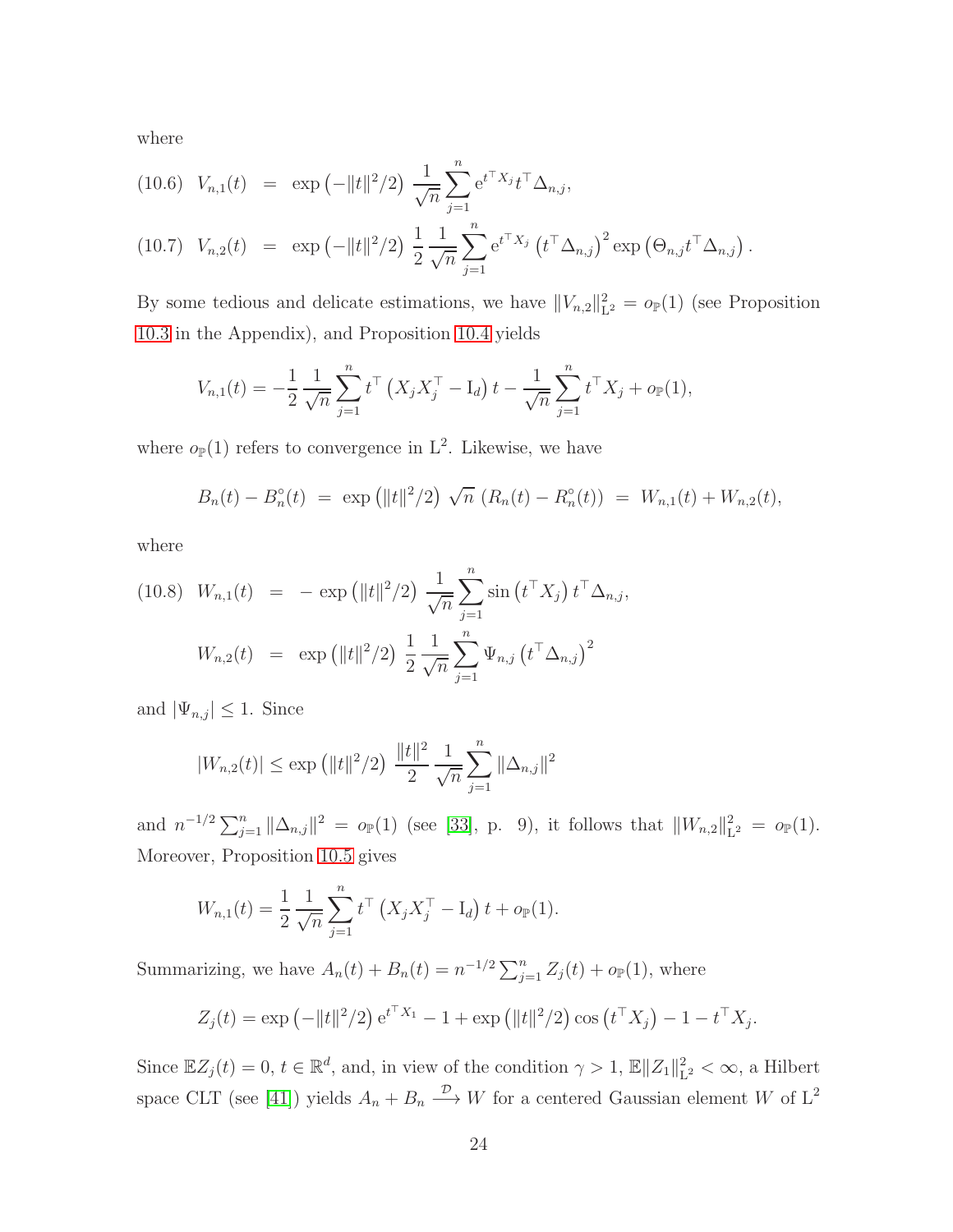where

<span id="page-23-0"></span>(10.6) 
$$
V_{n,1}(t) = \exp(-\|t\|^2/2) \frac{1}{\sqrt{n}} \sum_{j=1}^n e^{t^{\top} X_j} t^{\top} \Delta_{n,j},
$$

(10.7) 
$$
V_{n,2}(t) = \exp(-||t||^2/2) \frac{1}{2} \frac{1}{\sqrt{n}} \sum_{j=1}^n e^{t^{\top} X_j} (t^{\top} \Delta_{n,j})^2 \exp(\Theta_{n,j} t^{\top} \Delta_{n,j}).
$$

By some tedious and delicate estimations, we have  $||V_{n,2}||_1^2$  $L_2^2 = o_{\mathbb{P}}(1)$  (see Proposition [10.3](#page-30-0) in the Appendix), and Proposition [10.4](#page-31-0) yields

$$
V_{n,1}(t) = -\frac{1}{2} \frac{1}{\sqrt{n}} \sum_{j=1}^{n} t^{\top} \left( X_j X_j^{\top} - \mathbf{I}_d \right) t - \frac{1}{\sqrt{n}} \sum_{j=1}^{n} t^{\top} X_j + o_{\mathbb{P}}(1),
$$

where  $o_{\mathbb{P}}(1)$  refers to convergence in  $L^2$ . Likewise, we have

$$
B_n(t) - B_n^{\circ}(t) = \exp \left( ||t||^2 / 2 \right) \sqrt{n} \left( R_n(t) - R_n^{\circ}(t) \right) = W_{n,1}(t) + W_{n,2}(t),
$$

where

<span id="page-23-1"></span>(10.8) 
$$
W_{n,1}(t) = -\exp\left(\|t\|^2/2\right) \frac{1}{\sqrt{n}} \sum_{j=1}^n \sin\left(t^{\top} X_j\right) t^{\top} \Delta_{n,j},
$$
  
\n $W_{n,2}(t) = \exp\left(\|t\|^2/2\right) \frac{1}{2} \frac{1}{\sqrt{n}} \sum_{j=1}^n \Psi_{n,j} \left(t^{\top} \Delta_{n,j}\right)^2$ 

and  $|\Psi_{n,j}| \leq 1$ . Since

$$
|W_{n,2}(t)| \le \exp\left(\|t\|^2/2\right) \, \frac{\|t\|^2}{2} \, \frac{1}{\sqrt{n}} \sum_{j=1}^n \|\Delta_{n,j}\|^2
$$

and  $n^{-1/2} \sum_{j=1}^{n} ||\Delta_{n,j}||^2 = o_{\mathbb{P}}(1)$  (see [\[33\]](#page-35-2), p. 9), it follows that  $||W_{n,2}||_1^2$  $L^2 = o_{\mathbb{P}}(1).$ Moreover, Proposition [10.5](#page-32-0) gives

$$
W_{n,1}(t) = \frac{1}{2} \frac{1}{\sqrt{n}} \sum_{j=1}^{n} t^{\top} (X_j X_j^{\top} - I_d) t + o_{\mathbb{P}}(1).
$$

Summarizing, we have  $A_n(t) + B_n(t) = n^{-1/2} \sum_{j=1}^n Z_j(t) + o_{\mathbb{P}}(1)$ , where

$$
Z_j(t) = \exp(-\|t\|^2/2) e^{t^{\top}X_1} - 1 + \exp(\|t\|^2/2) \cos(t^{\top}X_j) - 1 - t^{\top}X_j.
$$

Since  $\mathbb{E}Z_j(t) = 0, t \in \mathbb{R}^d$ , and, in view of the condition  $\gamma > 1$ ,  $\mathbb{E}||Z_1||_1^2$  $L^2 < \infty$ , a Hilbert space CLT (see [\[41\]](#page-36-15)) yields  $A_n + B_n \xrightarrow{\mathcal{D}} W$  for a centered Gaussian element W of L<sup>2</sup>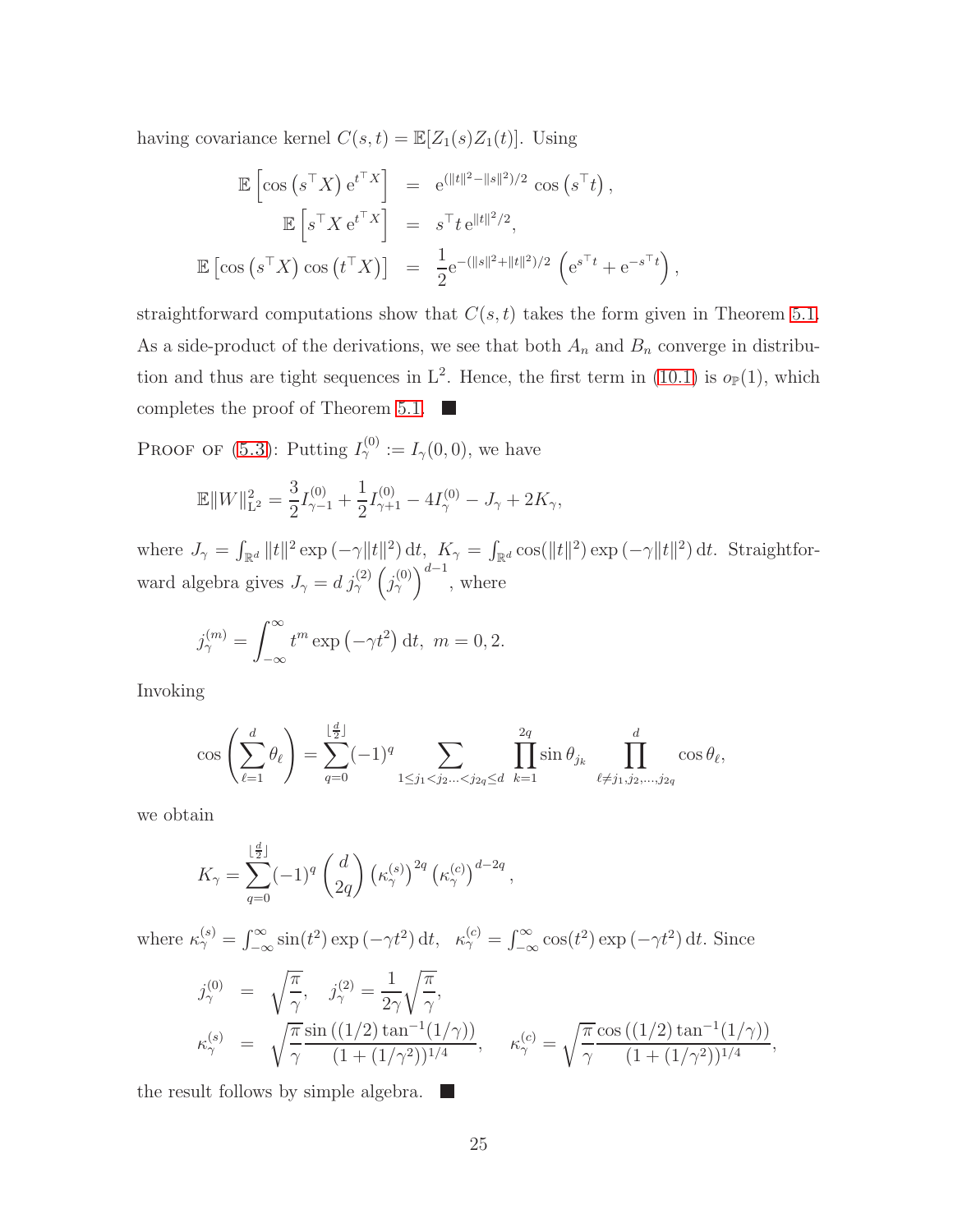having covariance kernel  $C(s,t) = \mathbb{E}[Z_1(s)Z_1(t)]$ . Using

$$
\mathbb{E}\left[\cos\left(s^{\top}X\right)e^{t^{\top}X}\right] = e^{(\|t\|^2 - \|s\|^2)/2} \cos\left(s^{\top}t\right),
$$

$$
\mathbb{E}\left[s^{\top}X e^{t^{\top}X}\right] = s^{\top}t e^{\|t\|^2/2},
$$

$$
\mathbb{E}\left[\cos\left(s^{\top}X\right)\cos\left(t^{\top}X\right)\right] = \frac{1}{2}e^{-(\|s\|^2 + \|t\|^2)/2} \left(e^{s^{\top}t} + e^{-s^{\top}t}\right),
$$

straightforward computations show that  $C(s, t)$  takes the form given in Theorem [5.1.](#page-8-3) As a side-product of the derivations, we see that both  $A_n$  and  $B_n$  converge in distribution and thus are tight sequences in  $L^2$ . Hence, the first term in [\(10.1\)](#page-22-3) is  $o_{\mathbb{P}}(1)$ , which completes the proof of Theorem [5.1.](#page-8-3)  $\blacksquare$ 

**PROOF OF** [\(5.3\)](#page-9-3): Putting  $I_{\gamma}^{(0)} := I_{\gamma}(0,0)$ , we have

$$
\mathbb{E}||W||_{\mathcal{L}^{2}}^{2} = \frac{3}{2}I_{\gamma-1}^{(0)} + \frac{1}{2}I_{\gamma+1}^{(0)} - 4I_{\gamma}^{(0)} - J_{\gamma} + 2K_{\gamma},
$$

where  $J_{\gamma} = \int_{\mathbb{R}^d} ||t||^2 \exp(-\gamma ||t||^2) dt$ ,  $K_{\gamma} = \int_{\mathbb{R}^d} \cos(||t||^2) \exp(-\gamma ||t||^2) dt$ . Straightforward algebra gives  $J_{\gamma} = d j_{\gamma}^{(2)} (j_{\gamma}^{(0)})^{d-1}$ , where

$$
j_{\gamma}^{(m)} = \int_{-\infty}^{\infty} t^m \exp\left(-\gamma t^2\right) dt, \ m = 0, 2.
$$

Invoking

$$
\cos\left(\sum_{\ell=1}^d \theta_\ell\right) = \sum_{q=0}^{\lfloor \frac{d}{2} \rfloor} (-1)^q \sum_{1 \le j_1 < j_2... < j_{2q} \le d} \prod_{k=1}^{2q} \sin \theta_{j_k} \prod_{\ell \ne j_1, j_2,...,j_{2q}}^d \cos \theta_\ell,
$$

we obtain

$$
K_{\gamma} = \sum_{q=0}^{\lfloor \frac{d}{2} \rfloor} (-1)^q \, \binom{d}{2q} \left(\kappa_{\gamma}^{(s)}\right)^{2q} \left(\kappa_{\gamma}^{(c)}\right)^{d-2q},
$$

where  $\kappa_{\gamma}^{(s)} = \int_{-\infty}^{\infty} \sin(t^2) \exp(-\gamma t^2) dt$ ,  $\kappa_{\gamma}^{(c)} = \int_{-\infty}^{\infty} \cos(t^2) \exp(-\gamma t^2) dt$ . Since

$$
j_{\gamma}^{(0)} = \sqrt{\frac{\pi}{\gamma}}, \quad j_{\gamma}^{(2)} = \frac{1}{2\gamma} \sqrt{\frac{\pi}{\gamma}},
$$
  

$$
\kappa_{\gamma}^{(s)} = \sqrt{\frac{\pi}{\gamma}} \frac{\sin((1/2) \tan^{-1}(1/\gamma))}{(1 + (1/\gamma^2))^{1/4}}, \quad \kappa_{\gamma}^{(c)} = \sqrt{\frac{\pi}{\gamma}} \frac{\cos((1/2) \tan^{-1}(1/\gamma))}{(1 + (1/\gamma^2))^{1/4}},
$$

the result follows by simple algebra.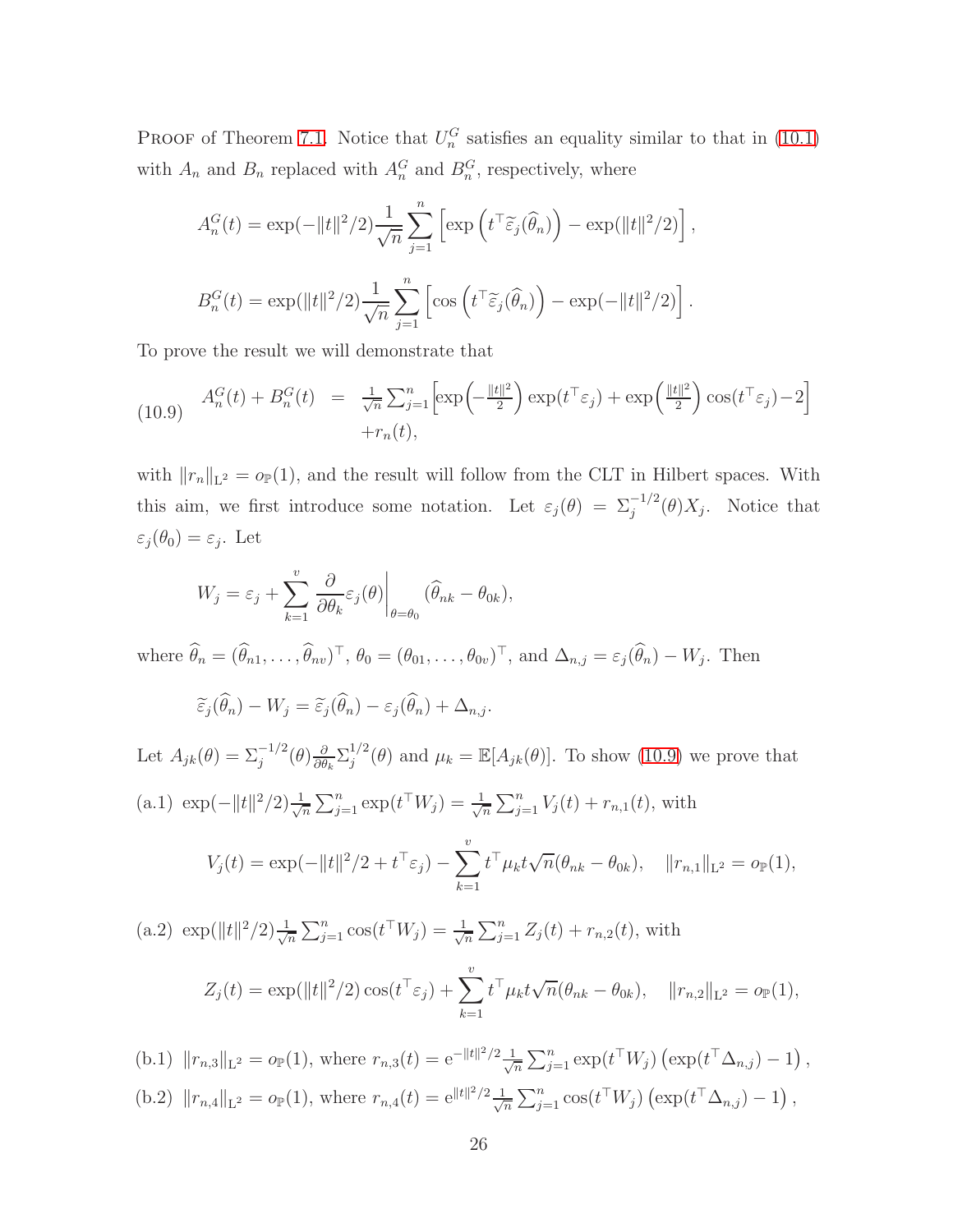PROOF of Theorem [7.1.](#page-13-0) Notice that  $U_n^G$  satisfies an equality similar to that in [\(10.1\)](#page-22-3) with  $A_n$  and  $B_n$  replaced with  $A_n^G$  and  $B_n^G$ , respectively, where

<span id="page-25-0"></span>
$$
A_n^G(t) = \exp(-||t||^2/2)\frac{1}{\sqrt{n}}\sum_{j=1}^n \left[\exp\left(t^\top \widetilde{\varepsilon}_j(\widehat{\theta}_n)\right) - \exp(||t||^2/2)\right],
$$
  

$$
B_n^G(t) = \exp(||t||^2/2)\frac{1}{\sqrt{n}}\sum_{j=1}^n \left[\cos\left(t^\top \widetilde{\varepsilon}_j(\widehat{\theta}_n)\right) - \exp(-||t||^2/2)\right].
$$

To prove the result we will demonstrate that

(10.9) 
$$
A_n^G(t) + B_n^G(t) = \frac{1}{\sqrt{n}} \sum_{j=1}^n \left[ \exp\left(-\frac{\|t\|^2}{2}\right) \exp(t^\top \varepsilon_j) + \exp\left(\frac{\|t\|^2}{2}\right) \cos(t^\top \varepsilon_j) - 2\right] + r_n(t),
$$

with  $||r_n||_{\mathbb{L}^2} = o_{\mathbb{P}}(1)$ , and the result will follow from the CLT in Hilbert spaces. With this aim, we first introduce some notation. Let  $\varepsilon_j(\theta) = \sum_j^{-1/2}(\theta)X_j$ . Notice that  $\varepsilon_j(\theta_0) = \varepsilon_j$ . Let

$$
W_j = \varepsilon_j + \sum_{k=1}^v \frac{\partial}{\partial \theta_k} \varepsilon_j(\theta) \bigg|_{\theta = \theta_0} (\widehat{\theta}_{nk} - \theta_{0k}),
$$

where  $\theta_n = (\theta_{n1}, \dots, \theta_{nv})^{\top}, \theta_0 = (\theta_{01}, \dots, \theta_{0v})^{\top},$  and  $\Delta_{n,j} = \varepsilon_j(\theta_n) - W_j$ . Then

$$
\widetilde{\varepsilon}_j(\widehat{\theta}_n) - W_j = \widetilde{\varepsilon}_j(\widehat{\theta}_n) - \varepsilon_j(\widehat{\theta}_n) + \Delta_{n,j}.
$$

Let  $A_{jk}(\theta) = \sum_{j}^{-1/2} (\theta) \frac{\partial}{\partial \theta}$  $\frac{\partial}{\partial \theta_k} \sum_j^{1/2}$  $j^{1/2}(\theta)$  and  $\mu_k = \mathbb{E}[A_{jk}(\theta)].$  To show [\(10.9\)](#page-25-0) we prove that (a.1)  $\exp(-\|t\|^2/2) \frac{1}{\sqrt{2}}$  $\frac{1}{\overline{n}}\sum_{j=1}^n \exp(t^{\top}W_j) = \frac{1}{\sqrt{n}}$  $\frac{1}{\overline{n}}\sum_{j=1}^n V_j(t) + r_{n,1}(t)$ , with

$$
V_j(t) = \exp(-\|t\|^2/2 + t^{\top} \varepsilon_j) - \sum_{k=1}^{\nu} t^{\top} \mu_k t \sqrt{n} (\theta_{nk} - \theta_{0k}), \quad \|r_{n,1}\|_{\mathcal{L}^2} = o_{\mathbb{P}}(1),
$$

(a.2)  $\exp(||t||^2/2) \frac{1}{\sqrt{2}}$  $\frac{1}{\overline{n}}\sum_{j=1}^n \cos(t^{\top}W_j) = \frac{1}{\sqrt{n}}$  $\frac{1}{\overline{n}}\sum_{j=1}^n Z_j(t) + r_{n,2}(t)$ , with  $Z_j(t) = \exp(||t||^2/2) \cos(t^\top \varepsilon_j) + \sum^v$  $k=1$  $t^{\top} \mu_k t \sqrt{n} (\theta_{nk} - \theta_{0k}), \quad ||r_{n,2}||_{\mathcal{L}^2} = o_{\mathbb{P}}(1),$ 

(b.1)  $||r_{n,3}||_{\mathbb{L}^2} = o_{\mathbb{P}}(1)$ , where  $r_{n,3}(t) = e^{-||t||^2/2} \frac{1}{\sqrt{2}}$  $\frac{1}{n} \sum_{j=1}^n \exp(t^\top W_j) \left( \exp(t^\top \Delta_{n,j}) - 1 \right),$ (b.2)  $||r_{n,4}||_{\mathcal{L}^2} = o_{\mathbb{P}}(1)$ , where  $r_{n,4}(t) = e^{||t||^2/2} \frac{1}{\sqrt{2}}$  $\frac{1}{\sqrt{n}}\sum_{j=1}^n \cos(t^{\top}W_j) \left(\exp(t^{\top}\Delta_{n,j})-1\right),$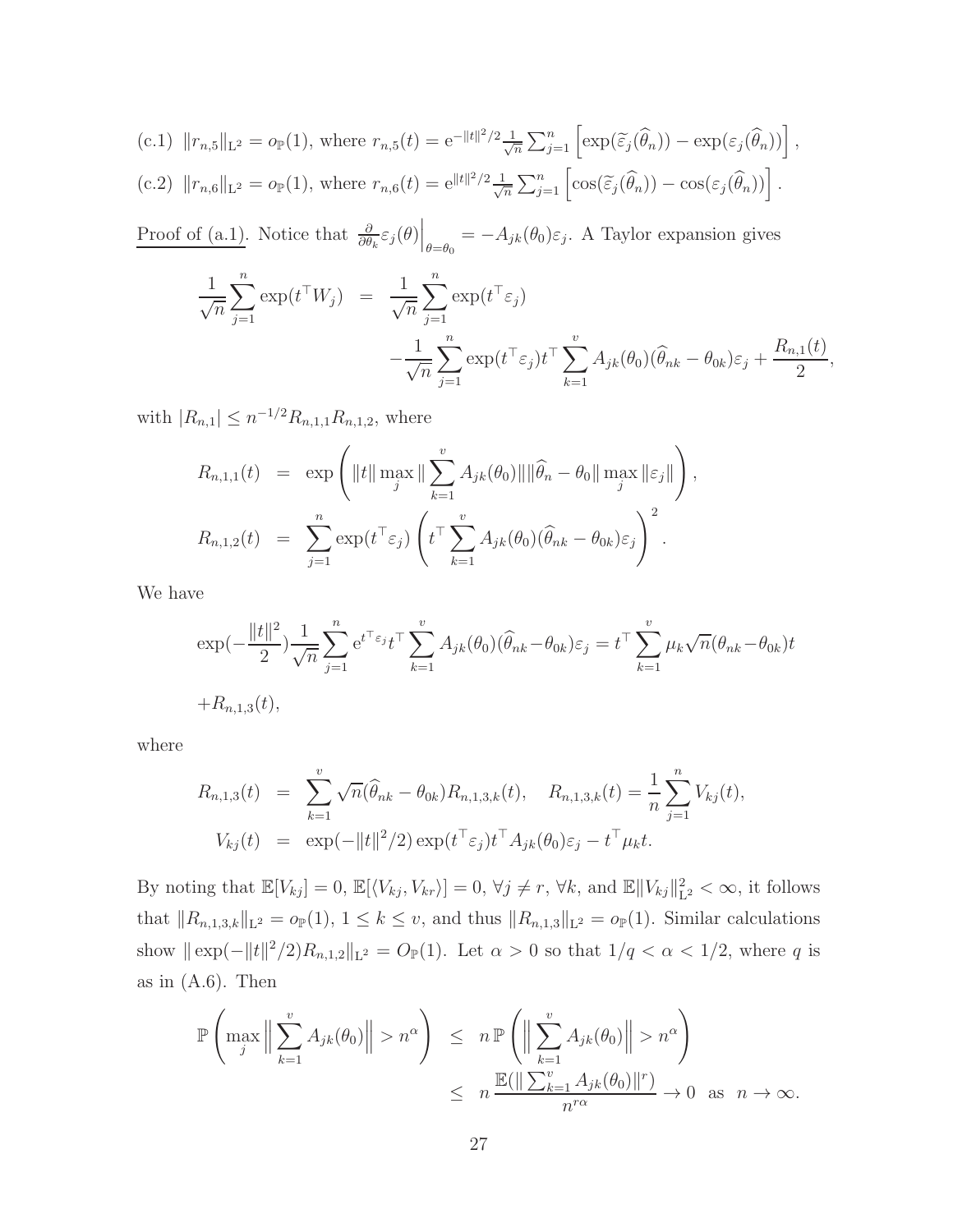(c.1) 
$$
||r_{n,5}||_{\mathcal{L}^2} = o_{\mathbb{P}}(1)
$$
, where  $r_{n,5}(t) = e^{-||t||^2/2} \frac{1}{\sqrt{n}} \sum_{j=1}^n \left[ \exp(\widetilde{\varepsilon}_j(\widehat{\theta}_n)) - \exp(\varepsilon_j(\widehat{\theta}_n)) \right]$ ,  
(c.2)  $||r_{n,6}||_{\mathcal{L}^2} = o_{\mathbb{P}}(1)$ , where  $r_{n,6}(t) = e^{||t||^2/2} \frac{1}{\sqrt{n}} \sum_{j=1}^n \left[ \cos(\widetilde{\varepsilon}_j(\widehat{\theta}_n)) - \cos(\varepsilon_j(\widehat{\theta}_n)) \right]$ .

Proof of (a.1). Notice that  $\frac{\partial}{\partial \theta_k} \varepsilon_j(\theta) \Big|_{\theta=\theta_0} = -A_{jk}(\theta_0) \varepsilon_j$ . A Taylor expansion gives

$$
\frac{1}{\sqrt{n}} \sum_{j=1}^{n} \exp(t^{\top} W_j) = \frac{1}{\sqrt{n}} \sum_{j=1}^{n} \exp(t^{\top} \varepsilon_j)
$$

$$
-\frac{1}{\sqrt{n}} \sum_{j=1}^{n} \exp(t^{\top} \varepsilon_j) t^{\top} \sum_{k=1}^{v} A_{jk}(\theta_0) (\widehat{\theta}_{nk} - \theta_{0k}) \varepsilon_j + \frac{R_{n,1}(t)}{2},
$$

with  $|R_{n,1}| \leq n^{-1/2} R_{n,1,1} R_{n,1,2}$ , where

$$
R_{n,1,1}(t) = \exp\left(\|t\| \max_j \|\sum_{k=1}^v A_{jk}(\theta_0)\| \|\widehat{\theta}_n - \theta_0\| \max_j \|\epsilon_j\|\right),
$$
  

$$
R_{n,1,2}(t) = \sum_{j=1}^n \exp(t^\top \epsilon_j) \left(t^\top \sum_{k=1}^v A_{jk}(\theta_0)(\widehat{\theta}_{nk} - \theta_{0k})\epsilon_j\right)^2.
$$

We have

$$
\exp(-\frac{\|t\|^2}{2})\frac{1}{\sqrt{n}}\sum_{j=1}^n e^{t^\top \varepsilon_j} t^\top \sum_{k=1}^v A_{jk}(\theta_0)(\widehat{\theta}_{nk} - \theta_{0k})\varepsilon_j = t^\top \sum_{k=1}^v \mu_k \sqrt{n}(\theta_{nk} - \theta_{0k})t
$$
  
+ $R_{n,1,3}(t)$ ,

where

$$
R_{n,1,3}(t) = \sum_{k=1}^{v} \sqrt{n}(\hat{\theta}_{nk} - \theta_{0k}) R_{n,1,3,k}(t), \quad R_{n,1,3,k}(t) = \frac{1}{n} \sum_{j=1}^{n} V_{kj}(t),
$$
  

$$
V_{kj}(t) = \exp(-\|t\|^2/2) \exp(t^{\top} \varepsilon_j) t^{\top} A_{jk}(\theta_0) \varepsilon_j - t^{\top} \mu_k t.
$$

By noting that  $\mathbb{E}[V_{kj}] = 0$ ,  $\mathbb{E}[\langle V_{kj}, V_{kr} \rangle] = 0$ ,  $\forall j \neq r$ ,  $\forall k$ , and  $\mathbb{E} \Vert V_{kj} \Vert_{\mathbb{L}}^2$  $L^2_{L^2} < \infty$ , it follows that  $||R_{n,1,3,k}||_{\mathbb{L}^2} = o_{\mathbb{P}}(1), 1 \leq k \leq v$ , and thus  $||R_{n,1,3}||_{\mathbb{L}^2} = o_{\mathbb{P}}(1)$ . Similar calculations show  $\|\exp(-\|t\|^2/2)R_{n,1,2}\|_{\mathbb{L}^2} = O_{\mathbb{P}}(1)$ . Let  $\alpha > 0$  so that  $1/q < \alpha < 1/2$ , where q is as in  $(A.6)$ . Then

$$
\mathbb{P}\left(\max_{j} \left\|\sum_{k=1}^{v} A_{jk}(\theta_0)\right\| > n^{\alpha}\right) \leq n \mathbb{P}\left(\left\|\sum_{k=1}^{v} A_{jk}(\theta_0)\right\| > n^{\alpha}\right)
$$
  

$$
\leq n \frac{\mathbb{E}(\left\|\sum_{k=1}^{v} A_{jk}(\theta_0)\right\|^{r})}{n^{r\alpha}} \to 0 \text{ as } n \to \infty.
$$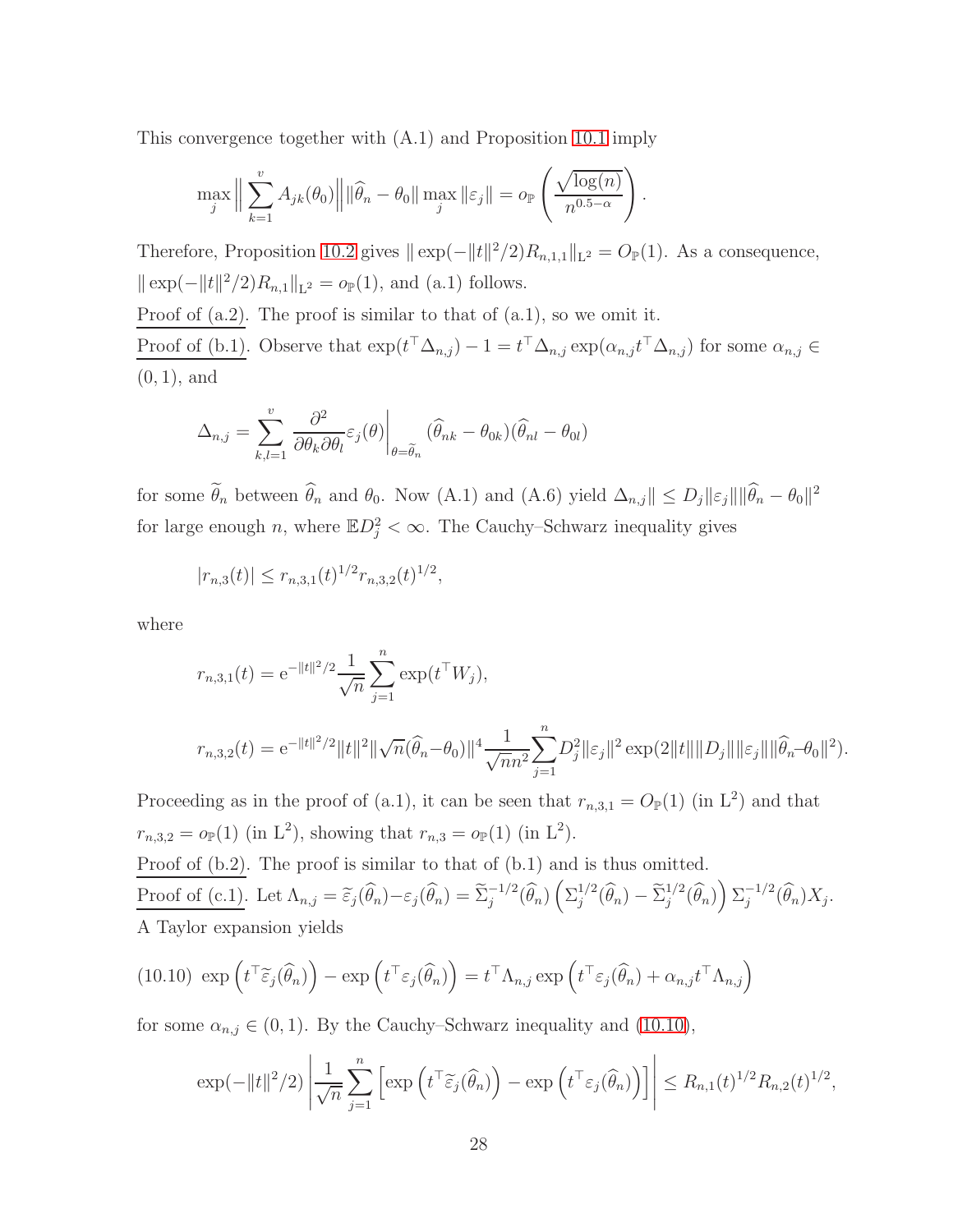This convergence together with (A.1) and Proposition [10.1](#page-29-1) imply

$$
\max_{j} \left\| \sum_{k=1}^{v} A_{jk}(\theta_0) \right\| \left\| \widehat{\theta}_n - \theta_0 \right\| \max_{j} \left\| \varepsilon_j \right\| = o_{\mathbb{P}} \left( \frac{\sqrt{\log(n)}}{n^{0.5-\alpha}} \right)
$$

Therefore, Proposition [10.2](#page-30-1) gives  $\|\exp(-\|t\|^2/2)R_{n,1,1}\|_{\mathbb{L}^2} = O_{\mathbb{P}}(1)$ . As a consequence,  $\|\exp(-\|t\|^2/2)R_{n,1}\|_{\mathbb{L}^2} = o_{\mathbb{P}}(1)$ , and (a.1) follows. Proof of  $(a.2)$ . The proof is similar to that of  $(a.1)$ , so we omit it.

.

Proof of (b.1). Observe that  $\exp(t^{\top} \Delta_{n,j}) - 1 = t^{\top} \Delta_{n,j} \exp(\alpha_{n,j} t^{\top} \Delta_{n,j})$  for some  $\alpha_{n,j} \in$ (0, 1), and

$$
\Delta_{n,j} = \sum_{k,l=1}^{v} \left. \frac{\partial^2}{\partial \theta_k \partial \theta_l} \varepsilon_j(\theta) \right|_{\theta = \widetilde{\theta}_n} (\widehat{\theta}_{nk} - \theta_{0k})(\widehat{\theta}_{nl} - \theta_{0l})
$$

for some  $\hat{\theta}_n$  between  $\hat{\theta}_n$  and  $\theta_0$ . Now (A.1) and (A.6) yield  $\Delta_{n,j} \| \le D_j \| \varepsilon_j \| \|\hat{\theta}_n - \theta_0\|^2$ for large enough n, where  $\mathbb{E}D_j^2 < \infty$ . The Cauchy–Schwarz inequality gives

$$
|r_{n,3}(t)| \le r_{n,3,1}(t)^{1/2} r_{n,3,2}(t)^{1/2},
$$

where

$$
r_{n,3,1}(t) = e^{-||t||^2/2} \frac{1}{\sqrt{n}} \sum_{j=1}^n \exp(t^{\top} W_j),
$$
  

$$
r_{n,3,2}(t) = e^{-||t||^2/2} ||t||^2 ||\sqrt{n}(\widehat{\theta}_n - \theta_0)||^4 \frac{1}{\sqrt{n}n^2} \sum_{j=1}^n D_j^2 ||\varepsilon_j||^2 \exp(2||t|| ||D_j|| ||\varepsilon_j|| ||\widehat{\theta}_n - \theta_0||^2).
$$

Proceeding as in the proof of (a.1), it can be seen that  $r_{n,3,1} = O_{\mathbb{P}}(1)$  (in L<sup>2</sup>) and that  $r_{n,3,2} = o_{\mathbb{P}}(1)$  (in L<sup>2</sup>), showing that  $r_{n,3} = o_{\mathbb{P}}(1)$  (in L<sup>2</sup>).

Proof of  $(b.2)$ . The proof is similar to that of  $(b.1)$  and is thus omitted. Proof of (c.1). Let  $\Lambda_{n,j} = \tilde{\varepsilon}_j(\hat{\theta}_n) - \varepsilon_j(\hat{\theta}_n) = \tilde{\Sigma}_j^{-1/2}(\hat{\theta}_n) \left({\Sigma}_j^{1/2}\right)$  $j^{1/2}(\widehat{\theta}_n) - \widetilde{\Sigma}_j^{1/2}(\widehat{\theta}_n)\right) \Sigma_j^{-1/2}(\widehat{\theta}_n) X_j.$ A Taylor expansion yields

(10.10) 
$$
\exp\left(t^{\top}\tilde{\varepsilon}_{j}(\widehat{\theta}_{n})\right) - \exp\left(t^{\top}\varepsilon_{j}(\widehat{\theta}_{n})\right) = t^{\top}\Lambda_{n,j} \exp\left(t^{\top}\varepsilon_{j}(\widehat{\theta}_{n}) + \alpha_{n,j}t^{\top}\Lambda_{n,j}\right)
$$

for some  $\alpha_{n,j} \in (0,1)$ . By the Cauchy–Schwarz inequality and [\(10.10\)](#page-27-0),

<span id="page-27-0"></span>
$$
\exp(-\|t\|^2/2)\left|\frac{1}{\sqrt{n}}\sum_{j=1}^n\left[\exp\left(t^\top\widetilde{\varepsilon}_j(\widehat{\theta}_n)\right)-\exp\left(t^\top\varepsilon_j(\widehat{\theta}_n)\right)\right]\right|\leq R_{n,1}(t)^{1/2}R_{n,2}(t)^{1/2},
$$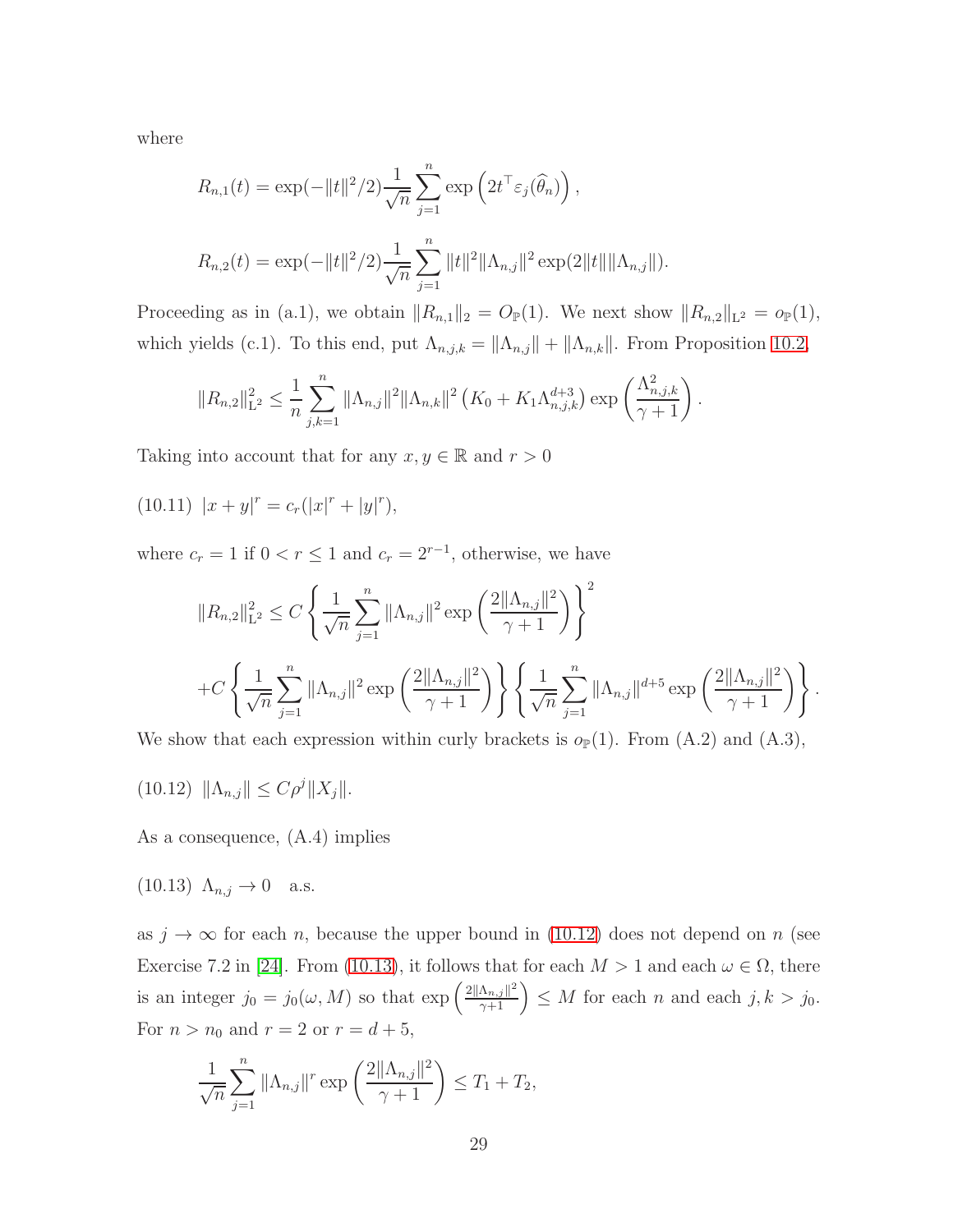where

$$
R_{n,1}(t) = \exp(-||t||^2/2)\frac{1}{\sqrt{n}}\sum_{j=1}^n \exp\left(2t^{\top}\varepsilon_j(\widehat{\theta}_n)\right),
$$
  

$$
R_{n,2}(t) = \exp(-||t||^2/2)\frac{1}{\sqrt{n}}\sum_{j=1}^n ||t||^2||\Lambda_{n,j}||^2 \exp(2||t||||\Lambda_{n,j}||).
$$

Proceeding as in (a.1), we obtain  $||R_{n,1}||_2 = O_{\mathbb{P}}(1)$ . We next show  $||R_{n,2}||_{L^2} = o_{\mathbb{P}}(1)$ , which yields (c.1). To this end, put  $\Lambda_{n,j,k} = ||\Lambda_{n,j}|| + ||\Lambda_{n,k}||$ . From Proposition [10.2,](#page-30-1)

<span id="page-28-2"></span>
$$
||R_{n,2}||_{\mathcal{L}^2}^2 \leq \frac{1}{n} \sum_{j,k=1}^n ||\Lambda_{n,j}||^2 ||\Lambda_{n,k}||^2 \left(K_0 + K_1 \Lambda_{n,j,k}^{d+3}\right) \exp\left(\frac{\Lambda_{n,j,k}^2}{\gamma+1}\right).
$$

Taking into account that for any  $x, y \in \mathbb{R}$  and  $r > 0$ 

(10.11)  $|x + y|^r = c_r(|x|^r + |y|^r),$ 

where  $c_r = 1$  if  $0 < r \le 1$  and  $c_r = 2^{r-1}$ , otherwise, we have

<span id="page-28-0"></span>
$$
||R_{n,2}||_{\mathcal{L}^{2}}^{2} \leq C \left\{ \frac{1}{\sqrt{n}} \sum_{j=1}^{n} ||\Lambda_{n,j}||^{2} \exp \left( \frac{2||\Lambda_{n,j}||^{2}}{\gamma+1} \right) \right\}^{2}
$$
  
+ 
$$
C \left\{ \frac{1}{\sqrt{n}} \sum_{j=1}^{n} ||\Lambda_{n,j}||^{2} \exp \left( \frac{2||\Lambda_{n,j}||^{2}}{\gamma+1} \right) \right\} \left\{ \frac{1}{\sqrt{n}} \sum_{j=1}^{n} ||\Lambda_{n,j}||^{d+5} \exp \left( \frac{2||\Lambda_{n,j}||^{2}}{\gamma+1} \right) \right\}.
$$

We show that each expression within curly brackets is  $o_{\mathbb{P}}(1)$ . From  $(A.2)$  and  $(A.3)$ ,

 $(10.12)$   $\|\Lambda_{n,j}\| \le C\rho^j \|X_j\|.$ 

<span id="page-28-1"></span>As a consequence, (A.4) implies

(10.13)  $\Lambda_{n,j} \to 0$  a.s.

as  $j \to \infty$  for each n, because the upper bound in [\(10.12\)](#page-28-0) does not depend on n (see Exercise 7.2 in [\[24\]](#page-35-12). From [\(10.13\)](#page-28-1), it follows that for each  $M > 1$  and each  $\omega \in \Omega$ , there is an integer  $j_0 = j_0(\omega, M)$  so that  $\exp\left(\frac{2\|\Lambda_{n,j}\|^2}{\gamma+1}\right) \leq M$  for each n and each  $j, k > j_0$ . For  $n > n_0$  and  $r = 2$  or  $r = d + 5$ ,

$$
\frac{1}{\sqrt{n}} \sum_{j=1}^{n} ||\Lambda_{n,j}||^r \exp\left(\frac{2||\Lambda_{n,j}||^2}{\gamma+1}\right) \le T_1 + T_2,
$$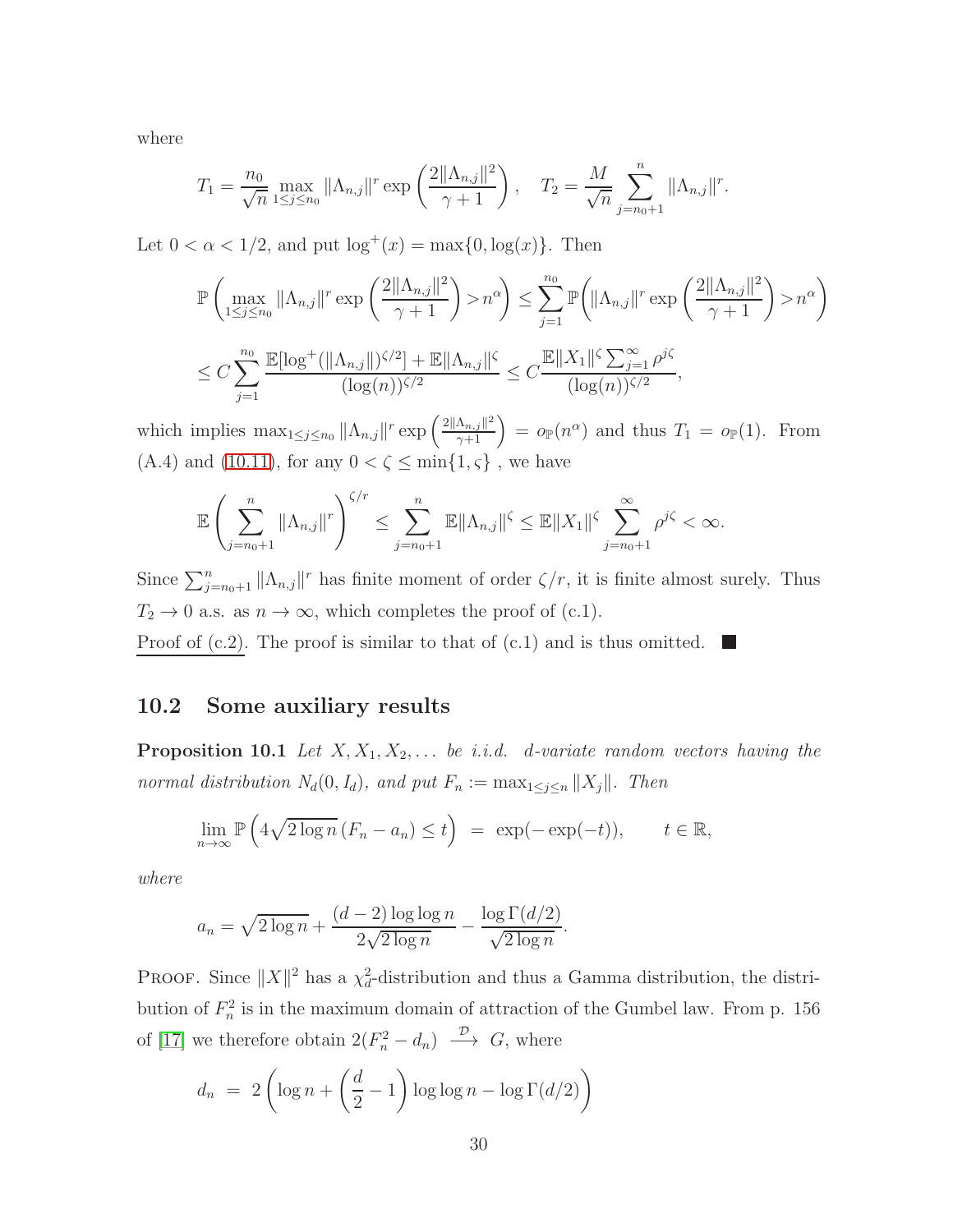where

$$
T_1 = \frac{n_0}{\sqrt{n}} \max_{1 \le j \le n_0} ||\Lambda_{n,j}||^r \exp\left(\frac{2||\Lambda_{n,j}||^2}{\gamma + 1}\right), \quad T_2 = \frac{M}{\sqrt{n}} \sum_{j=n_0+1}^n ||\Lambda_{n,j}||^r.
$$

Let  $0 < \alpha < 1/2$ , and put  $\log^+(x) = \max\{0, \log(x)\}\.$  Then

$$
\mathbb{P}\left(\max_{1\leq j\leq n_0} \|\Lambda_{n,j}\|^r \exp\left(\frac{2\|\Lambda_{n,j}\|^2}{\gamma+1}\right) > n^{\alpha}\right) \leq \sum_{j=1}^{n_0} \mathbb{P}\left(\|\Lambda_{n,j}\|^r \exp\left(\frac{2\|\Lambda_{n,j}\|^2}{\gamma+1}\right) > n^{\alpha}\right)
$$
  

$$
\leq C \sum_{j=1}^{n_0} \frac{\mathbb{E}[\log^+(\|\Lambda_{n,j}\|)^{\zeta/2}] + \mathbb{E}\|\Lambda_{n,j}\|^{\zeta}}{(\log(n))^{\zeta/2}} \leq C \frac{\mathbb{E}\|X_1\|^{\zeta} \sum_{j=1}^{\infty} \rho^{j\zeta}}{(\log(n))^{\zeta/2}},
$$

which implies  $\max_{1 \leq j \leq n_0} ||\Lambda_{n,j}||^r \exp\left(\frac{2||\Lambda_{n,j}||^2}{\gamma+1}\right) = o_{\mathbb{P}}(n^{\alpha})$  and thus  $T_1 = o_{\mathbb{P}}(1)$ . From (A.4) and [\(10.11\)](#page-28-2), for any  $0<\zeta\leq \min\{1,\varsigma\}$  , we have

$$
\mathbb{E}\left(\sum_{j=n_0+1}^n\|\Lambda_{n,j}\|^r\right)^{\zeta/r}\leq \sum_{j=n_0+1}^n\mathbb{E}\|\Lambda_{n,j}\|^{\zeta}\leq \mathbb{E}\|X_1\|^{\zeta}\sum_{j=n_0+1}^\infty \rho^{j\zeta}<\infty.
$$

Since  $\sum_{j=n_0+1}^{n} ||\Lambda_{n,j}||^r$  has finite moment of order  $\zeta/r$ , it is finite almost surely. Thus  $T_2 \to 0$  a.s. as  $n \to \infty$ , which completes the proof of (c.1).

<span id="page-29-0"></span><u>Proof of (c.2)</u>. The proof is similar to that of (c.1) and is thus omitted.

#### <span id="page-29-1"></span>10.2 Some auxiliary results

**Proposition 10.1** Let  $X, X_1, X_2, \ldots$  be i.i.d. d-variate random vectors having the normal distribution  $N_d(0, I_d)$ , and put  $F_n := \max_{1 \leq j \leq n} ||X_j||$ . Then

$$
\lim_{n \to \infty} \mathbb{P}\left(4\sqrt{2\log n} \left(F_n - a_n\right) \le t\right) \ = \ \exp(-\exp(-t)), \qquad t \in \mathbb{R},
$$

where

$$
a_n = \sqrt{2\log n} + \frac{(d-2)\log\log n}{2\sqrt{2\log n}} - \frac{\log\Gamma(d/2)}{\sqrt{2\log n}}.
$$

PROOF. Since  $||X||^2$  has a  $\chi_d^2$ -distribution and thus a Gamma distribution, the distribution of  $F_n^2$  is in the maximum domain of attraction of the Gumbel law. From p. 156 of [\[17\]](#page-34-14) we therefore obtain  $2(F_n^2 - d_n) \longrightarrow G$ , where

$$
d_n = 2\left(\log n + \left(\frac{d}{2} - 1\right)\log\log n - \log\Gamma(d/2)\right)
$$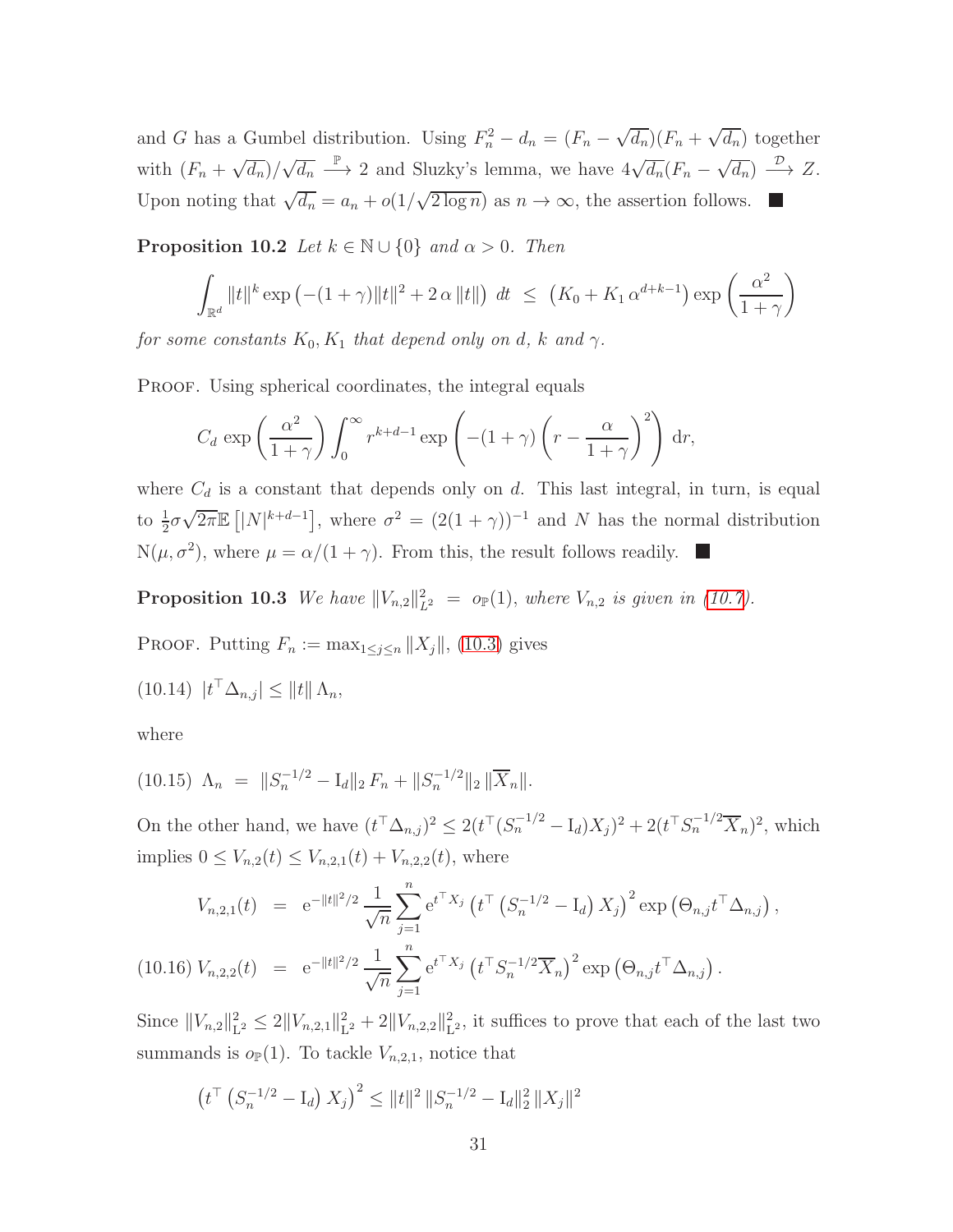and G has a Gumbel distribution. Using  $F_n^2 - d_n = (F_n - \sqrt{d_n})(F_n + \sqrt{d_n})$  together with  $(F_n + \sqrt{d_n})/\sqrt{d_n} \stackrel{\mathbb{P}}{\longrightarrow} 2$  and Sluzky's lemma, we have  $4\sqrt{d_n}(F_n - \sqrt{d_n}) \stackrel{\mathcal{D}}{\longrightarrow} Z$ . Upon noting that  $\sqrt{d_n} = a_n + o(1/\sqrt{2 \log n})$  as  $n \to \infty$ , the assertion follows.

<span id="page-30-1"></span>**Proposition 10.2** Let  $k \in \mathbb{N} \cup \{0\}$  and  $\alpha > 0$ . Then

$$
\int_{\mathbb{R}^d} ||t||^k \exp(-(1+\gamma)||t||^2 + 2\alpha ||t||) dt \le (K_0 + K_1 \alpha^{d+k-1}) \exp\left(\frac{\alpha^2}{1+\gamma}\right)
$$

for some constants  $K_0, K_1$  that depend only on d, k and  $\gamma$ .

PROOF. Using spherical coordinates, the integral equals

<span id="page-30-2"></span>
$$
C_d \exp\left(\frac{\alpha^2}{1+\gamma}\right) \int_0^\infty r^{k+d-1} \exp\left(-(1+\gamma)\left(r-\frac{\alpha}{1+\gamma}\right)^2\right) \mathrm{d}r,
$$

where  $C_d$  is a constant that depends only on d. This last integral, in turn, is equal to  $\frac{1}{2}\sigma\sqrt{2\pi}\mathbb{E}\left[|N|^{k+d-1}\right]$ , where  $\sigma^2 = (2(1+\gamma))^{-1}$  and N has the normal distribution  $N(\mu, \sigma^2)$ , where  $\mu = \alpha/(1+\gamma)$ . From this, the result follows readily.

<span id="page-30-0"></span>**Proposition 10.3** We have  $||V_{n,2}||_{L^2}^2 = o_{\mathbb{P}}(1)$ , where  $V_{n,2}$  is given in [\(10.7\)](#page-23-0).

PROOF. Putting  $F_n := \max_{1 \leq j \leq n} ||X_j||$ , [\(10.3\)](#page-22-0) gives

 $(10.14)$   $|t^{\dagger} \Delta_{n,j}| \leq ||t|| \Delta_n,$ 

<span id="page-30-3"></span>where

$$
(10.15) \ \Lambda_n = \|S_n^{-1/2} - I_d\|_2 F_n + \|S_n^{-1/2}\|_2 \|\overline{X}_n\|.
$$

On the other hand, we have  $(t^{\top} \Delta_{n,j})^2 \leq 2(t^{\top} (S_n^{-1/2} - I_d) X_j)^2 + 2(t^{\top} S_n^{-1/2} \overline{X}_n)^2$ , which implies  $0 \leq V_{n,2}(t) \leq V_{n,2,1}(t) + V_{n,2,2}(t)$ , where

<span id="page-30-4"></span>
$$
V_{n,2,1}(t) = e^{-||t||^{2}/2} \frac{1}{\sqrt{n}} \sum_{j=1}^{n} e^{t^{\top} X_{j}} \left( t^{\top} \left( S_{n}^{-1/2} - I_{d} \right) X_{j} \right)^{2} \exp \left( \Theta_{n,j} t^{\top} \Delta_{n,j} \right),
$$
  
(10.16) 
$$
V_{n,2,2}(t) = e^{-||t||^{2}/2} \frac{1}{\sqrt{n}} \sum_{j=1}^{n} e^{t^{\top} X_{j}} \left( t^{\top} S_{n}^{-1/2} \overline{X}_{n} \right)^{2} \exp \left( \Theta_{n,j} t^{\top} \Delta_{n,j} \right).
$$

Since  $||V_{n,2}||_{\mathcal{L}}^2$  $\frac{2}{L^2} \leq 2||V_{n,2,1}||_L^2$  $\frac{2}{L^2} + 2||V_{n,2,2}||_L^2$  $L<sup>2</sup>$ , it suffices to prove that each of the last two summands is  $o_{\mathbb{P}}(1)$ . To tackle  $V_{n,2,1}$ , notice that

$$
\left(t^{\top} \left(S_n^{-1/2} - \mathbf{I}_d\right) X_j\right)^2 \leq \|t\|^2 \, \|S_n^{-1/2} - \mathbf{I}_d\|_2^2 \, \|X_j\|^2
$$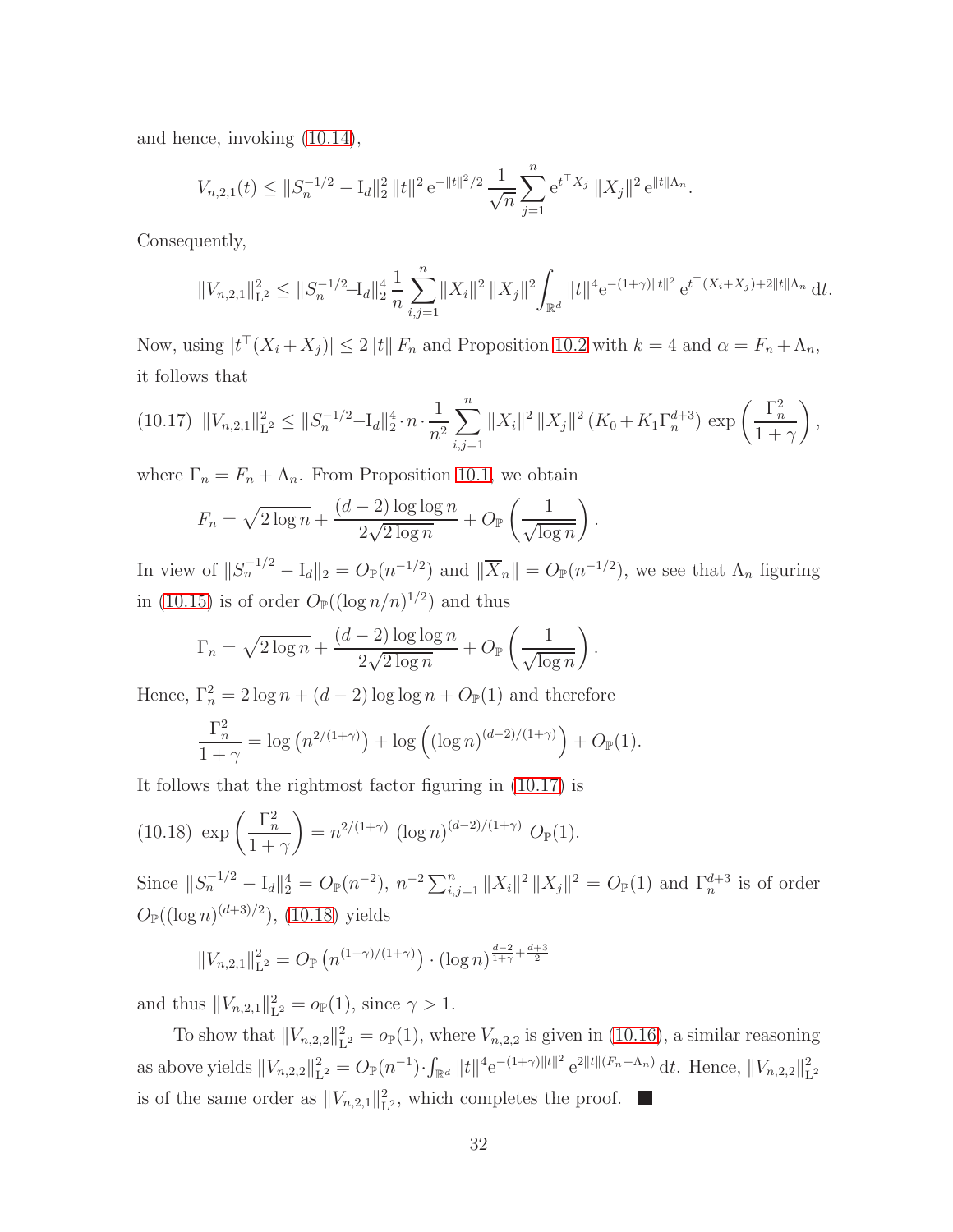and hence, invoking [\(10.14\)](#page-30-2),

$$
V_{n,2,1}(t) \leq ||S_n^{-1/2} - I_d||_2^2 ||t||^2 e^{-||t||^2/2} \frac{1}{\sqrt{n}} \sum_{j=1}^n e^{t^\top X_j} ||X_j||^2 e^{||t||\Lambda_n}.
$$

Consequently,

<span id="page-31-1"></span>
$$
||V_{n,2,1}||_{\mathcal{L}^2}^2 \le ||S_n^{-1/2} - I_d||_2^4 \frac{1}{n} \sum_{i,j=1}^n ||X_i||^2 ||X_j||^2 \int_{\mathbb{R}^d} ||t||^4 e^{-(1+\gamma)||t||^2} e^{t^{\top}(X_i + X_j) + 2||t||\Lambda_n} dt.
$$

Now, using  $|t^+(X_i+X_j)| \leq 2||t||F_n$  and Proposition [10.2](#page-30-1) with  $k=4$  and  $\alpha = F_n + \Lambda_n$ , it follows that

$$
(10.17) \quad \|V_{n,2,1}\|_{\mathcal{L}^2}^2 \le \|S_n^{-1/2} - I_d\|_2^4 \cdot n \cdot \frac{1}{n^2} \sum_{i,j=1}^n \|X_i\|^2 \, \|X_j\|^2 \left(K_0 + K_1 \Gamma_n^{d+3}\right) \exp\left(\frac{\Gamma_n^2}{1+\gamma}\right),
$$

where  $\Gamma_n = F_n + \Lambda_n$ . From Proposition [10.1,](#page-29-1) we obtain

$$
F_n = \sqrt{2 \log n} + \frac{(d-2) \log \log n}{2\sqrt{2 \log n}} + O_{\mathbb{P}}\left(\frac{1}{\sqrt{\log n}}\right).
$$

In view of  $||S_n^{-1/2} - I_d||_2 = O_{\mathbb{P}}(n^{-1/2})$  and  $||\overline{X}_n|| = O_{\mathbb{P}}(n^{-1/2})$ , we see that  $\Lambda_n$  figuring in [\(10.15\)](#page-30-3) is of order  $O_{\mathbb{P}}((\log n/n)^{1/2})$  and thus

$$
\Gamma_n = \sqrt{2 \log n} + \frac{(d-2) \log \log n}{2\sqrt{2 \log n}} + O_{\mathbb{P}}\left(\frac{1}{\sqrt{\log n}}\right).
$$

Hence,  $\Gamma_n^2 = 2 \log n + (d - 2) \log \log n + O_{\mathbb{P}}(1)$  and therefore

<span id="page-31-2"></span>
$$
\frac{\Gamma_n^2}{1+\gamma} = \log (n^{2/(1+\gamma)}) + \log \left( (\log n)^{(d-2)/(1+\gamma)} \right) + O_{\mathbb{P}}(1).
$$

It follows that the rightmost factor figuring in [\(10.17\)](#page-31-1) is

(10.18) 
$$
\exp\left(\frac{\Gamma_n^2}{1+\gamma}\right) = n^{2/(1+\gamma)} (\log n)^{(d-2)/(1+\gamma)} O_{\mathbb{P}}(1).
$$

Since  $||S_n^{-1/2} - I_d||_2^4 = O_{\mathbb{P}}(n^{-2}), n^{-2} \sum_{i,j=1}^n ||X_i||^2 ||X_j||^2 = O_{\mathbb{P}}(1)$  and  $\Gamma_n^{d+3}$  is of order  $O_{\mathbb{P}}((\log n)^{(d+3)/2})$ , [\(10.18\)](#page-31-2) yields

$$
||V_{n,2,1}||_{\mathcal{L}^2}^2 = O_{\mathbb{P}}\left(n^{(1-\gamma)/(1+\gamma)}\right) \cdot (\log n)^{\frac{d-2}{1+\gamma} + \frac{d+3}{2}}
$$

and thus  $||V_{n,2,1}||_{L}^{2}$  $L^2_{L^2} = o_{\mathbb{P}}(1), \text{ since } \gamma > 1.$ 

<span id="page-31-0"></span>To show that  $||V_{n,2,2}||^2_{\mathcal{L}}$  $L_2^2 = o_{\mathbb{P}}(1)$ , where  $V_{n,2,2}$  is given in [\(10.16\)](#page-30-4), a similar reasoning as above yields  $||V_{n,2,2}||^2_{\mathcal{L}}$  $L^2 = O_{\mathbb{P}}(n^{-1}) \cdot \int_{\mathbb{R}^d} ||t||^4 e^{-(1+\gamma)||t||^2} e^{2||t|| (F_n + \Lambda_n)} dt$ . Hence,  $||V_{n,2,2}||_L^2$  $L^2$ is of the same order as  $||V_{n,2,1}||_1^2$  $L<sup>2</sup>$ , which completes the proof.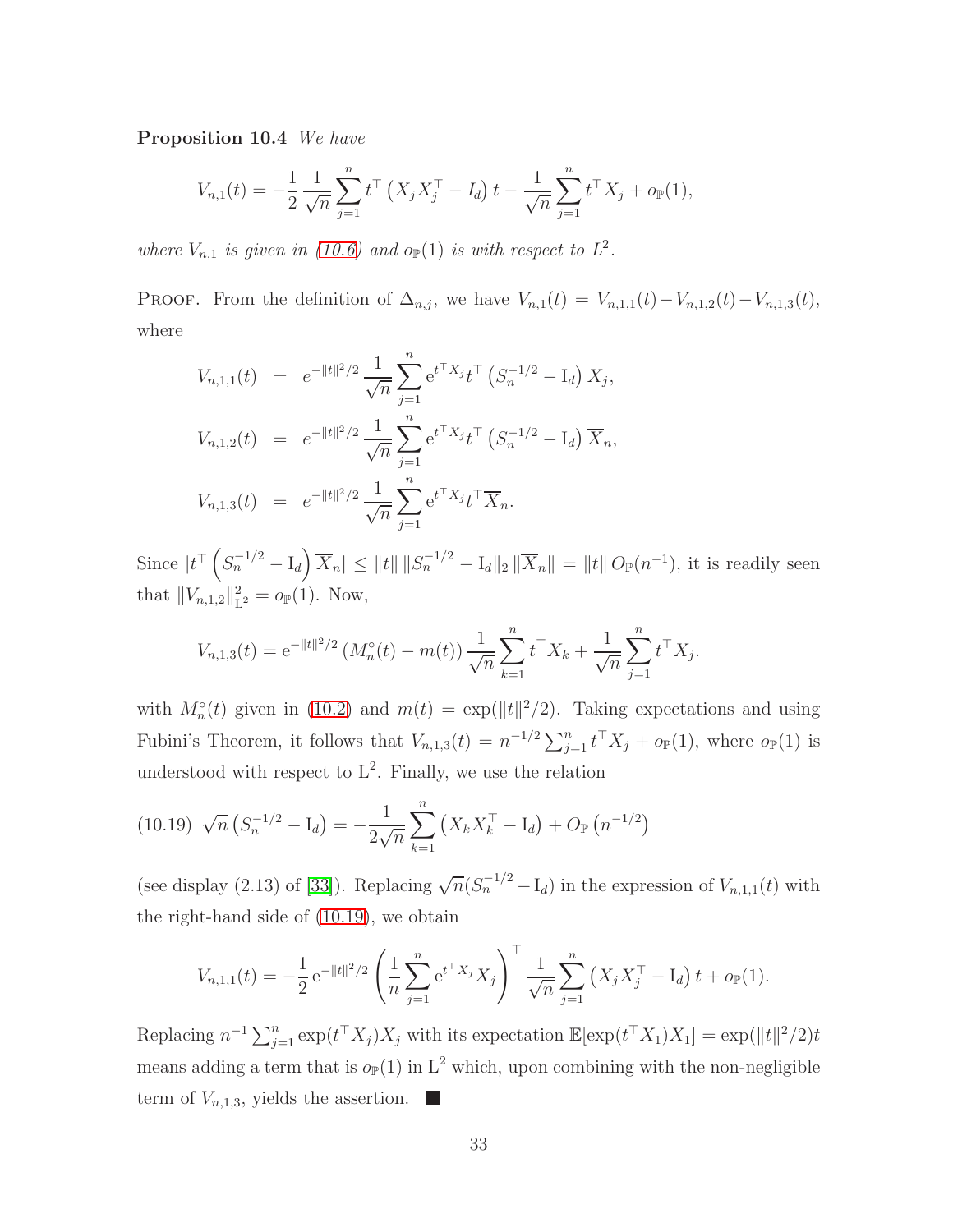Proposition 10.4 We have

$$
V_{n,1}(t) = -\frac{1}{2} \frac{1}{\sqrt{n}} \sum_{j=1}^{n} t^{\top} \left( X_j X_j^{\top} - I_d \right) t - \frac{1}{\sqrt{n}} \sum_{j=1}^{n} t^{\top} X_j + o_{\mathbb{P}}(1),
$$

where  $V_{n,1}$  is given in [\(10.6\)](#page-23-0) and  $o_{\mathbb{P}}(1)$  is with respect to  $L^2$ .

PROOF. From the definition of  $\Delta_{n,j}$ , we have  $V_{n,1}(t) = V_{n,1,1}(t) - V_{n,1,2}(t) - V_{n,1,3}(t)$ , where

$$
V_{n,1,1}(t) = e^{-||t||^2/2} \frac{1}{\sqrt{n}} \sum_{j=1}^n e^{t^{\top} X_j} t^{\top} (S_n^{-1/2} - I_d) X_j,
$$
  
\n
$$
V_{n,1,2}(t) = e^{-||t||^2/2} \frac{1}{\sqrt{n}} \sum_{j=1}^n e^{t^{\top} X_j} t^{\top} (S_n^{-1/2} - I_d) \overline{X}_n,
$$
  
\n
$$
V_{n,1,3}(t) = e^{-||t||^2/2} \frac{1}{\sqrt{n}} \sum_{j=1}^n e^{t^{\top} X_j} t^{\top} \overline{X}_n.
$$

Since  $|t^{\top} (S_n^{-1/2} - I_d) \overline{X}_n| \leq ||t|| ||S_n^{-1/2} - I_d||_2 ||\overline{X}_n|| = ||t|| O_{\mathbb{P}}(n^{-1}),$  it is readily seen that  $||V_{n,1,2}||_L^2$  $L^2_{L^2} = o_{\mathbb{P}}(1)$ . Now,

<span id="page-32-1"></span>
$$
V_{n,1,3}(t) = e^{-\|t\|^2/2} \left( M_n^{\circ}(t) - m(t) \right) \frac{1}{\sqrt{n}} \sum_{k=1}^n t^{\top} X_k + \frac{1}{\sqrt{n}} \sum_{j=1}^n t^{\top} X_j.
$$

with  $M_n^{\circ}(t)$  given in [\(10.2\)](#page-22-1) and  $m(t) = \exp(||t||^2/2)$ . Taking expectations and using Fubini's Theorem, it follows that  $V_{n,1,3}(t) = n^{-1/2} \sum_{j=1}^{n} t^{\top} X_j + o_{\mathbb{P}}(1)$ , where  $o_{\mathbb{P}}(1)$  is understood with respect to  $L^2$ . Finally, we use the relation

$$
(10.19) \sqrt{n} \left( S_n^{-1/2} - \mathbf{I}_d \right) = -\frac{1}{2\sqrt{n}} \sum_{k=1}^n \left( X_k X_k^\top - \mathbf{I}_d \right) + O_{\mathbb{P}} \left( n^{-1/2} \right)
$$

(see display (2.13) of [\[33\]](#page-35-2)). Replacing  $\sqrt{n}(S_n^{-1/2} - I_d)$  in the expression of  $V_{n,1,1}(t)$  with the right-hand side of [\(10.19\)](#page-32-1), we obtain

$$
V_{n,1,1}(t) = -\frac{1}{2} e^{-\|t\|^2/2} \left( \frac{1}{n} \sum_{j=1}^n e^{t^{\top} X_j} X_j \right)^{\top} \frac{1}{\sqrt{n}} \sum_{j=1}^n \left( X_j X_j^{\top} - I_d \right) t + o_{\mathbb{P}}(1).
$$

<span id="page-32-0"></span>Replacing  $n^{-1} \sum_{j=1}^n \exp(t^\top X_j) X_j$  with its expectation  $\mathbb{E}[\exp(t^\top X_1) X_1] = \exp(||t||^2/2)t$ means adding a term that is  $o_{\mathbb{P}}(1)$  in  $L^2$  which, upon combining with the non-negligible term of  $V_{n,1,3}$ , yields the assertion.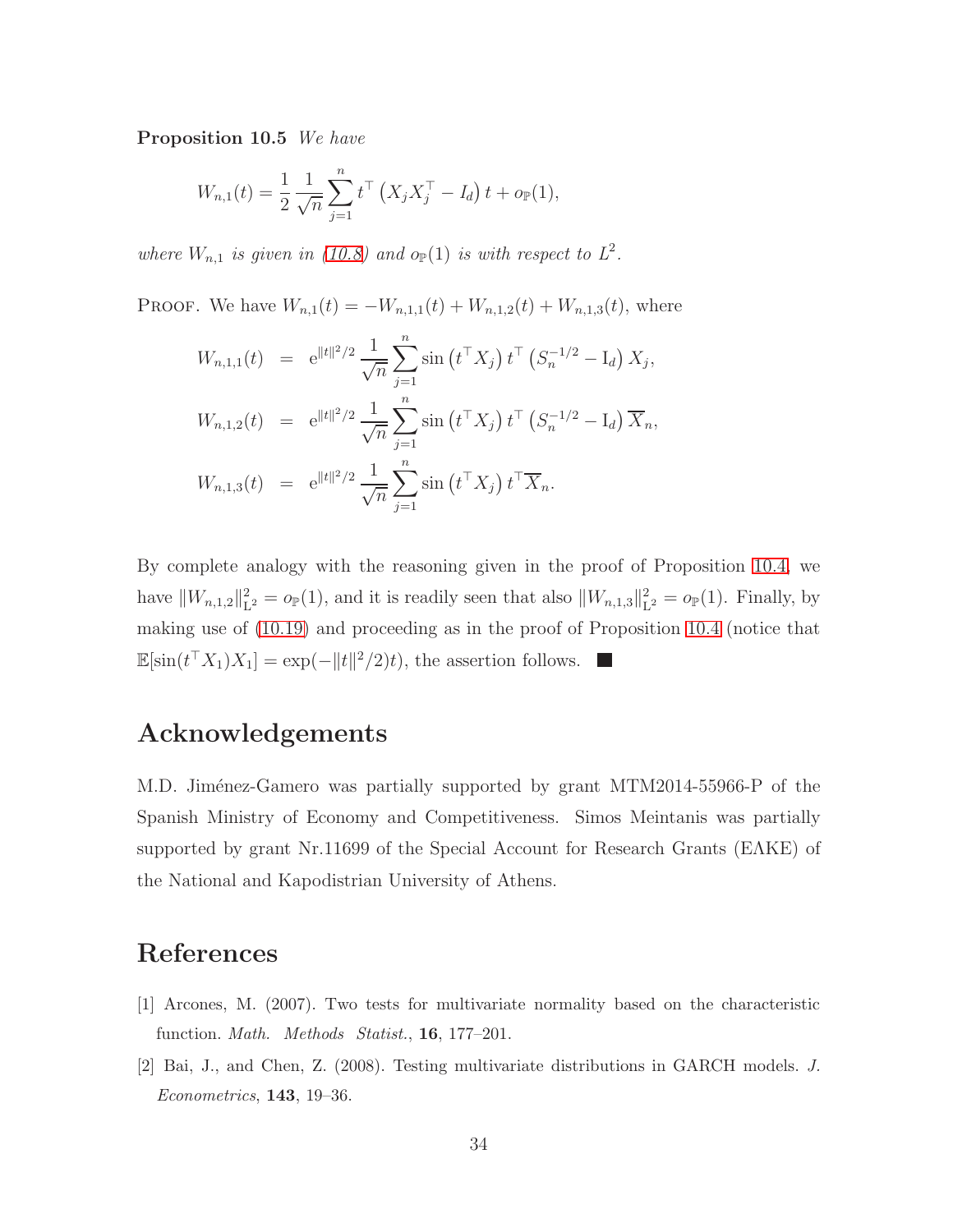Proposition 10.5 We have

$$
W_{n,1}(t) = \frac{1}{2} \frac{1}{\sqrt{n}} \sum_{j=1}^{n} t^{\top} (X_j X_j^{\top} - I_d) t + o_{\mathbb{P}}(1),
$$

where  $W_{n,1}$  is given in [\(10.8\)](#page-23-1) and  $o_{\mathbb{P}}(1)$  is with respect to  $L^2$ .

PROOF. We have  $W_{n,1}(t) = -W_{n,1,1}(t) + W_{n,1,2}(t) + W_{n,1,3}(t)$ , where

$$
W_{n,1,1}(t) = e^{\|t\|^2/2} \frac{1}{\sqrt{n}} \sum_{j=1}^n \sin(t^{\top} X_j) t^{\top} (S_n^{-1/2} - I_d) X_j,
$$
  
\n
$$
W_{n,1,2}(t) = e^{\|t\|^2/2} \frac{1}{\sqrt{n}} \sum_{j=1}^n \sin(t^{\top} X_j) t^{\top} (S_n^{-1/2} - I_d) \overline{X}_n,
$$
  
\n
$$
W_{n,1,3}(t) = e^{\|t\|^2/2} \frac{1}{\sqrt{n}} \sum_{j=1}^n \sin(t^{\top} X_j) t^{\top} \overline{X}_n.
$$

By complete analogy with the reasoning given in the proof of Proposition [10.4,](#page-31-0) we have  $||W_{n,1,2}||_L^2$  $L^2_{\text{L}^2} = o_{\mathbb{P}}(1)$ , and it is readily seen that also  $||W_{n,1,3}||_{\text{L}^2}^2$  $L^2 = o_{\mathbb{P}}(1)$ . Finally, by making use of [\(10.19\)](#page-32-1) and proceeding as in the proof of Proposition [10.4](#page-31-0) (notice that  $\mathbb{E}[\sin(t^{\top} X_1)X_1] = \exp(-\|t\|^2/2)t$ , the assertion follows.

# Acknowledgements

M.D. Jiménez-Gamero was partially supported by grant MTM2014-55966-P of the Spanish Ministry of Economy and Competitiveness. Simos Meintanis was partially supported by grant Nr.11699 of the Special Account for Research Grants (EΛKE) of the National and Kapodistrian University of Athens.

# <span id="page-33-0"></span>References

- <span id="page-33-1"></span>[1] Arcones, M. (2007). Two tests for multivariate normality based on the characteristic function. *Math. Methods Statist.*, 16, 177–201.
- [2] Bai, J., and Chen, Z. (2008). Testing multivariate distributions in GARCH models. *J. Econometrics*, 143, 19–36.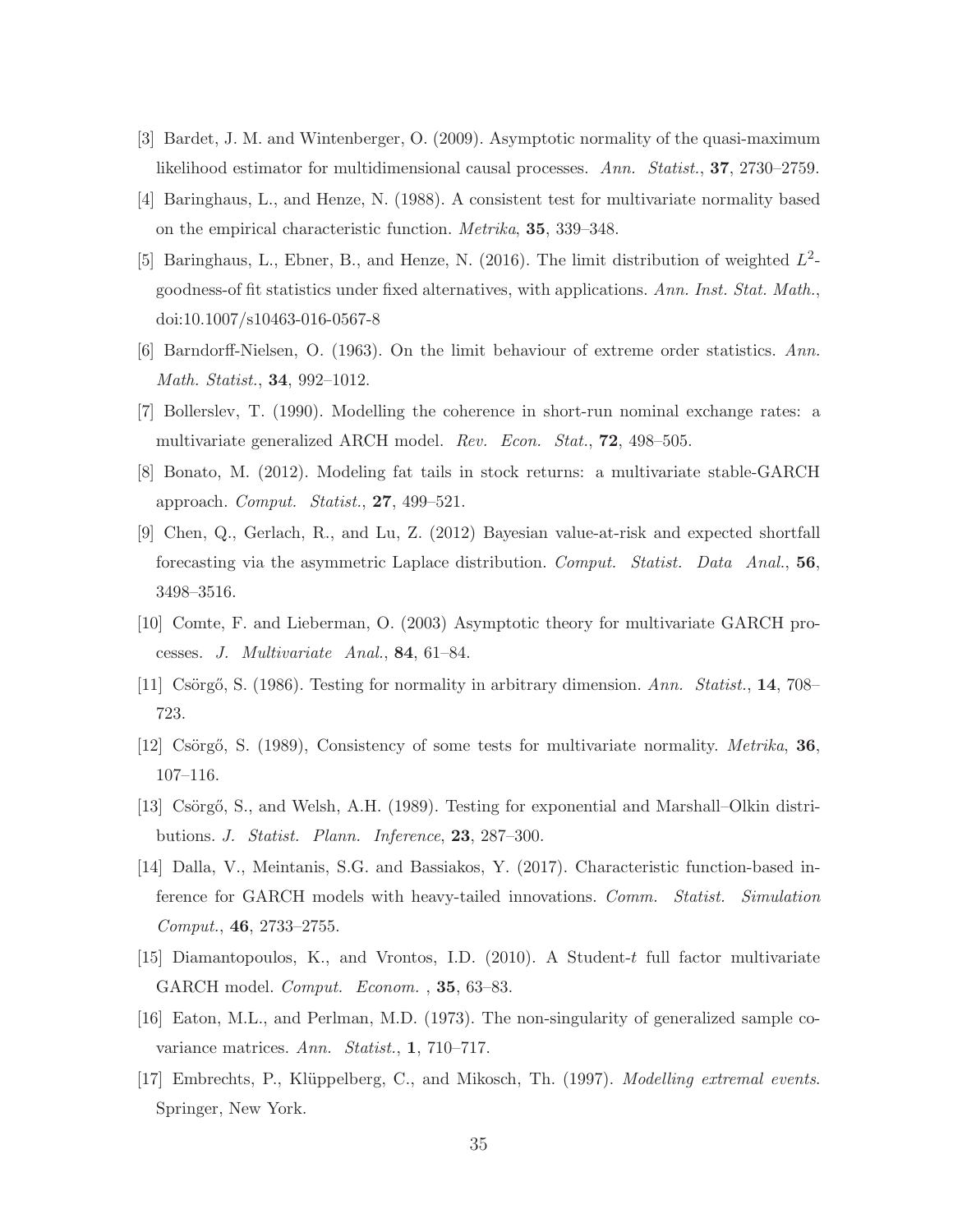- <span id="page-34-12"></span><span id="page-34-2"></span>[3] Bardet, J. M. and Wintenberger, O. (2009). Asymptotic normality of the quasi-maximum likelihood estimator for multidimensional causal processes. *Ann. Statist.*, 37, 2730–2759.
- <span id="page-34-4"></span>[4] Baringhaus, L., and Henze, N. (1988). A consistent test for multivariate normality based on the empirical characteristic function. *Metrika*, 35, 339–348.
- <span id="page-34-5"></span>[5] Baringhaus, L., Ebner, B., and Henze, N. (2016). The limit distribution of weighted  $L^2$ goodness-of fit statistics under fixed alternatives, with applications. *Ann. Inst. Stat. Math.*, doi:10.1007/s10463-016-0567-8
- <span id="page-34-13"></span>[6] Barndorff-Nielsen, O. (1963). On the limit behaviour of extreme order statistics. *Ann. Math. Statist.*, 34, 992–1012.
- <span id="page-34-9"></span>[7] Bollerslev, T. (1990). Modelling the coherence in short-run nominal exchange rates: a multivariate generalized ARCH model. *Rev. Econ. Stat.*, 72, 498–505.
- <span id="page-34-10"></span>[8] Bonato, M. (2012). Modeling fat tails in stock returns: a multivariate stable-GARCH approach. *Comput. Statist.*, 27, 499–521.
- <span id="page-34-11"></span>[9] Chen, Q., Gerlach, R., and Lu, Z. (2012) Bayesian value-at-risk and expected shortfall forecasting via the asymmetric Laplace distribution. *Comput. Statist. Data Anal.*, 56, 3498–3516.
- <span id="page-34-1"></span>[10] Comte, F. and Lieberman, O. (2003) Asymptotic theory for multivariate GARCH processes. *J. Multivariate Anal.*, 84, 61–84.
- <span id="page-34-6"></span>[11] Cs¨org˝o, S. (1986). Testing for normality in arbitrary dimension. *Ann. Statist.*, 14, 708– 723.
- <span id="page-34-3"></span>[12] Cs¨org˝o, S. (1989), Consistency of some tests for multivariate normality. *Metrika*, 36, 107–116.
- <span id="page-34-7"></span>[13] Csörgő, S., and Welsh, A.H. (1989). Testing for exponential and Marshall–Olkin distributions. *J. Statist. Plann. Inference*, 23, 287–300.
- [14] Dalla, V., Meintanis, S.G. and Bassiakos, Y. (2017). Characteristic function-based inference for GARCH models with heavy-tailed innovations. *Comm. Statist. Simulation Comput.*, 46, 2733–2755.
- <span id="page-34-8"></span><span id="page-34-0"></span>[15] Diamantopoulos, K., and Vrontos, I.D. (2010). A Student-t full factor multivariate GARCH model. *Comput. Econom.* , 35, 63–83.
- <span id="page-34-14"></span>[16] Eaton, M.L., and Perlman, M.D. (1973). The non-singularity of generalized sample covariance matrices. *Ann. Statist.*, 1, 710–717.
- [17] Embrechts, P., Kl¨uppelberg, C., and Mikosch, Th. (1997). *Modelling extremal events*. Springer, New York.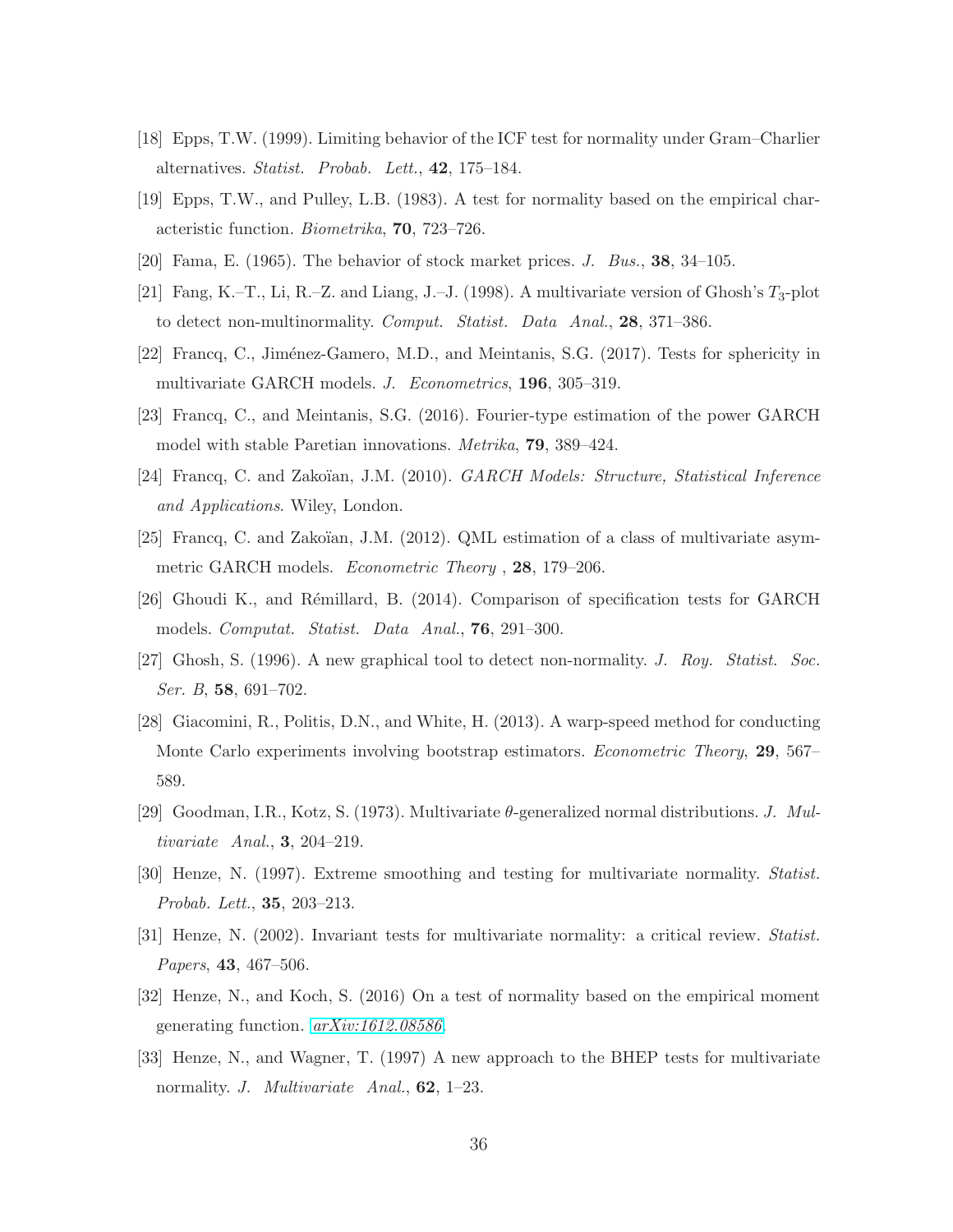- <span id="page-35-3"></span><span id="page-35-1"></span>[18] Epps, T.W. (1999). Limiting behavior of the ICF test for normality under Gram–Charlier alternatives. *Statist. Probab. Lett.*, 42, 175–184.
- <span id="page-35-9"></span>[19] Epps, T.W., and Pulley, L.B. (1983). A test for normality based on the empirical characteristic function. *Biometrika*, 70, 723–726.
- <span id="page-35-4"></span>[20] Fama, E. (1965). The behavior of stock market prices. *J. Bus.*, 38, 34–105.
- <span id="page-35-13"></span>[21] Fang, K.–T., Li, R.–Z. and Liang, J.–J. (1998). A multivariate version of Ghosh's  $T_3$ -plot to detect non-multinormality. *Comput. Statist. Data Anal.*, 28, 371–386.
- <span id="page-35-10"></span>[22] Francq, C., Jiménez-Gamero, M.D., and Meintanis, S.G. (2017). Tests for sphericity in multivariate GARCH models. *J. Econometrics*, 196, 305–319.
- <span id="page-35-12"></span>[23] Francq, C., and Meintanis, S.G. (2016). Fourier-type estimation of the power GARCH model with stable Paretian innovations. *Metrika*, 79, 389–424.
- <span id="page-35-11"></span>[24] Francq, C. and Zako¨ıan, J.M. (2010). *GARCH Models: Structure, Statistical Inference and Applications*. Wiley, London.
- <span id="page-35-8"></span>[25] Francq, C. and Zakoïan, J.M. (2012). QML estimation of a class of multivariate asymmetric GARCH models. *Econometric Theory* , 28, 179–206.
- <span id="page-35-5"></span>[26] Ghoudi K., and R´emillard, B. (2014). Comparison of specification tests for GARCH models. *Computat. Statist. Data Anal.*, 76, 291–300.
- <span id="page-35-15"></span>[27] Ghosh, S. (1996). A new graphical tool to detect non-normality. *J. Roy. Statist. Soc. Ser. B*, 58, 691–702.
- <span id="page-35-14"></span>[28] Giacomini, R., Politis, D.N., and White, H. (2013). A warp-speed method for conducting Monte Carlo experiments involving bootstrap estimators. *Econometric Theory*, 29, 567– 589.
- <span id="page-35-7"></span>[29] Goodman, I.R., Kotz, S. (1973). Multivariate θ-generalized normal distributions. *J. Multivariate Anal.*, 3, 204–219.
- <span id="page-35-0"></span>[30] Henze, N. (1997). Extreme smoothing and testing for multivariate normality. *Statist. Probab. Lett.*, 35, 203–213.
- <span id="page-35-6"></span>[31] Henze, N. (2002). Invariant tests for multivariate normality: a critical review. *Statist. Papers*, 43, 467–506.
- <span id="page-35-2"></span>[32] Henze, N., and Koch, S. (2016) On a test of normality based on the empirical moment generating function. *[arXiv:1612.08586](http://arxiv.org/abs/1612.08586)*.
- [33] Henze, N., and Wagner, T. (1997) A new approach to the BHEP tests for multivariate normality. *J. Multivariate Anal.*, 62, 1–23.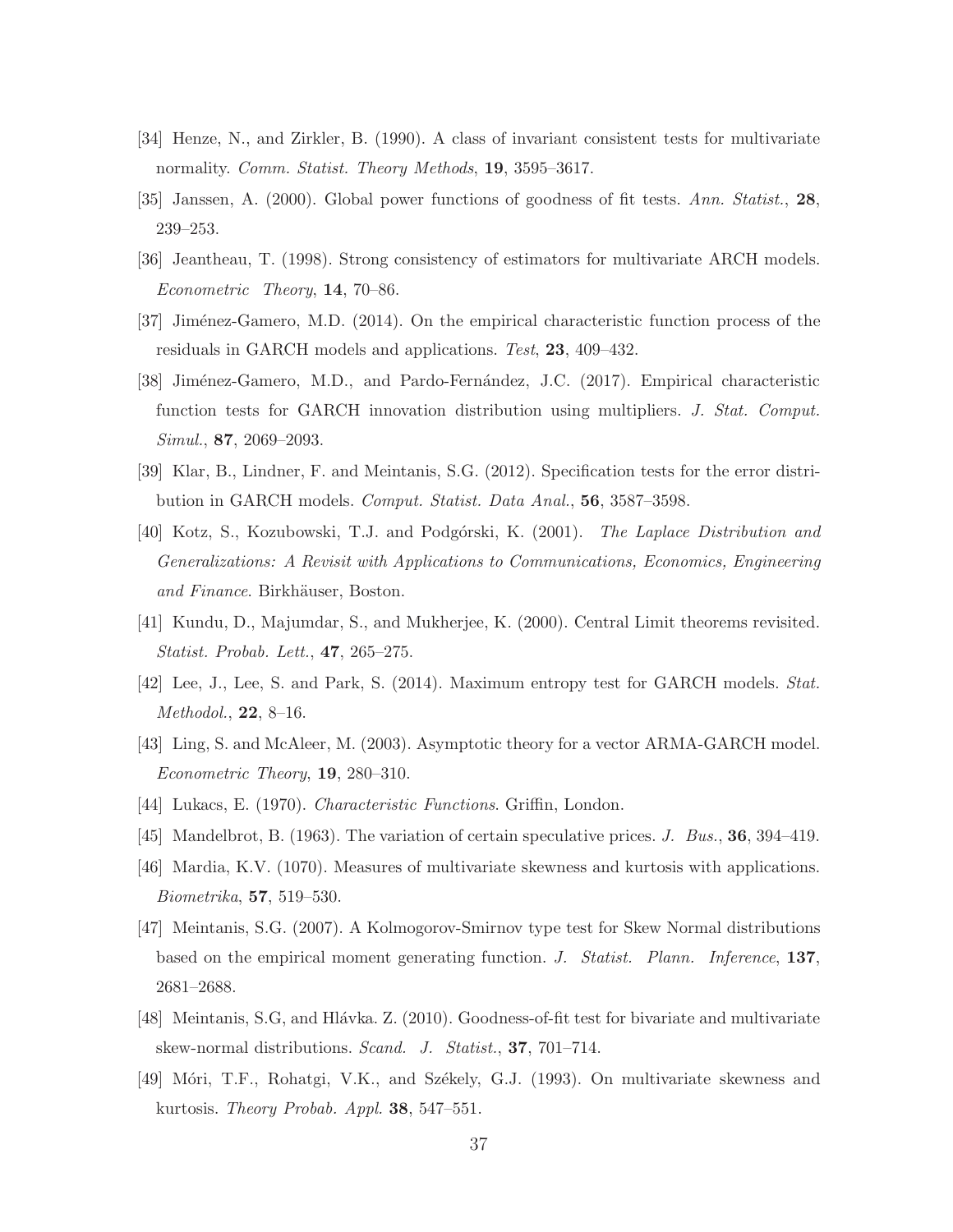- <span id="page-36-13"></span><span id="page-36-1"></span>[34] Henze, N., and Zirkler, B. (1990). A class of invariant consistent tests for multivariate normality. *Comm. Statist. Theory Methods*, 19, 3595–3617.
- <span id="page-36-12"></span>[35] Janssen, A. (2000). Global power functions of goodness of fit tests. *Ann. Statist.*, 28, 239–253.
- <span id="page-36-9"></span>[36] Jeantheau, T. (1998). Strong consistency of estimators for multivariate ARCH models. *Econometric Theory*, 14, 70–86.
- <span id="page-36-10"></span>[37] Jim´enez-Gamero, M.D. (2014). On the empirical characteristic function process of the residuals in GARCH models and applications. *Test*, 23, 409–432.
- <span id="page-36-6"></span>[38] Jiménez-Gamero, M.D., and Pardo-Fernández, J.C. (2017). Empirical characteristic function tests for GARCH innovation distribution using multipliers. *J. Stat. Comput. Simul.*, 87, 2069–2093.
- <span id="page-36-14"></span>[39] Klar, B., Lindner, F. and Meintanis, S.G. (2012). Specification tests for the error distribution in GARCH models. *Comput. Statist. Data Anal.*, 56, 3587–3598.
- <span id="page-36-15"></span>[40] Kotz, S., Kozubowski, T.J. and Podg´orski, K. (2001). *The Laplace Distribution and Generalizations: A Revisit with Applications to Communications, Economics, Engineering and Finance*. Birkhäuser, Boston.
- <span id="page-36-7"></span>[41] Kundu, D., Majumdar, S., and Mukherjee, K. (2000). Central Limit theorems revisited. *Statist. Probab. Lett.*, 47, 265–275.
- <span id="page-36-11"></span>[42] Lee, J., Lee, S. and Park, S. (2014). Maximum entropy test for GARCH models. *Stat. Methodol.*, 22, 8–16.
- <span id="page-36-0"></span>[43] Ling, S. and McAleer, M. (2003). Asymptotic theory for a vector ARMA-GARCH model. *Econometric Theory*, 19, 280–310.
- <span id="page-36-8"></span>[44] Lukacs, E. (1970). *Characteristic Functions*. Griffin, London.
- <span id="page-36-4"></span>[45] Mandelbrot, B. (1963). The variation of certain speculative prices. *J. Bus.*, 36, 394–419.
- <span id="page-36-3"></span>[46] Mardia, K.V. (1070). Measures of multivariate skewness and kurtosis with applications. *Biometrika*, 57, 519–530.
- <span id="page-36-2"></span>[47] Meintanis, S.G. (2007). A Kolmogorov-Smirnov type test for Skew Normal distributions based on the empirical moment generating function. *J. Statist. Plann. Inference*, 137, 2681–2688.
- <span id="page-36-5"></span>[48] Meintanis, S.G, and Hlávka. Z. (2010). Goodness-of-fit test for bivariate and multivariate skew-normal distributions. *Scand. J. Statist.*, 37, 701–714.
- [49] Móri, T.F., Rohatgi, V.K., and Székely, G.J. (1993). On multivariate skewness and kurtosis. *Theory Probab. Appl.* 38, 547–551.